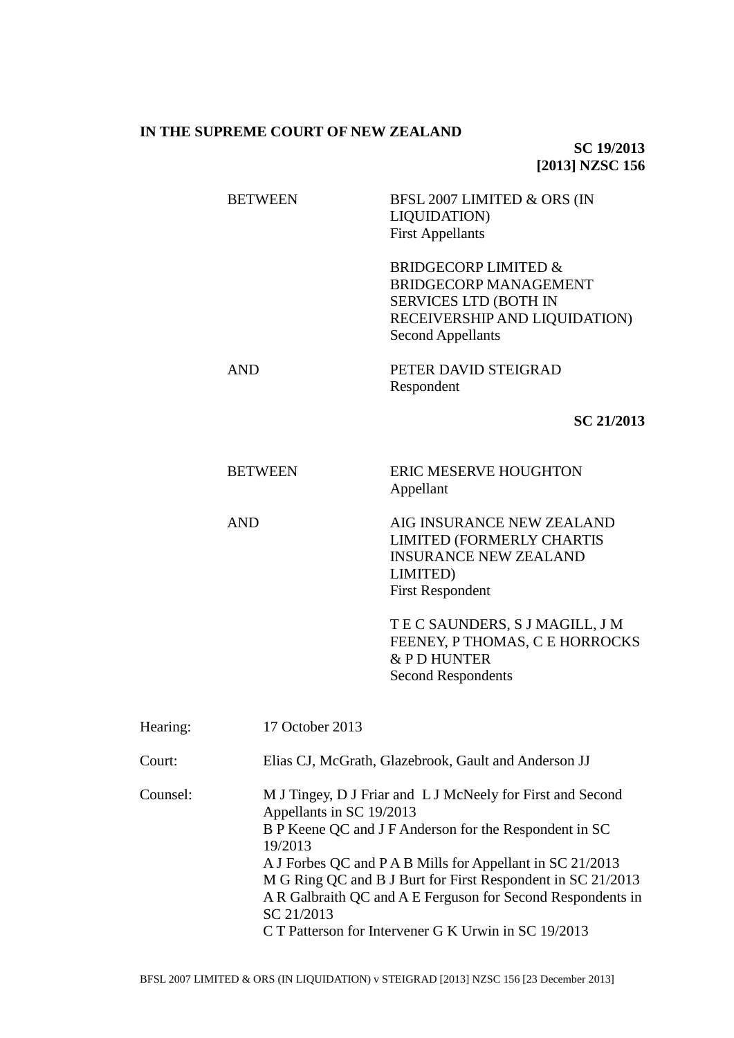## **IN THE SUPREME COURT OF NEW ZEALAND**

**SC 19/2013 [2013] NZSC 156**

|          | <b>BETWEEN</b>  | BFSL 2007 LIMITED & ORS (IN<br>LIQUIDATION)<br><b>First Appellants</b>                                                                                       |
|----------|-----------------|--------------------------------------------------------------------------------------------------------------------------------------------------------------|
|          |                 | <b>BRIDGECORP LIMITED &amp;</b><br><b>BRIDGECORP MANAGEMENT</b><br><b>SERVICES LTD (BOTH IN</b><br>RECEIVERSHIP AND LIQUIDATION)<br><b>Second Appellants</b> |
|          | <b>AND</b>      | PETER DAVID STEIGRAD<br>Respondent                                                                                                                           |
|          |                 | SC 21/2013                                                                                                                                                   |
|          | <b>BETWEEN</b>  | <b>ERIC MESERVE HOUGHTON</b><br>Appellant                                                                                                                    |
|          | <b>AND</b>      | AIG INSURANCE NEW ZEALAND<br><b>LIMITED (FORMERLY CHARTIS</b><br><b>INSURANCE NEW ZEALAND</b><br>LIMITED)<br><b>First Respondent</b>                         |
|          |                 | TEC SAUNDERS, S J MAGILL, J M<br>FEENEY, P THOMAS, C E HORROCKS<br>& PD HUNTER<br><b>Second Respondents</b>                                                  |
| Hearing: | 17 October 2013 |                                                                                                                                                              |
| Court:   |                 | Elias CJ, McGrath, Glazebrook, Gault and Anderson JJ                                                                                                         |

Counsel: M J Tingey, D J Friar and L J McNeely for First and Second Appellants in SC 19/2013 B P Keene QC and J F Anderson for the Respondent in SC 19/2013 A J Forbes QC and P A B Mills for Appellant in SC 21/2013 M G Ring QC and B J Burt for First Respondent in SC 21/2013 A R Galbraith QC and A E Ferguson for Second Respondents in SC 21/2013 C T Patterson for Intervener G K Urwin in SC 19/2013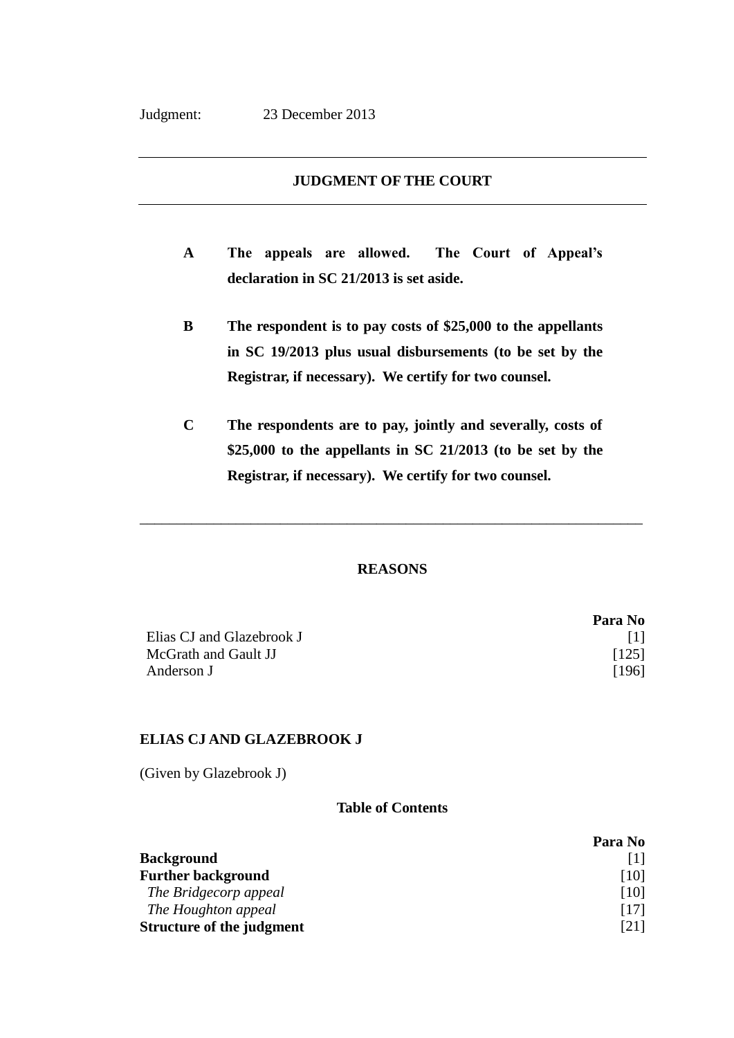## **JUDGMENT OF THE COURT**

- **A The appeals are allowed. The Court of Appeal's declaration in SC 21/2013 is set aside.**
- **B The respondent is to pay costs of \$25,000 to the appellants in SC 19/2013 plus usual disbursements (to be set by the Registrar, if necessary). We certify for two counsel.**
- **C The respondents are to pay, jointly and severally, costs of \$25,000 to the appellants in SC 21/2013 (to be set by the Registrar, if necessary). We certify for two counsel.**

## **REASONS**

\_\_\_\_\_\_\_\_\_\_\_\_\_\_\_\_\_\_\_\_\_\_\_\_\_\_\_\_\_\_\_\_\_\_\_\_\_\_\_\_\_\_\_\_\_\_\_\_\_\_\_\_\_\_\_\_\_\_\_\_\_\_\_\_\_\_\_\_

|                           | Para No |
|---------------------------|---------|
| Elias CJ and Glazebrook J | - 11 L  |
| McGrath and Gault JJ      | $[125]$ |
| Anderson J                | [196]   |

# **ELIAS CJ AND GLAZEBROOK J**

(Given by Glazebrook J)

### **Table of Contents**

|                                  | Para No |
|----------------------------------|---------|
| <b>Background</b>                |         |
| <b>Further background</b>        | [10]    |
| The Bridgecorp appeal            | [10]    |
| The Houghton appeal              | [17]    |
| <b>Structure of the judgment</b> | [21]    |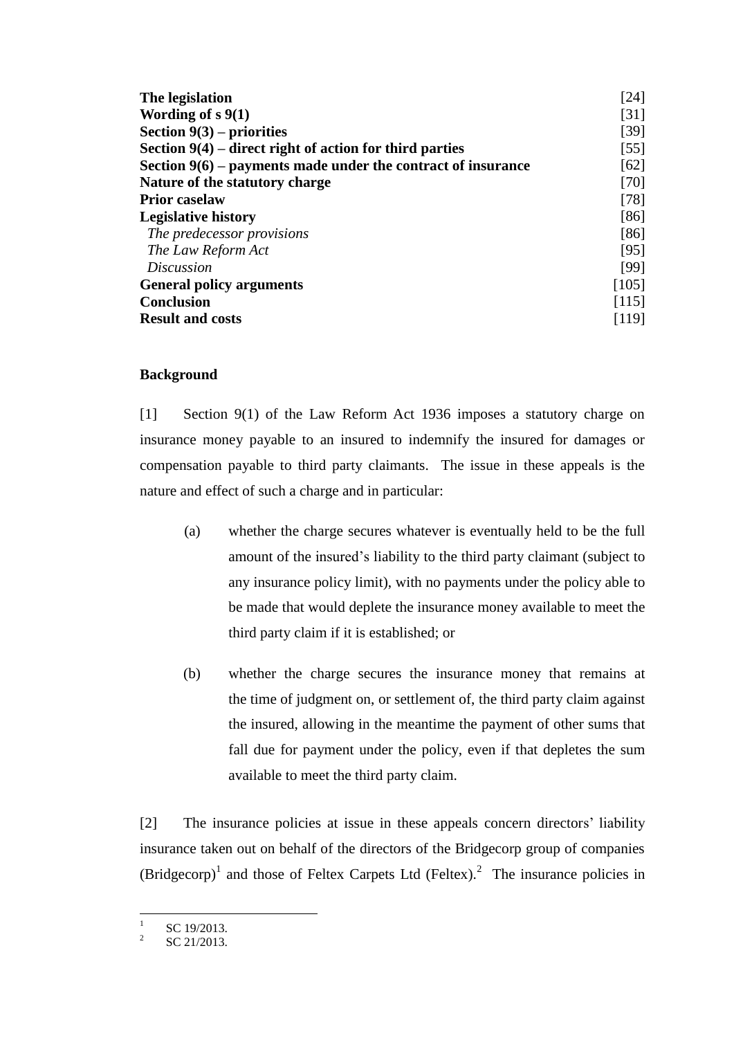| The legislation                                                | [24]   |
|----------------------------------------------------------------|--------|
| Wording of $s\ 9(1)$                                           | [31]   |
| Section $9(3)$ – priorities                                    | $[39]$ |
| Section $9(4)$ – direct right of action for third parties      | $[55]$ |
| Section $9(6)$ – payments made under the contract of insurance | [62]   |
| Nature of the statutory charge                                 | $[70]$ |
| <b>Prior caselaw</b>                                           | [78]   |
| <b>Legislative history</b>                                     | [86]   |
| The predecessor provisions                                     | [86]   |
| The Law Reform Act                                             | [95]   |
| <i>Discussion</i>                                              | [99]   |
| <b>General policy arguments</b>                                | [105]  |
| <b>Conclusion</b>                                              | [115]  |
| <b>Result and costs</b>                                        | [119]  |

# **Background**

<span id="page-2-0"></span>[1] Section 9(1) of the Law Reform Act 1936 imposes a statutory charge on insurance money payable to an insured to indemnify the insured for damages or compensation payable to third party claimants. The issue in these appeals is the nature and effect of such a charge and in particular:

- (a) whether the charge secures whatever is eventually held to be the full amount of the insured's liability to the third party claimant (subject to any insurance policy limit), with no payments under the policy able to be made that would deplete the insurance money available to meet the third party claim if it is established; or
- (b) whether the charge secures the insurance money that remains at the time of judgment on, or settlement of, the third party claim against the insured, allowing in the meantime the payment of other sums that fall due for payment under the policy, even if that depletes the sum available to meet the third party claim.

[2] The insurance policies at issue in these appeals concern directors' liability insurance taken out on behalf of the directors of the Bridgecorp group of companies  $(Bridgecorp)<sup>1</sup>$  and those of Feltex Carpets Ltd (Feltex).<sup>2</sup> The insurance policies in

 $\frac{1}{1}$ SC 19/2013.

<sup>2</sup> SC 21/2013.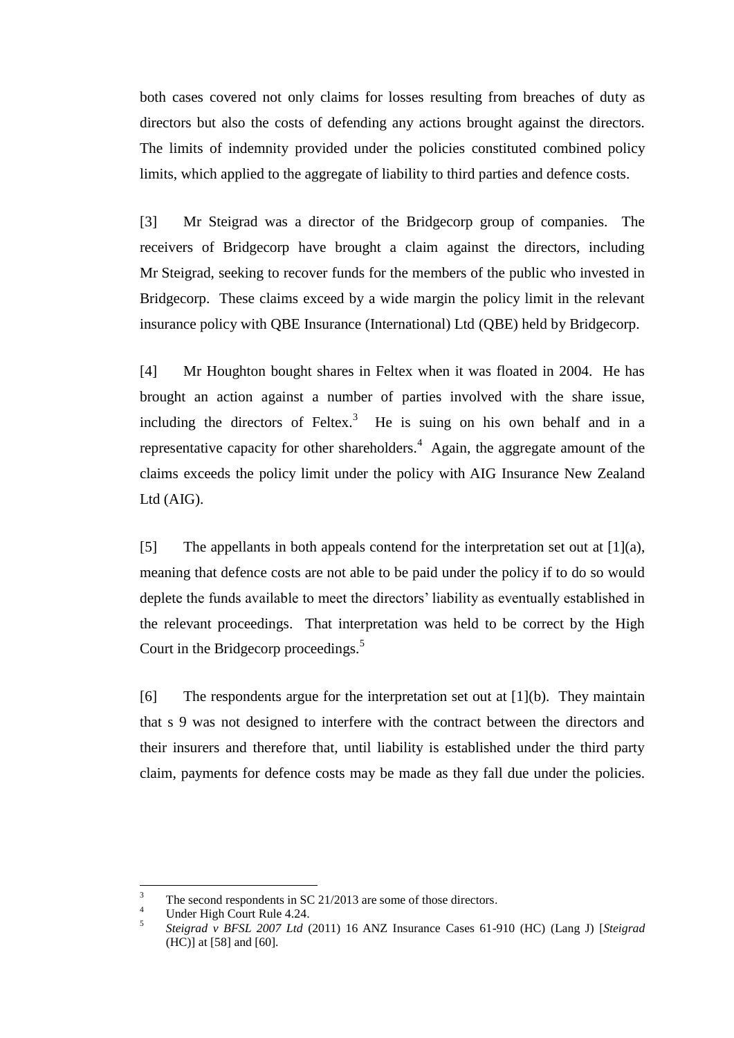both cases covered not only claims for losses resulting from breaches of duty as directors but also the costs of defending any actions brought against the directors. The limits of indemnity provided under the policies constituted combined policy limits, which applied to the aggregate of liability to third parties and defence costs.

[3] Mr Steigrad was a director of the Bridgecorp group of companies. The receivers of Bridgecorp have brought a claim against the directors, including Mr Steigrad, seeking to recover funds for the members of the public who invested in Bridgecorp. These claims exceed by a wide margin the policy limit in the relevant insurance policy with QBE Insurance (International) Ltd (QBE) held by Bridgecorp.

[4] Mr Houghton bought shares in Feltex when it was floated in 2004. He has brought an action against a number of parties involved with the share issue, including the directors of Feltex.<sup>3</sup> He is suing on his own behalf and in a representative capacity for other shareholders.<sup>4</sup> Again, the aggregate amount of the claims exceeds the policy limit under the policy with AIG Insurance New Zealand Ltd (AIG).

[5] The appellants in both appeals contend for the interpretation set out at  $[1](a)$ , meaning that defence costs are not able to be paid under the policy if to do so would deplete the funds available to meet the directors' liability as eventually established in the relevant proceedings. That interpretation was held to be correct by the High Court in the Bridgecorp proceedings.<sup>5</sup>

<span id="page-3-0"></span>[6] The respondents argue for the interpretation set out at [\[1\]\(](#page-2-0)b). They maintain that s 9 was not designed to interfere with the contract between the directors and their insurers and therefore that, until liability is established under the third party claim, payments for defence costs may be made as they fall due under the policies.

 $\overline{3}$ <sup>3</sup> The second respondents in SC 21/2013 are some of those directors.

<sup>4</sup> Under High Court Rule 4.24.

<sup>5</sup> *Steigrad v BFSL 2007 Ltd* (2011) 16 ANZ Insurance Cases 61-910 (HC) (Lang J) [*Steigrad* (HC)] at [58] and [60].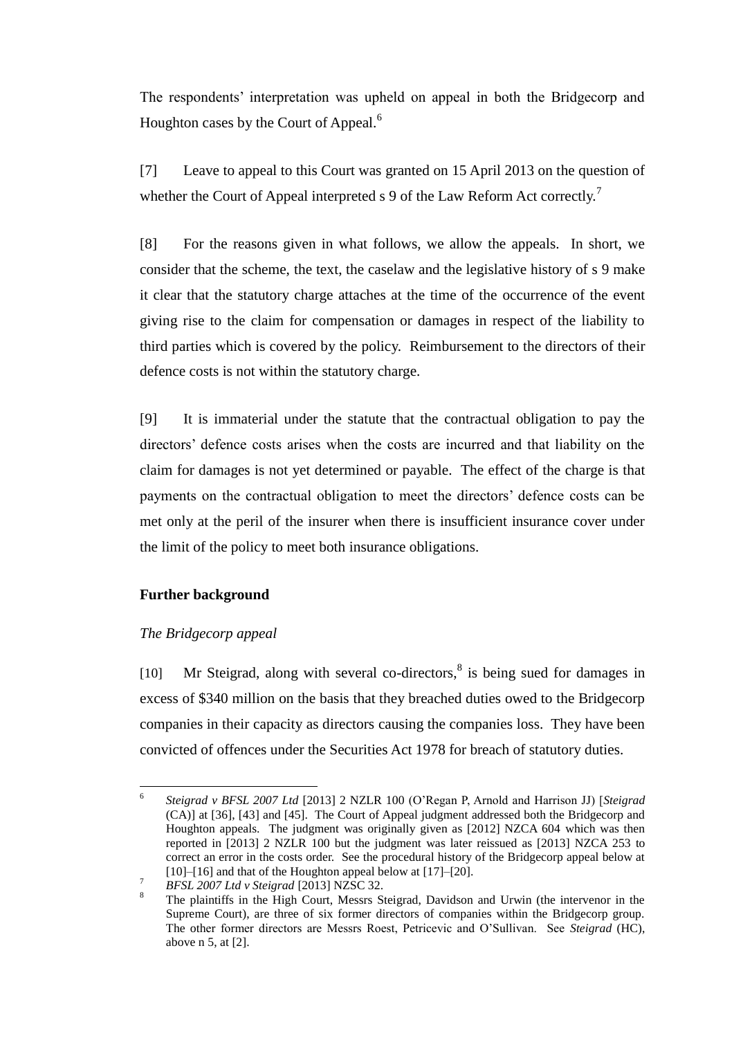<span id="page-4-2"></span>The respondents' interpretation was upheld on appeal in both the Bridgecorp and Houghton cases by the Court of Appeal.<sup>6</sup>

[7] Leave to appeal to this Court was granted on 15 April 2013 on the question of whether the Court of Appeal interpreted s 9 of the Law Reform Act correctly.<sup>7</sup>

[8] For the reasons given in what follows, we allow the appeals. In short, we consider that the scheme, the text, the caselaw and the legislative history of s 9 make it clear that the statutory charge attaches at the time of the occurrence of the event giving rise to the claim for compensation or damages in respect of the liability to third parties which is covered by the policy. Reimbursement to the directors of their defence costs is not within the statutory charge.

[9] It is immaterial under the statute that the contractual obligation to pay the directors' defence costs arises when the costs are incurred and that liability on the claim for damages is not yet determined or payable. The effect of the charge is that payments on the contractual obligation to meet the directors' defence costs can be met only at the peril of the insurer when there is insufficient insurance cover under the limit of the policy to meet both insurance obligations.

# **Further background**

## *The Bridgecorp appeal*

<span id="page-4-1"></span><span id="page-4-0"></span>[10] Mr Steigrad, along with several co-directors, $8$  is being sued for damages in excess of \$340 million on the basis that they breached duties owed to the Bridgecorp companies in their capacity as directors causing the companies loss. They have been convicted of offences under the Securities Act 1978 for breach of statutory duties.

 $\overline{a}$ 6 *Steigrad v BFSL 2007 Ltd* [2013] 2 NZLR 100 (O'Regan P, Arnold and Harrison JJ) [*Steigrad*  (CA)] at [36], [43] and [45]. The Court of Appeal judgment addressed both the Bridgecorp and Houghton appeals. The judgment was originally given as [2012] NZCA 604 which was then reported in [2013] 2 NZLR 100 but the judgment was later reissued as [2013] NZCA 253 to correct an error in the costs order. See the procedural history of the Bridgecorp appeal below at [\[10\]–](#page-4-0)[\[16\]](#page-6-0) and that of the Houghton appeal below at [\[17\]](#page-7-0)[–\[20\].](#page-8-1)

<sup>7</sup> *BFSL 2007 Ltd v Steigrad* [2013] NZSC 32.

The plaintiffs in the High Court, Messrs Steigrad, Davidson and Urwin (the intervenor in the Supreme Court), are three of six former directors of companies within the Bridgecorp group. The other former directors are Messrs Roest, Petricevic and O'Sullivan. See *Steigrad* (HC), above [n 5,](#page-3-0) at [2].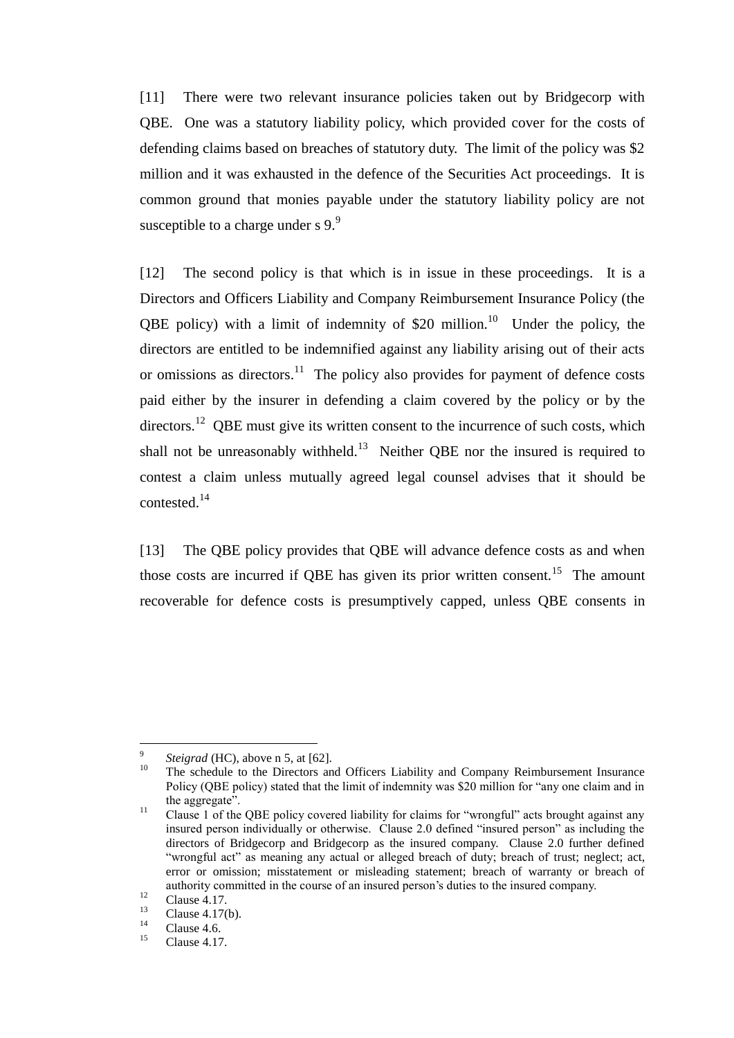[11] There were two relevant insurance policies taken out by Bridgecorp with QBE. One was a statutory liability policy, which provided cover for the costs of defending claims based on breaches of statutory duty. The limit of the policy was \$2 million and it was exhausted in the defence of the Securities Act proceedings. It is common ground that monies payable under the statutory liability policy are not susceptible to a charge under s  $9.9$ 

[12] The second policy is that which is in issue in these proceedings. It is a Directors and Officers Liability and Company Reimbursement Insurance Policy (the QBE policy) with a limit of indemnity of \$20 million.<sup>10</sup> Under the policy, the directors are entitled to be indemnified against any liability arising out of their acts or omissions as directors.<sup>11</sup> The policy also provides for payment of defence costs paid either by the insurer in defending a claim covered by the policy or by the directors.<sup>12</sup> QBE must give its written consent to the incurrence of such costs, which shall not be unreasonably withheld.<sup>13</sup> Neither QBE nor the insured is required to contest a claim unless mutually agreed legal counsel advises that it should be contested.<sup>14</sup>

[13] The QBE policy provides that QBE will advance defence costs as and when those costs are incurred if QBE has given its prior written consent.<sup>15</sup> The amount recoverable for defence costs is presumptively capped, unless QBE consents in

 $\overline{a}$ 9 *Steigrad* (HC), above [n 5,](#page-3-0) at [62].

<sup>&</sup>lt;sup>10</sup> The schedule to the Directors and Officers Liability and Company Reimbursement Insurance Policy (QBE policy) stated that the limit of indemnity was \$20 million for "any one claim and in the aggregate".

<sup>&</sup>lt;sup>11</sup> Clause 1 of the QBE policy covered liability for claims for "wrongful" acts brought against any insured person individually or otherwise. Clause 2.0 defined "insured person" as including the directors of Bridgecorp and Bridgecorp as the insured company. Clause 2.0 further defined "wrongful act" as meaning any actual or alleged breach of duty; breach of trust; neglect; act, error or omission; misstatement or misleading statement; breach of warranty or breach of authority committed in the course of an insured person's duties to the insured company.

 $\frac{12}{13}$  Clause 4.17.

 $\frac{13}{14}$  Clause 4.17(b).

 $\frac{14}{15}$  Clause 4.6.

Clause 4.17.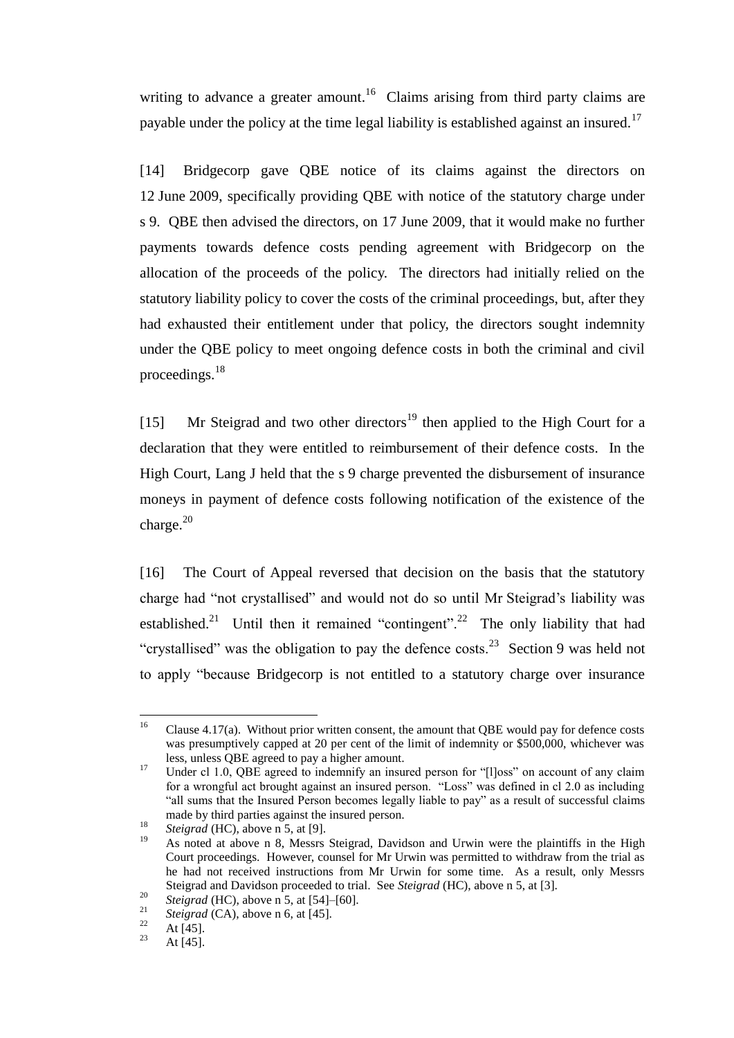writing to advance a greater amount.<sup>16</sup> Claims arising from third party claims are payable under the policy at the time legal liability is established against an insured.<sup>17</sup>

<span id="page-6-1"></span>[14] Bridgecorp gave QBE notice of its claims against the directors on 12 June 2009, specifically providing QBE with notice of the statutory charge under s 9. QBE then advised the directors, on 17 June 2009, that it would make no further payments towards defence costs pending agreement with Bridgecorp on the allocation of the proceeds of the policy. The directors had initially relied on the statutory liability policy to cover the costs of the criminal proceedings, but, after they had exhausted their entitlement under that policy, the directors sought indemnity under the QBE policy to meet ongoing defence costs in both the criminal and civil proceedings.<sup>18</sup>

[15] Mr Steigrad and two other directors<sup>19</sup> then applied to the High Court for a declaration that they were entitled to reimbursement of their defence costs. In the High Court, Lang J held that the s 9 charge prevented the disbursement of insurance moneys in payment of defence costs following notification of the existence of the charge.<sup>20</sup>

<span id="page-6-0"></span>[16] The Court of Appeal reversed that decision on the basis that the statutory charge had "not crystallised" and would not do so until Mr Steigrad's liability was established.<sup>21</sup> Until then it remained "contingent".<sup>22</sup> The only liability that had "crystallised" was the obligation to pay the defence costs.<sup>23</sup> Section 9 was held not to apply "because Bridgecorp is not entitled to a statutory charge over insurance

 $16\,$ Clause 4.17(a). Without prior written consent, the amount that QBE would pay for defence costs was presumptively capped at 20 per cent of the limit of indemnity or \$500,000, whichever was less, unless QBE agreed to pay a higher amount.

<sup>&</sup>lt;sup>17</sup> Under cl 1.0, QBE agreed to indemnify an insured person for "[l]oss" on account of any claim for a wrongful act brought against an insured person. "Loss" was defined in cl 2.0 as including "all sums that the Insured Person becomes legally liable to pay" as a result of successful claims made by third parties against the insured person.

<sup>&</sup>lt;sup>18</sup> *Steigrad* (HC), above [n 5,](#page-3-0) at [9].

As noted at above n [8,](#page-4-1) Messrs Steigrad, Davidson and Urwin were the plaintiffs in the High Court proceedings. However, counsel for Mr Urwin was permitted to withdraw from the trial as he had not received instructions from Mr Urwin for some time. As a result, only Messrs Steigrad and Davidson proceeded to trial. See *Steigrad* (HC), above [n 5,](#page-3-0) at [3].

<sup>&</sup>lt;sup>20</sup> *Steigrad* (HC), above [n 5,](#page-3-0) at [54]–[60].<br><sup>21</sup> *Steigrad* (CA), above n 5, at [54]–[60].

<sup>&</sup>lt;sup>21</sup> *Steigrad* (CA), above n [6,](#page-4-2) at [45].

 $\frac{22}{23}$  At [45].

At [45].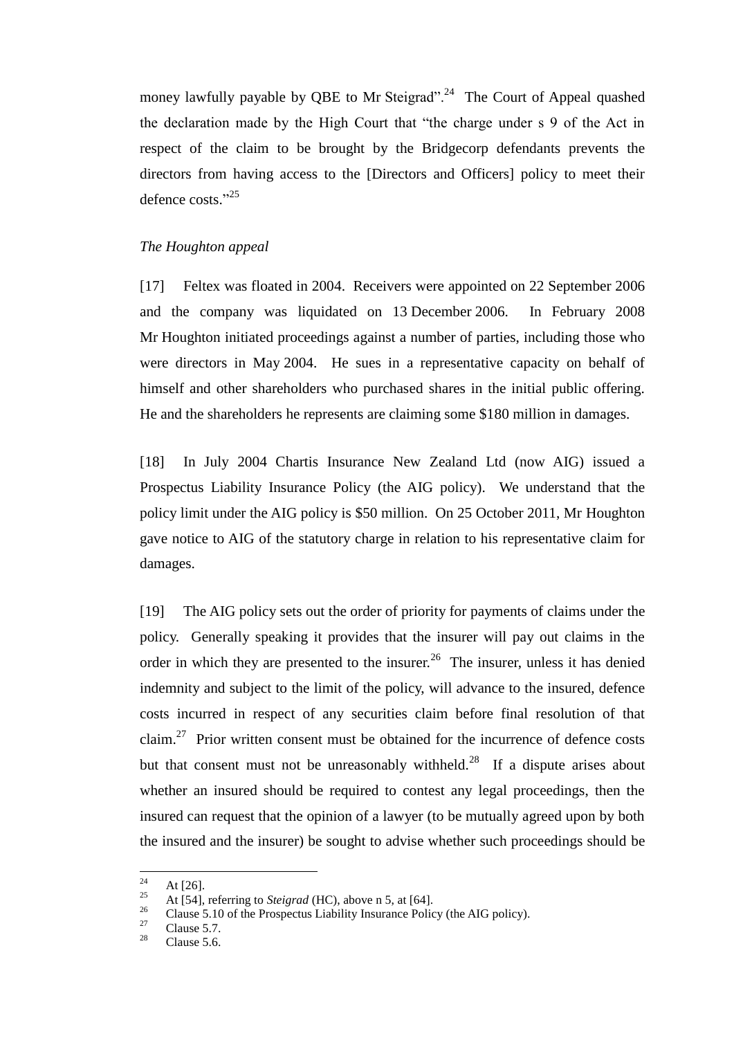money lawfully payable by QBE to Mr Steigrad".<sup>24</sup> The Court of Appeal quashed the declaration made by the High Court that "the charge under s 9 of the Act in respect of the claim to be brought by the Bridgecorp defendants prevents the directors from having access to the [Directors and Officers] policy to meet their defence costs." 25

## *The Houghton appeal*

<span id="page-7-0"></span>[17] Feltex was floated in 2004. Receivers were appointed on 22 September 2006 and the company was liquidated on 13 December 2006. In February 2008 Mr Houghton initiated proceedings against a number of parties, including those who were directors in May 2004. He sues in a representative capacity on behalf of himself and other shareholders who purchased shares in the initial public offering. He and the shareholders he represents are claiming some \$180 million in damages.

[18] In July 2004 Chartis Insurance New Zealand Ltd (now AIG) issued a Prospectus Liability Insurance Policy (the AIG policy). We understand that the policy limit under the AIG policy is \$50 million. On 25 October 2011, Mr Houghton gave notice to AIG of the statutory charge in relation to his representative claim for damages.

[19] The AIG policy sets out the order of priority for payments of claims under the policy. Generally speaking it provides that the insurer will pay out claims in the order in which they are presented to the insurer.<sup>26</sup> The insurer, unless it has denied indemnity and subject to the limit of the policy, will advance to the insured, defence costs incurred in respect of any securities claim before final resolution of that claim.<sup>27</sup> Prior written consent must be obtained for the incurrence of defence costs but that consent must not be unreasonably withheld.<sup>28</sup> If a dispute arises about whether an insured should be required to contest any legal proceedings, then the insured can request that the opinion of a lawyer (to be mutually agreed upon by both the insured and the insurer) be sought to advise whether such proceedings should be

<sup>24</sup>  $\frac{24}{25}$  At [26].

<sup>&</sup>lt;sup>25</sup> At [54], referring to *Steigrad* (HC), above n [5,](#page-3-0) at [64].

<sup>&</sup>lt;sup>26</sup> Clause 5.10 of the Prospectus Liability Insurance Policy (the AIG policy).

 $\frac{27}{28}$  Clause 5.7.

Clause 5.6.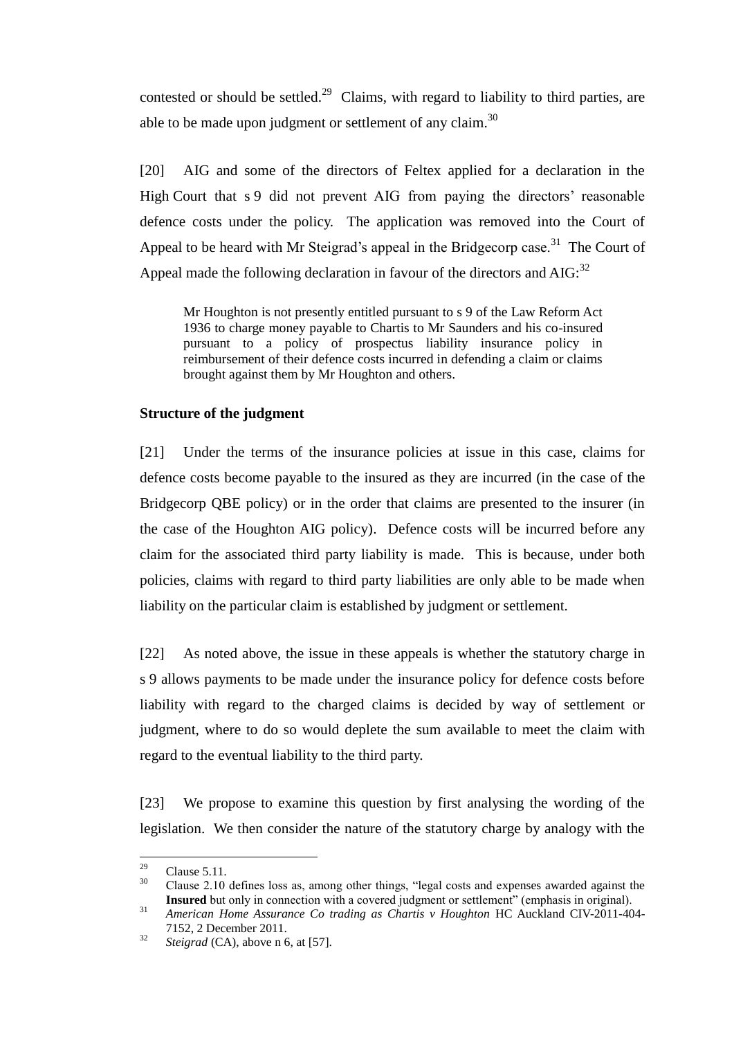contested or should be settled.<sup>29</sup> Claims, with regard to liability to third parties, are able to be made upon judgment or settlement of any claim.<sup>30</sup>

<span id="page-8-1"></span>[20] AIG and some of the directors of Feltex applied for a declaration in the High Court that s 9 did not prevent AIG from paying the directors' reasonable defence costs under the policy. The application was removed into the Court of Appeal to be heard with Mr Steigrad's appeal in the Bridgecorp case.<sup>31</sup> The Court of Appeal made the following declaration in favour of the directors and  $AIG:$ <sup>32</sup>

Mr Houghton is not presently entitled pursuant to s 9 of the Law Reform Act 1936 to charge money payable to Chartis to Mr Saunders and his co-insured pursuant to a policy of prospectus liability insurance policy in reimbursement of their defence costs incurred in defending a claim or claims brought against them by Mr Houghton and others.

## **Structure of the judgment**

<span id="page-8-0"></span>[21] Under the terms of the insurance policies at issue in this case, claims for defence costs become payable to the insured as they are incurred (in the case of the Bridgecorp QBE policy) or in the order that claims are presented to the insurer (in the case of the Houghton AIG policy). Defence costs will be incurred before any claim for the associated third party liability is made. This is because, under both policies, claims with regard to third party liabilities are only able to be made when liability on the particular claim is established by judgment or settlement.

[22] As noted above, the issue in these appeals is whether the statutory charge in s 9 allows payments to be made under the insurance policy for defence costs before liability with regard to the charged claims is decided by way of settlement or judgment, where to do so would deplete the sum available to meet the claim with regard to the eventual liability to the third party.

[23] We propose to examine this question by first analysing the wording of the legislation. We then consider the nature of the statutory charge by analogy with the

<sup>29</sup>  $^{29}$  Clause 5.11.

<sup>30</sup> Clause 2.10 defines loss as, among other things, "legal costs and expenses awarded against the **Insured** but only in connection with a covered judgment or settlement" (emphasis in original).

<sup>&</sup>lt;sup>31</sup> American Home Assurance Co trading as Chartis v Houghton HC Auckland CIV-2011-404-7152, 2 December 2011.

<sup>32</sup> *Steigrad* (CA), above n [6,](#page-4-2) at [57].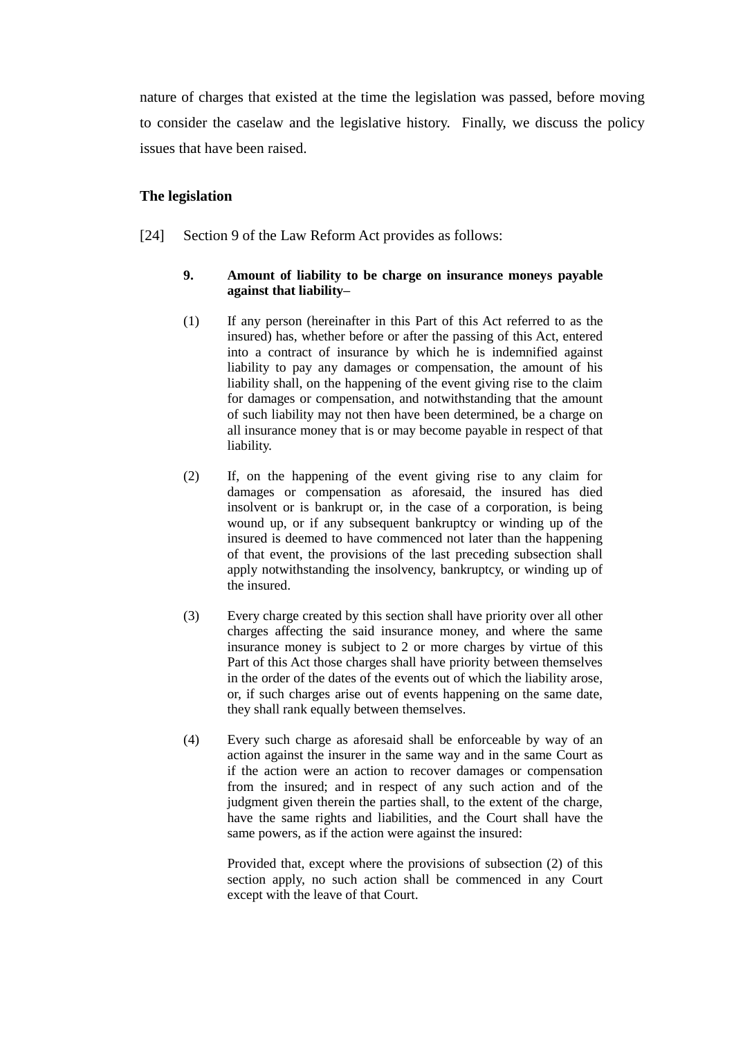nature of charges that existed at the time the legislation was passed, before moving to consider the caselaw and the legislative history. Finally, we discuss the policy issues that have been raised.

### **The legislation**

<span id="page-9-0"></span>[24] Section 9 of the Law Reform Act provides as follows:

### **9. Amount of liability to be charge on insurance moneys payable against that liability–**

- (1) If any person (hereinafter in this Part of this Act referred to as the insured) has, whether before or after the passing of this Act, entered into a contract of insurance by which he is indemnified against liability to pay any damages or compensation, the amount of his liability shall, on the happening of the event giving rise to the claim for damages or compensation, and notwithstanding that the amount of such liability may not then have been determined, be a charge on all insurance money that is or may become payable in respect of that liability.
- (2) If, on the happening of the event giving rise to any claim for damages or compensation as aforesaid, the insured has died insolvent or is bankrupt or, in the case of a corporation, is being wound up, or if any subsequent bankruptcy or winding up of the insured is deemed to have commenced not later than the happening of that event, the provisions of the last preceding subsection shall apply notwithstanding the insolvency, bankruptcy, or winding up of the insured.
- (3) Every charge created by this section shall have priority over all other charges affecting the said insurance money, and where the same insurance money is subject to 2 or more charges by virtue of this Part of this Act those charges shall have priority between themselves in the order of the dates of the events out of which the liability arose, or, if such charges arise out of events happening on the same date, they shall rank equally between themselves.
- (4) Every such charge as aforesaid shall be enforceable by way of an action against the insurer in the same way and in the same Court as if the action were an action to recover damages or compensation from the insured; and in respect of any such action and of the judgment given therein the parties shall, to the extent of the charge, have the same rights and liabilities, and the Court shall have the same powers, as if the action were against the insured:

Provided that, except where the provisions of subsection (2) of this section apply, no such action shall be commenced in any Court except with the leave of that Court.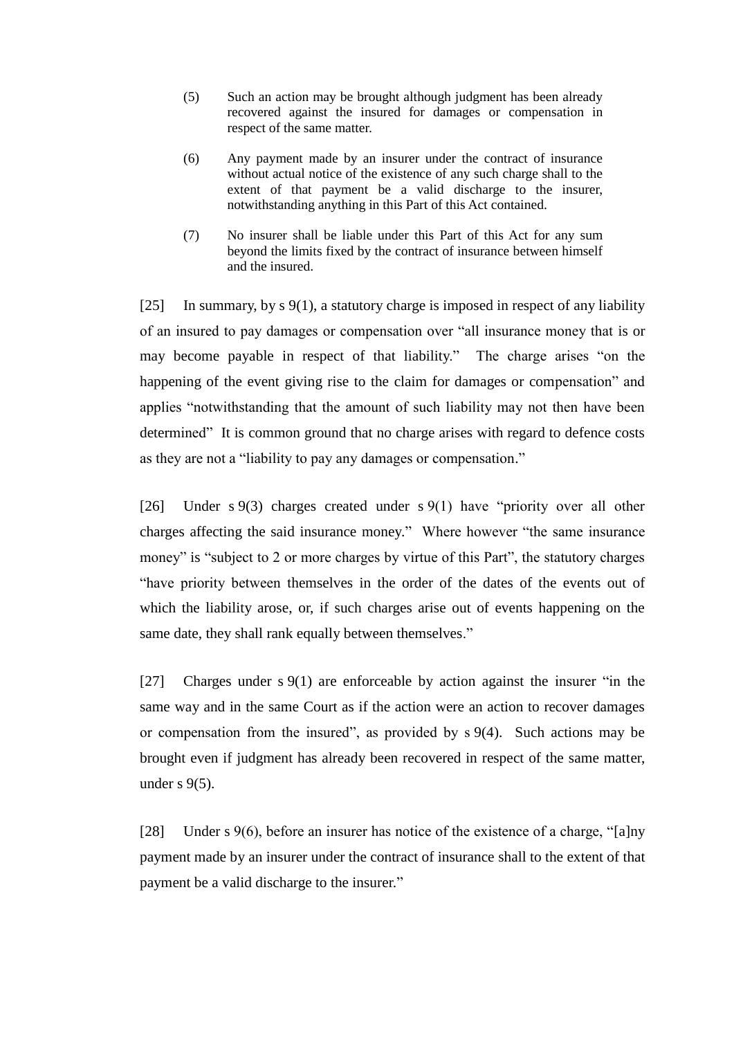- (5) Such an action may be brought although judgment has been already recovered against the insured for damages or compensation in respect of the same matter.
- (6) Any payment made by an insurer under the contract of insurance without actual notice of the existence of any such charge shall to the extent of that payment be a valid discharge to the insurer, notwithstanding anything in this Part of this Act contained.
- (7) No insurer shall be liable under this Part of this Act for any sum beyond the limits fixed by the contract of insurance between himself and the insured.

<span id="page-10-0"></span>[25] In summary, by s 9(1), a statutory charge is imposed in respect of any liability of an insured to pay damages or compensation over "all insurance money that is or may become payable in respect of that liability." The charge arises "on the happening of the event giving rise to the claim for damages or compensation" and applies "notwithstanding that the amount of such liability may not then have been determined" It is common ground that no charge arises with regard to defence costs as they are not a "liability to pay any damages or compensation."

[26] Under s 9(3) charges created under s 9(1) have "priority over all other charges affecting the said insurance money." Where however "the same insurance money" is "subject to 2 or more charges by virtue of this Part", the statutory charges "have priority between themselves in the order of the dates of the events out of which the liability arose, or, if such charges arise out of events happening on the same date, they shall rank equally between themselves."

[27] Charges under s 9(1) are enforceable by action against the insurer "in the same way and in the same Court as if the action were an action to recover damages or compensation from the insured", as provided by s 9(4). Such actions may be brought even if judgment has already been recovered in respect of the same matter, under  $s$  9(5).

[28] Under s 9(6), before an insurer has notice of the existence of a charge, "[a]ny payment made by an insurer under the contract of insurance shall to the extent of that payment be a valid discharge to the insurer."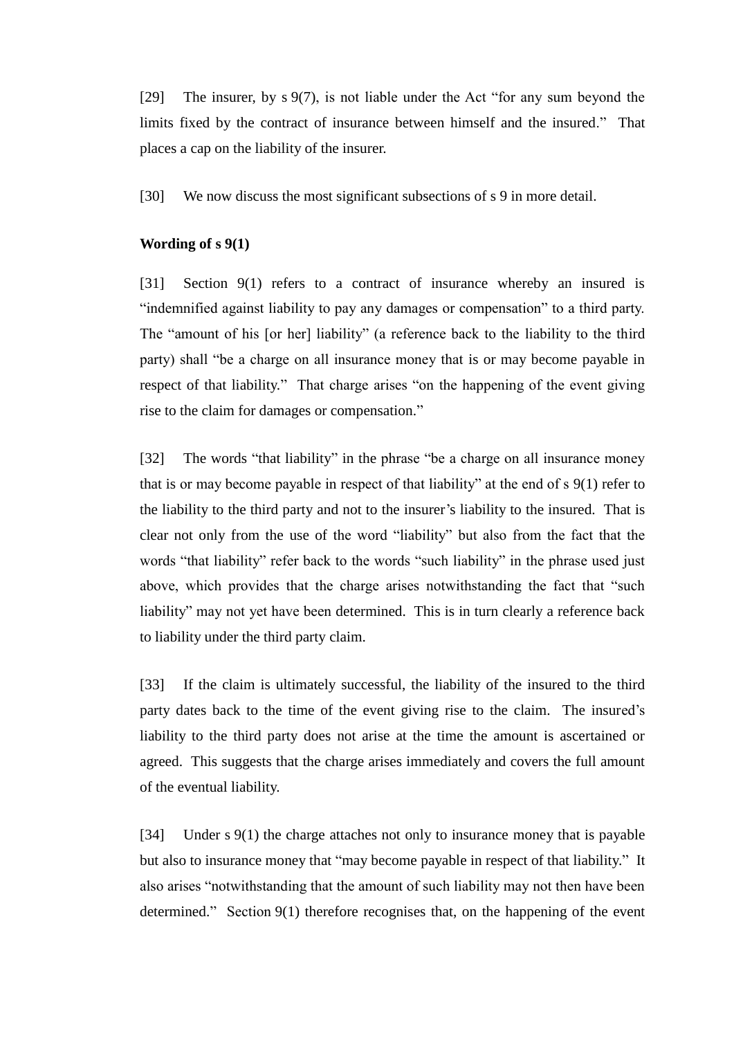[29] The insurer, by s 9(7), is not liable under the Act "for any sum beyond the limits fixed by the contract of insurance between himself and the insured." That places a cap on the liability of the insurer.

[30] We now discuss the most significant subsections of s 9 in more detail.

## **Wording of s 9(1)**

<span id="page-11-0"></span>[31] Section 9(1) refers to a contract of insurance whereby an insured is "indemnified against liability to pay any damages or compensation" to a third party. The "amount of his [or her] liability" (a reference back to the liability to the third party) shall "be a charge on all insurance money that is or may become payable in respect of that liability." That charge arises "on the happening of the event giving rise to the claim for damages or compensation."

[32] The words "that liability" in the phrase "be a charge on all insurance money that is or may become payable in respect of that liability" at the end of s 9(1) refer to the liability to the third party and not to the insurer's liability to the insured. That is clear not only from the use of the word "liability" but also from the fact that the words "that liability" refer back to the words "such liability" in the phrase used just above, which provides that the charge arises notwithstanding the fact that "such liability" may not yet have been determined. This is in turn clearly a reference back to liability under the third party claim.

[33] If the claim is ultimately successful, the liability of the insured to the third party dates back to the time of the event giving rise to the claim. The insured's liability to the third party does not arise at the time the amount is ascertained or agreed. This suggests that the charge arises immediately and covers the full amount of the eventual liability.

[34] Under s 9(1) the charge attaches not only to insurance money that is payable but also to insurance money that "may become payable in respect of that liability." It also arises "notwithstanding that the amount of such liability may not then have been determined." Section 9(1) therefore recognises that, on the happening of the event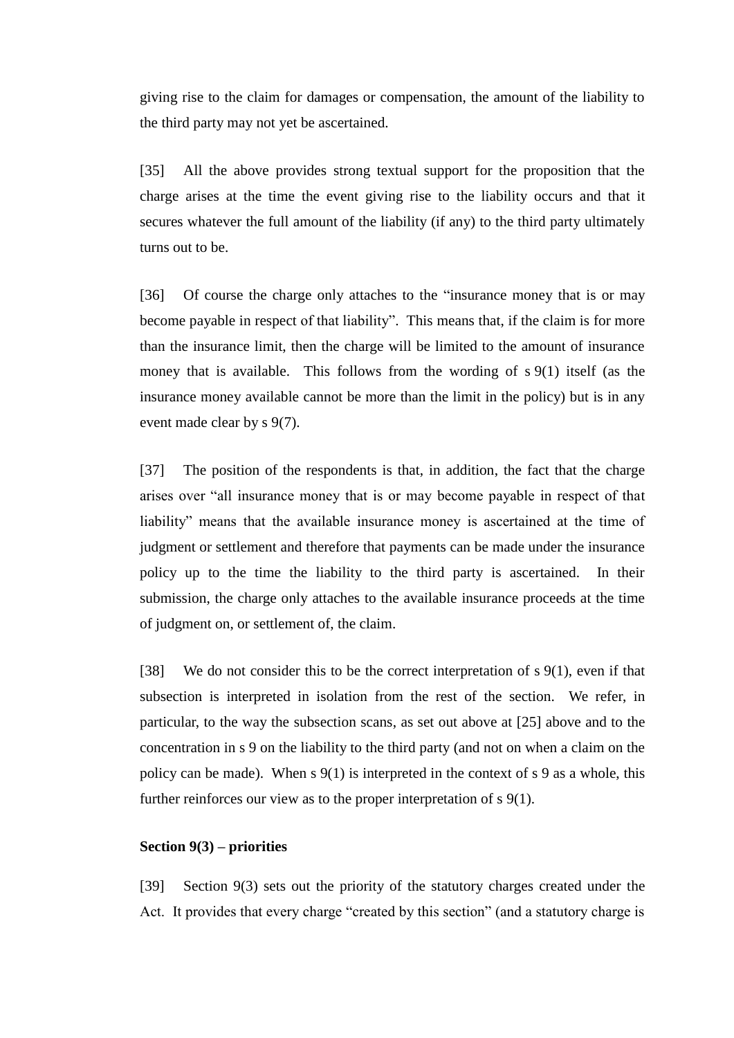giving rise to the claim for damages or compensation, the amount of the liability to the third party may not yet be ascertained.

[35] All the above provides strong textual support for the proposition that the charge arises at the time the event giving rise to the liability occurs and that it secures whatever the full amount of the liability (if any) to the third party ultimately turns out to be.

[36] Of course the charge only attaches to the "insurance money that is or may become payable in respect of that liability". This means that, if the claim is for more than the insurance limit, then the charge will be limited to the amount of insurance money that is available. This follows from the wording of s 9(1) itself (as the insurance money available cannot be more than the limit in the policy) but is in any event made clear by s 9(7).

[37] The position of the respondents is that, in addition, the fact that the charge arises over "all insurance money that is or may become payable in respect of that liability" means that the available insurance money is ascertained at the time of judgment or settlement and therefore that payments can be made under the insurance policy up to the time the liability to the third party is ascertained. In their submission, the charge only attaches to the available insurance proceeds at the time of judgment on, or settlement of, the claim.

[38] We do not consider this to be the correct interpretation of s 9(1), even if that subsection is interpreted in isolation from the rest of the section. We refer, in particular, to the way the subsection scans, as set out above at [\[25\]](#page-10-0) above and to the concentration in s 9 on the liability to the third party (and not on when a claim on the policy can be made). When  $s \, 9(1)$  is interpreted in the context of  $s \, 9$  as a whole, this further reinforces our view as to the proper interpretation of s 9(1).

# **Section 9(3) – priorities**

<span id="page-12-0"></span>[39] Section 9(3) sets out the priority of the statutory charges created under the Act. It provides that every charge "created by this section" (and a statutory charge is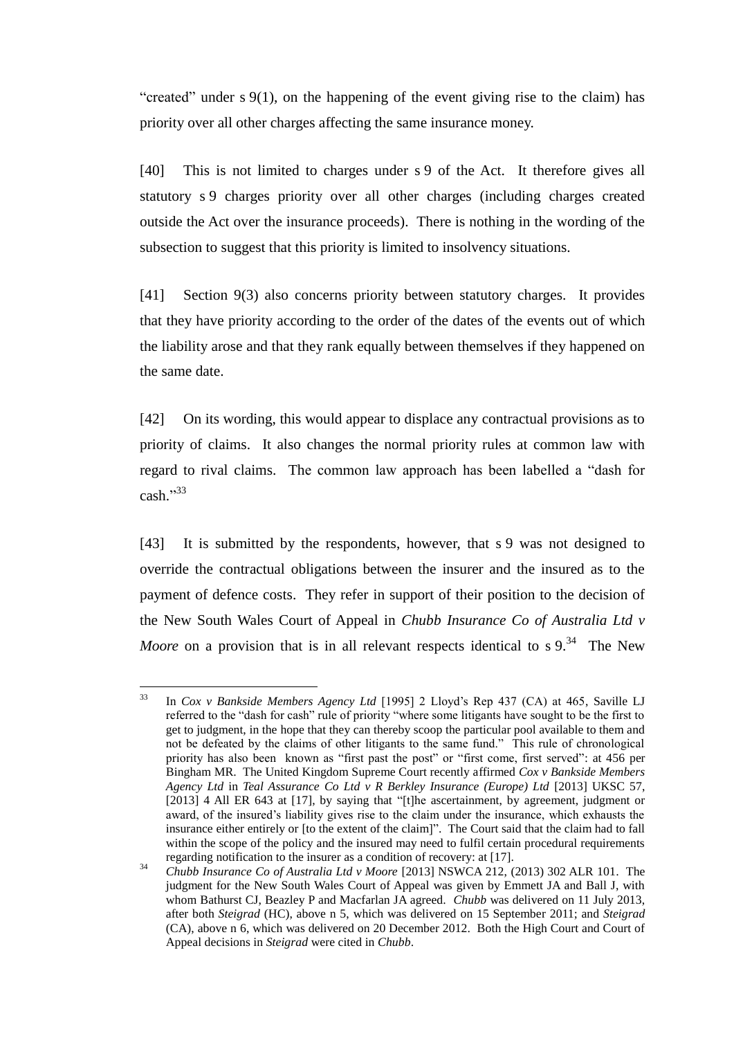"created" under s 9(1), on the happening of the event giving rise to the claim) has priority over all other charges affecting the same insurance money.

<span id="page-13-0"></span>[40] This is not limited to charges under s 9 of the Act. It therefore gives all statutory s 9 charges priority over all other charges (including charges created outside the Act over the insurance proceeds). There is nothing in the wording of the subsection to suggest that this priority is limited to insolvency situations.

[41] Section 9(3) also concerns priority between statutory charges. It provides that they have priority according to the order of the dates of the events out of which the liability arose and that they rank equally between themselves if they happened on the same date.

[42] On its wording, this would appear to displace any contractual provisions as to priority of claims. It also changes the normal priority rules at common law with regard to rival claims. The common law approach has been labelled a "dash for cash." 33

<span id="page-13-2"></span>[43] It is submitted by the respondents, however, that s 9 was not designed to override the contractual obligations between the insurer and the insured as to the payment of defence costs. They refer in support of their position to the decision of the New South Wales Court of Appeal in *Chubb Insurance Co of Australia Ltd v Moore* on a provision that is in all relevant respects identical to s 9.<sup>34</sup> The New

<span id="page-13-1"></span> $33$ <sup>33</sup> In *Cox v Bankside Members Agency Ltd* [1995] 2 Lloyd's Rep 437 (CA) at 465, Saville LJ referred to the "dash for cash" rule of priority "where some litigants have sought to be the first to get to judgment, in the hope that they can thereby scoop the particular pool available to them and not be defeated by the claims of other litigants to the same fund." This rule of chronological priority has also been known as "first past the post" or "first come, first served": at 456 per Bingham MR. The United Kingdom Supreme Court recently affirmed *Cox v Bankside Members Agency Ltd* in *Teal Assurance Co Ltd v R Berkley Insurance (Europe) Ltd* [2013] UKSC 57, [2013] 4 All ER 643 at [17], by saying that "[t]he ascertainment, by agreement, judgment or award, of the insured's liability gives rise to the claim under the insurance, which exhausts the insurance either entirely or [to the extent of the claim]". The Court said that the claim had to fall within the scope of the policy and the insured may need to fulfil certain procedural requirements regarding notification to the insurer as a condition of recovery: at [17].

<sup>&</sup>lt;sup>34</sup> *Chubb Insurance Co of Australia Ltd v Moore* [2013] NSWCA 212, (2013) 302 ALR 101. The judgment for the New South Wales Court of Appeal was given by Emmett JA and Ball J, with whom Bathurst CJ, Beazley P and Macfarlan JA agreed. *Chubb* was delivered on 11 July 2013, after both *Steigrad* (HC), above n [5,](#page-3-0) which was delivered on 15 September 2011; and *Steigrad*  (CA), above n [6,](#page-4-2) which was delivered on 20 December 2012. Both the High Court and Court of Appeal decisions in *Steigrad* were cited in *Chubb*.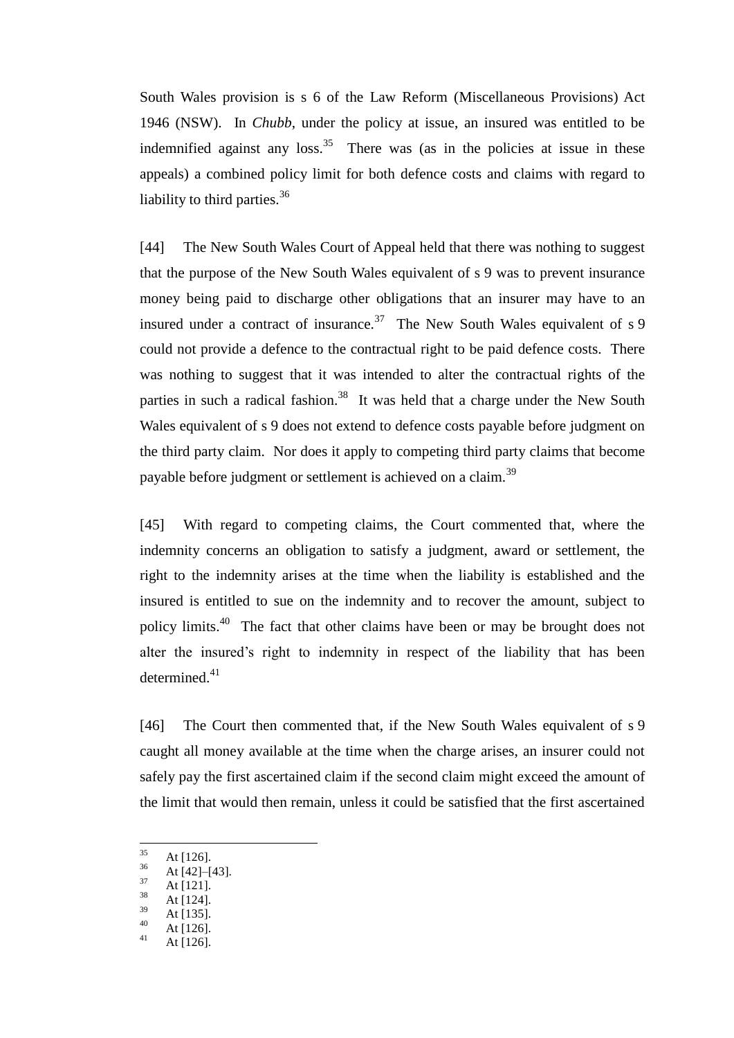South Wales provision is s 6 of the Law Reform (Miscellaneous Provisions) Act 1946 (NSW). In *Chubb*, under the policy at issue, an insured was entitled to be indemnified against any loss.<sup>35</sup> There was (as in the policies at issue in these appeals) a combined policy limit for both defence costs and claims with regard to liability to third parties.<sup>36</sup>

[44] The New South Wales Court of Appeal held that there was nothing to suggest that the purpose of the New South Wales equivalent of s 9 was to prevent insurance money being paid to discharge other obligations that an insurer may have to an insured under a contract of insurance.<sup>37</sup> The New South Wales equivalent of  $s$  9 could not provide a defence to the contractual right to be paid defence costs. There was nothing to suggest that it was intended to alter the contractual rights of the parties in such a radical fashion.<sup>38</sup> It was held that a charge under the New South Wales equivalent of s 9 does not extend to defence costs payable before judgment on the third party claim. Nor does it apply to competing third party claims that become payable before judgment or settlement is achieved on a claim.<sup>39</sup>

<span id="page-14-1"></span>[45] With regard to competing claims, the Court commented that, where the indemnity concerns an obligation to satisfy a judgment, award or settlement, the right to the indemnity arises at the time when the liability is established and the insured is entitled to sue on the indemnity and to recover the amount, subject to policy limits.<sup>40</sup> The fact that other claims have been or may be brought does not alter the insured's right to indemnity in respect of the liability that has been determined. $41$ 

<span id="page-14-0"></span>[46] The Court then commented that, if the New South Wales equivalent of s 9 caught all money available at the time when the charge arises, an insurer could not safely pay the first ascertained claim if the second claim might exceed the amount of the limit that would then remain, unless it could be satisfied that the first ascertained

<sup>35</sup>  $\frac{35}{36}$  At [126].

 $\frac{36}{37}$  At [42]–[43].

 $\frac{37}{38}$  At [121].

 $\frac{38}{39}$  At [124].

 $\frac{39}{40}$  At [135].

 $40$  At [126].

At [126].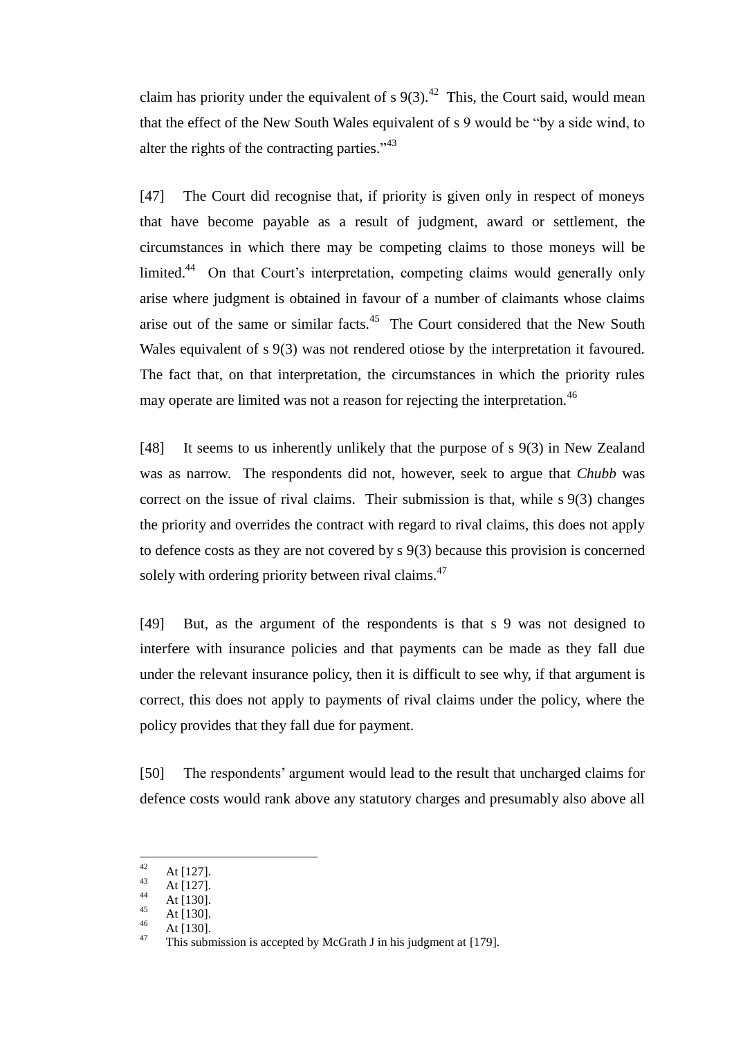claim has priority under the equivalent of s  $9(3)$ .<sup>42</sup> This, the Court said, would mean that the effect of the New South Wales equivalent of s 9 would be "by a side wind, to alter the rights of the contracting parties." $43$ 

[47] The Court did recognise that, if priority is given only in respect of moneys that have become payable as a result of judgment, award or settlement, the circumstances in which there may be competing claims to those moneys will be limited.<sup>44</sup> On that Court's interpretation, competing claims would generally only arise where judgment is obtained in favour of a number of claimants whose claims arise out of the same or similar facts.<sup>45</sup> The Court considered that the New South Wales equivalent of s 9(3) was not rendered otiose by the interpretation it favoured. The fact that, on that interpretation, the circumstances in which the priority rules may operate are limited was not a reason for rejecting the interpretation.<sup>46</sup>

<span id="page-15-0"></span>[48] It seems to us inherently unlikely that the purpose of s 9(3) in New Zealand was as narrow. The respondents did not, however, seek to argue that *Chubb* was correct on the issue of rival claims. Their submission is that, while s 9(3) changes the priority and overrides the contract with regard to rival claims, this does not apply to defence costs as they are not covered by s 9(3) because this provision is concerned solely with ordering priority between rival claims.<sup>47</sup>

[49] But, as the argument of the respondents is that s 9 was not designed to interfere with insurance policies and that payments can be made as they fall due under the relevant insurance policy, then it is difficult to see why, if that argument is correct, this does not apply to payments of rival claims under the policy, where the policy provides that they fall due for payment.

<span id="page-15-1"></span>[50] The respondents' argument would lead to the result that uncharged claims for defence costs would rank above any statutory charges and presumably also above all

 $42$  $42$  At [127].

 $43$  At [127].

 $44$  At [130].

 $45$  At [130].

 $\frac{46}{47}$  At [130].

This submission is accepted by McGrath J in his judgment at [\[179\].](#page-58-0)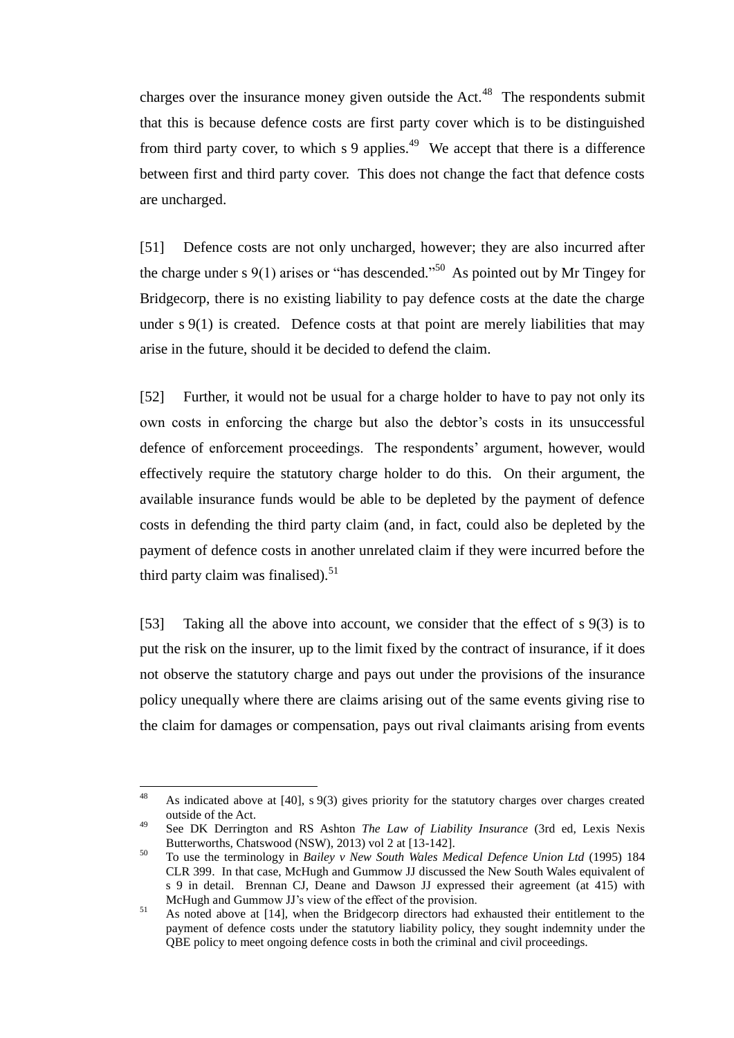<span id="page-16-0"></span>charges over the insurance money given outside the Act.<sup>48</sup> The respondents submit that this is because defence costs are first party cover which is to be distinguished from third party cover, to which  $s$  9 applies.<sup>49</sup> We accept that there is a difference between first and third party cover. This does not change the fact that defence costs are uncharged.

<span id="page-16-1"></span>[51] Defence costs are not only uncharged, however; they are also incurred after the charge under s  $9(1)$  arises or "has descended."<sup>50</sup> As pointed out by Mr Tingey for Bridgecorp, there is no existing liability to pay defence costs at the date the charge under s 9(1) is created. Defence costs at that point are merely liabilities that may arise in the future, should it be decided to defend the claim.

[52] Further, it would not be usual for a charge holder to have to pay not only its own costs in enforcing the charge but also the debtor's costs in its unsuccessful defence of enforcement proceedings. The respondents' argument, however, would effectively require the statutory charge holder to do this. On their argument, the available insurance funds would be able to be depleted by the payment of defence costs in defending the third party claim (and, in fact, could also be depleted by the payment of defence costs in another unrelated claim if they were incurred before the third party claim was finalised).<sup>51</sup>

[53] Taking all the above into account, we consider that the effect of s 9(3) is to put the risk on the insurer, up to the limit fixed by the contract of insurance, if it does not observe the statutory charge and pays out under the provisions of the insurance policy unequally where there are claims arising out of the same events giving rise to the claim for damages or compensation, pays out rival claimants arising from events

 $\overline{a}$ 

<sup>48</sup> As indicated above at [\[40\],](#page-13-0) s 9(3) gives priority for the statutory charges over charges created outside of the Act.

<sup>49</sup> See DK Derrington and RS Ashton *The Law of Liability Insurance* (3rd ed, Lexis Nexis Butterworths, Chatswood (NSW), 2013) vol 2 at [13-142].

<sup>50</sup> To use the terminology in *Bailey v New South Wales Medical Defence Union Ltd* (1995) 184 CLR 399. In that case, McHugh and Gummow JJ discussed the New South Wales equivalent of s 9 in detail. Brennan CJ, Deane and Dawson JJ expressed their agreement (at 415) with McHugh and Gummow JJ's view of the effect of the provision.

<sup>&</sup>lt;sup>51</sup> As noted above at [\[14\],](#page-6-1) when the Bridgecorp directors had exhausted their entitlement to the payment of defence costs under the statutory liability policy, they sought indemnity under the QBE policy to meet ongoing defence costs in both the criminal and civil proceedings.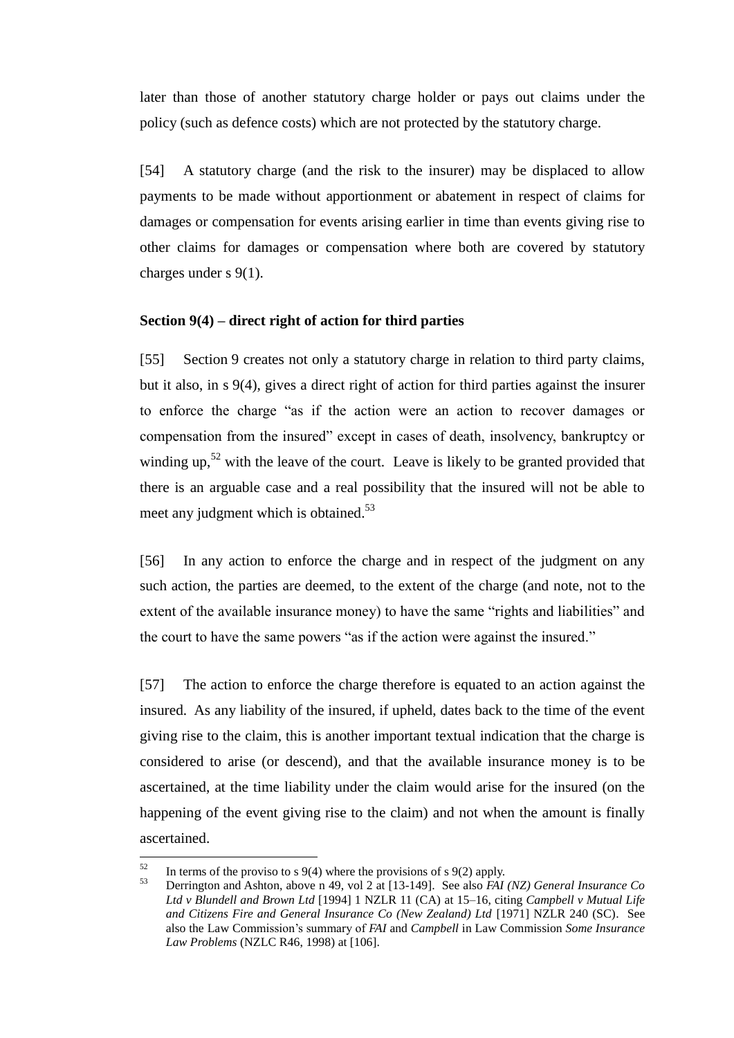later than those of another statutory charge holder or pays out claims under the policy (such as defence costs) which are not protected by the statutory charge.

[54] A statutory charge (and the risk to the insurer) may be displaced to allow payments to be made without apportionment or abatement in respect of claims for damages or compensation for events arising earlier in time than events giving rise to other claims for damages or compensation where both are covered by statutory charges under s 9(1).

## **Section 9(4) – direct right of action for third parties**

<span id="page-17-0"></span>[55] Section 9 creates not only a statutory charge in relation to third party claims, but it also, in s 9(4), gives a direct right of action for third parties against the insurer to enforce the charge "as if the action were an action to recover damages or compensation from the insured" except in cases of death, insolvency, bankruptcy or winding up,<sup>52</sup> with the leave of the court. Leave is likely to be granted provided that there is an arguable case and a real possibility that the insured will not be able to meet any judgment which is obtained.<sup>53</sup>

<span id="page-17-1"></span>[56] In any action to enforce the charge and in respect of the judgment on any such action, the parties are deemed, to the extent of the charge (and note, not to the extent of the available insurance money) to have the same "rights and liabilities" and the court to have the same powers "as if the action were against the insured."

[57] The action to enforce the charge therefore is equated to an action against the insured. As any liability of the insured, if upheld, dates back to the time of the event giving rise to the claim, this is another important textual indication that the charge is considered to arise (or descend), and that the available insurance money is to be ascertained, at the time liability under the claim would arise for the insured (on the happening of the event giving rise to the claim) and not when the amount is finally ascertained.

<sup>52</sup> <sup>52</sup> In terms of the proviso to s 9(4) where the provisions of s 9(2) apply.<br> $\frac{53}{2}$  Deminster and Ashter, sharps a 40 and 2 at 112, 1401. See also FAI

<sup>53</sup> Derrington and Ashton, above n [49,](#page-16-0) vol 2 at [13-149]. See also *FAI (NZ) General Insurance Co Ltd v Blundell and Brown Ltd* [1994] 1 NZLR 11 (CA) at 15–16, citing *Campbell v Mutual Life and Citizens Fire and General Insurance Co (New Zealand) Ltd* [1971] NZLR 240 (SC). See also the Law Commission's summary of *FAI* and *Campbell* in Law Commission *Some Insurance Law Problems* (NZLC R46, 1998) at [106].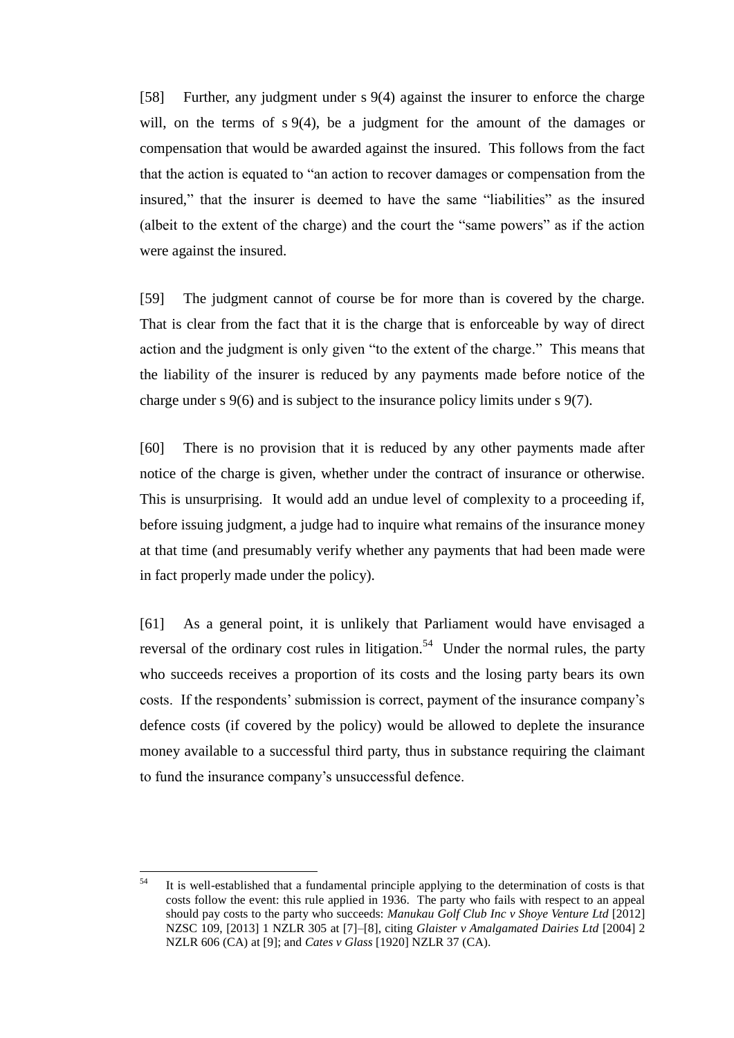[58] Further, any judgment under s 9(4) against the insurer to enforce the charge will, on the terms of s 9(4), be a judgment for the amount of the damages or compensation that would be awarded against the insured. This follows from the fact that the action is equated to "an action to recover damages or compensation from the insured," that the insurer is deemed to have the same "liabilities" as the insured (albeit to the extent of the charge) and the court the "same powers" as if the action were against the insured.

[59] The judgment cannot of course be for more than is covered by the charge. That is clear from the fact that it is the charge that is enforceable by way of direct action and the judgment is only given "to the extent of the charge." This means that the liability of the insurer is reduced by any payments made before notice of the charge under s 9(6) and is subject to the insurance policy limits under s 9(7).

[60] There is no provision that it is reduced by any other payments made after notice of the charge is given, whether under the contract of insurance or otherwise. This is unsurprising. It would add an undue level of complexity to a proceeding if, before issuing judgment, a judge had to inquire what remains of the insurance money at that time (and presumably verify whether any payments that had been made were in fact properly made under the policy).

[61] As a general point, it is unlikely that Parliament would have envisaged a reversal of the ordinary cost rules in litigation.<sup>54</sup> Under the normal rules, the party who succeeds receives a proportion of its costs and the losing party bears its own costs. If the respondents' submission is correct, payment of the insurance company's defence costs (if covered by the policy) would be allowed to deplete the insurance money available to a successful third party, thus in substance requiring the claimant to fund the insurance company's unsuccessful defence.

<sup>54</sup> <sup>54</sup> It is well-established that a fundamental principle applying to the determination of costs is that costs follow the event: this rule applied in 1936. The party who fails with respect to an appeal should pay costs to the party who succeeds: *Manukau Golf Club Inc v Shoye Venture Ltd* [2012] NZSC 109, [2013] 1 NZLR 305 at [7]–[8], citing *Glaister v Amalgamated Dairies Ltd* [2004] 2 NZLR 606 (CA) at [9]; and *Cates v Glass* [1920] NZLR 37 (CA).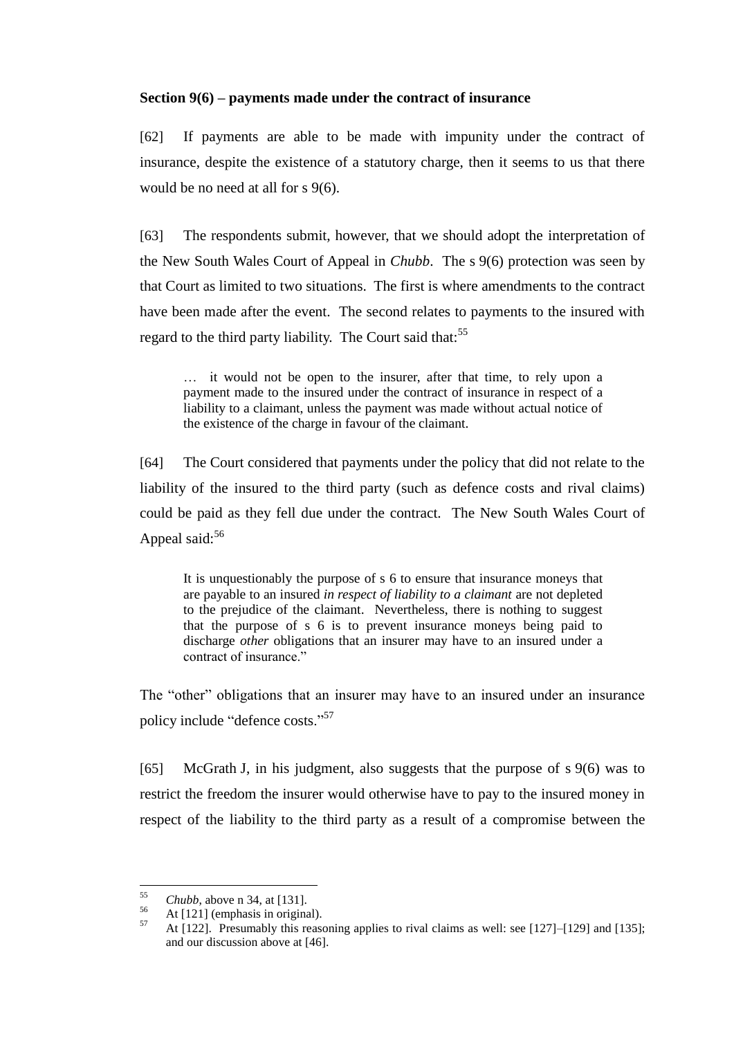## **Section 9(6) – payments made under the contract of insurance**

<span id="page-19-0"></span>[62] If payments are able to be made with impunity under the contract of insurance, despite the existence of a statutory charge, then it seems to us that there would be no need at all for s 9(6).

[63] The respondents submit, however, that we should adopt the interpretation of the New South Wales Court of Appeal in *Chubb*. The s 9(6) protection was seen by that Court as limited to two situations. The first is where amendments to the contract have been made after the event. The second relates to payments to the insured with regard to the third party liability. The Court said that:<sup>55</sup>

… it would not be open to the insurer, after that time, to rely upon a payment made to the insured under the contract of insurance in respect of a liability to a claimant, unless the payment was made without actual notice of the existence of the charge in favour of the claimant.

[64] The Court considered that payments under the policy that did not relate to the liability of the insured to the third party (such as defence costs and rival claims) could be paid as they fell due under the contract. The New South Wales Court of Appeal said: $56$ 

It is unquestionably the purpose of s 6 to ensure that insurance moneys that are payable to an insured *in respect of liability to a claimant* are not depleted to the prejudice of the claimant. Nevertheless, there is nothing to suggest that the purpose of s 6 is to prevent insurance moneys being paid to discharge *other* obligations that an insurer may have to an insured under a contract of insurance."

The "other" obligations that an insurer may have to an insured under an insurance policy include "defence costs."<sup>57</sup>

[65] McGrath J, in his judgment, also suggests that the purpose of s 9(6) was to restrict the freedom the insurer would otherwise have to pay to the insured money in respect of the liability to the third party as a result of a compromise between the

<sup>55</sup>  $\frac{55}{56}$  *Chubb*, above n [34,](#page-13-1) at [131].

 $56$  At [121] (emphasis in original).

<sup>57</sup> At [122]. Presumably this reasoning applies to rival claims as well: see [127]–[129] and [135]; and our discussion above a[t \[46\].](#page-14-0)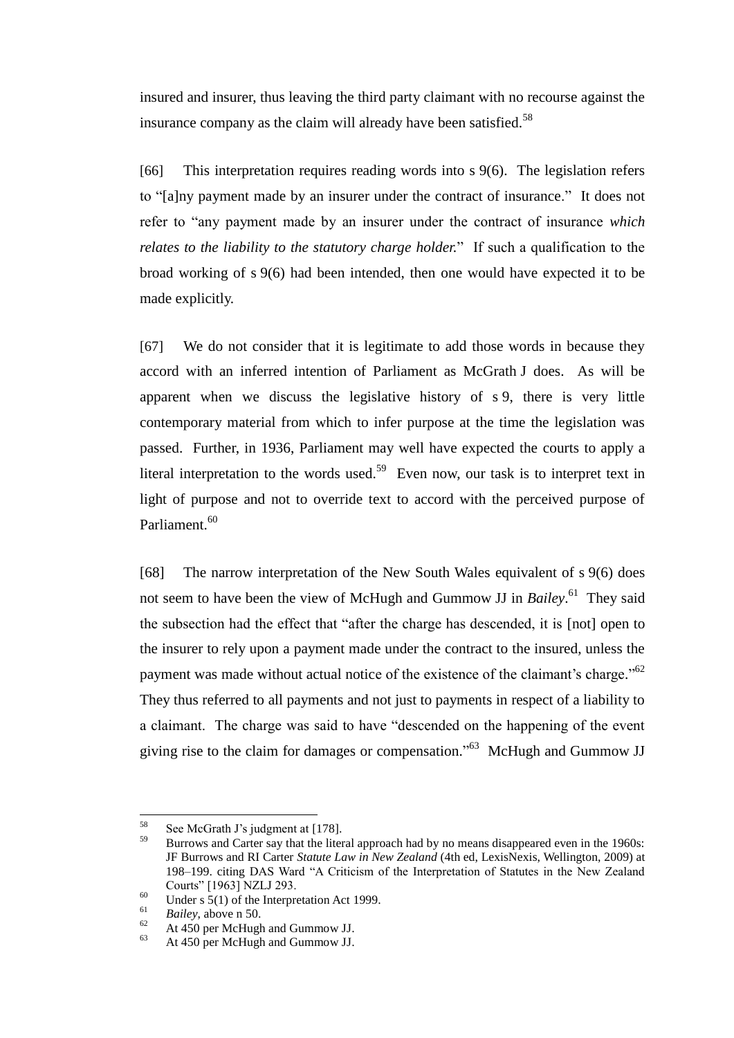insured and insurer, thus leaving the third party claimant with no recourse against the insurance company as the claim will already have been satisfied.<sup>58</sup>

[66] This interpretation requires reading words into s 9(6). The legislation refers to "[a]ny payment made by an insurer under the contract of insurance." It does not refer to "any payment made by an insurer under the contract of insurance *which relates to the liability to the statutory charge holder.*" If such a qualification to the broad working of s 9(6) had been intended, then one would have expected it to be made explicitly.

[67] We do not consider that it is legitimate to add those words in because they accord with an inferred intention of Parliament as McGrath J does. As will be apparent when we discuss the legislative history of s 9, there is very little contemporary material from which to infer purpose at the time the legislation was passed. Further, in 1936, Parliament may well have expected the courts to apply a literal interpretation to the words used.<sup>59</sup> Even now, our task is to interpret text in light of purpose and not to override text to accord with the perceived purpose of Parliament.<sup>60</sup>

[68] The narrow interpretation of the New South Wales equivalent of s 9(6) does not seem to have been the view of McHugh and Gummow JJ in *Bailey*. 61 They said the subsection had the effect that "after the charge has descended, it is [not] open to the insurer to rely upon a payment made under the contract to the insured, unless the payment was made without actual notice of the existence of the claimant's charge."<sup>62</sup> They thus referred to all payments and not just to payments in respect of a liability to a claimant. The charge was said to have "descended on the happening of the event giving rise to the claim for damages or compensation."<sup>63</sup> McHugh and Gummow JJ

 $\overline{a}$ 

 $58$  See McGrath J's judgment at [\[178\].](#page-57-0)

<sup>59</sup> Burrows and Carter say that the literal approach had by no means disappeared even in the 1960s: JF Burrows and RI Carter *Statute Law in New Zealand* (4th ed, LexisNexis, Wellington, 2009) at 198–199. citing DAS Ward "A Criticism of the Interpretation of Statutes in the New Zealand Courts" [1963] NZLJ 293.

<sup>&</sup>lt;sup>60</sup> Under s 5(1) of the Interpretation Act 1999.

 $\frac{61}{62}$  *Bailey*, above n [50.](#page-16-1)

 $^{62}$  At 450 per McHugh and Gummow JJ.

At 450 per McHugh and Gummow JJ.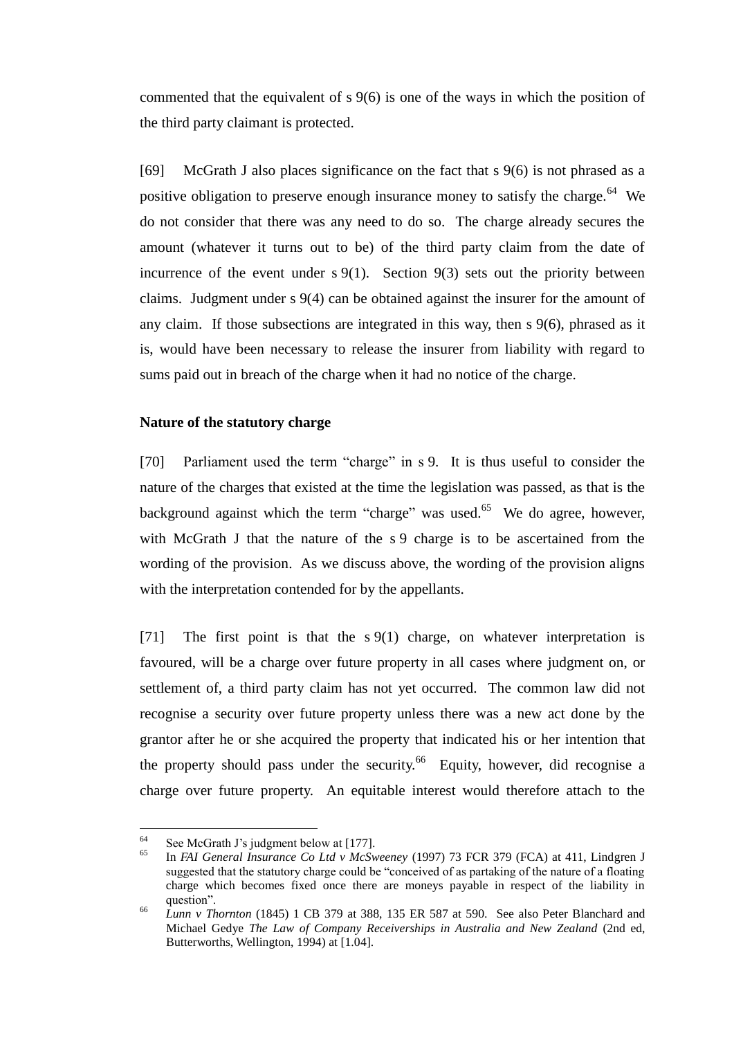commented that the equivalent of s 9(6) is one of the ways in which the position of the third party claimant is protected.

<span id="page-21-2"></span>[69] McGrath J also places significance on the fact that s 9(6) is not phrased as a positive obligation to preserve enough insurance money to satisfy the charge.<sup>64</sup> We do not consider that there was any need to do so. The charge already secures the amount (whatever it turns out to be) of the third party claim from the date of incurrence of the event under  $s \cdot 9(1)$ . Section  $9(3)$  sets out the priority between claims. Judgment under s 9(4) can be obtained against the insurer for the amount of any claim. If those subsections are integrated in this way, then s 9(6), phrased as it is, would have been necessary to release the insurer from liability with regard to sums paid out in breach of the charge when it had no notice of the charge.

## **Nature of the statutory charge**

<span id="page-21-0"></span>[70] Parliament used the term "charge" in s 9. It is thus useful to consider the nature of the charges that existed at the time the legislation was passed, as that is the background against which the term "charge" was used.<sup>65</sup> We do agree, however, with McGrath J that the nature of the s 9 charge is to be ascertained from the wording of the provision. As we discuss above, the wording of the provision aligns with the interpretation contended for by the appellants.

[71] The first point is that the s 9(1) charge, on whatever interpretation is favoured, will be a charge over future property in all cases where judgment on, or settlement of, a third party claim has not yet occurred. The common law did not recognise a security over future property unless there was a new act done by the grantor after he or she acquired the property that indicated his or her intention that the property should pass under the security. <sup>66</sup> Equity, however, did recognise a charge over future property. An equitable interest would therefore attach to the

<span id="page-21-1"></span><sup>64</sup> <sup>64</sup> See McGrath J's judgment below at [\[177\].](#page-57-1)

<sup>65</sup> In *FAI General Insurance Co Ltd v McSweeney* (1997) 73 FCR 379 (FCA) at 411, Lindgren J suggested that the statutory charge could be "conceived of as partaking of the nature of a floating charge which becomes fixed once there are moneys payable in respect of the liability in question".

<sup>66</sup> *Lunn v Thornton* (1845) 1 CB 379 at 388, 135 ER 587 at 590. See also Peter Blanchard and Michael Gedye *The Law of Company Receiverships in Australia and New Zealand* (2nd ed, Butterworths, Wellington, 1994) at [1.04].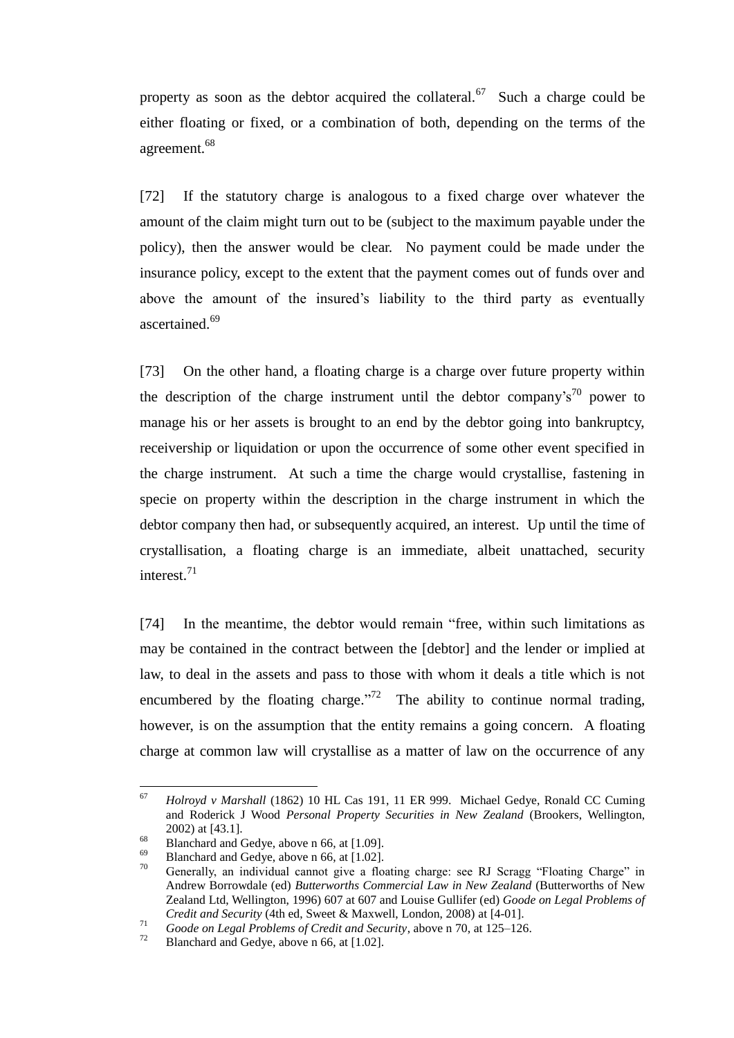property as soon as the debtor acquired the collateral.<sup>67</sup> Such a charge could be either floating or fixed, or a combination of both, depending on the terms of the agreement.<sup>68</sup>

[72] If the statutory charge is analogous to a fixed charge over whatever the amount of the claim might turn out to be (subject to the maximum payable under the policy), then the answer would be clear. No payment could be made under the insurance policy, except to the extent that the payment comes out of funds over and above the amount of the insured's liability to the third party as eventually ascertained.<sup>69</sup>

<span id="page-22-0"></span>[73] On the other hand, a floating charge is a charge over future property within the description of the charge instrument until the debtor company's<sup>70</sup> power to manage his or her assets is brought to an end by the debtor going into bankruptcy, receivership or liquidation or upon the occurrence of some other event specified in the charge instrument. At such a time the charge would crystallise, fastening in specie on property within the description in the charge instrument in which the debtor company then had, or subsequently acquired, an interest. Up until the time of crystallisation, a floating charge is an immediate, albeit unattached, security interest.<sup>71</sup>

[74] In the meantime, the debtor would remain "free, within such limitations as may be contained in the contract between the [debtor] and the lender or implied at law, to deal in the assets and pass to those with whom it deals a title which is not encumbered by the floating charge."<sup>72</sup> The ability to continue normal trading, however, is on the assumption that the entity remains a going concern. A floating charge at common law will crystallise as a matter of law on the occurrence of any

<sup>67</sup> <sup>67</sup> *Holroyd v Marshall* (1862) 10 HL Cas 191, 11 ER 999. Michael Gedye, Ronald CC Cuming and Roderick J Wood *Personal Property Securities in New Zealand* (Brookers, Wellington, 2002) at [43.1].

 $^{68}$  Blanchard and Gedye, above n [66,](#page-21-1) at [1.09].

 $^{69}$  Blanchard and Gedye, above n [66,](#page-21-1) at [1.02].

<sup>70</sup> Generally, an individual cannot give a floating charge: see RJ Scragg "Floating Charge" in Andrew Borrowdale (ed) *Butterworths Commercial Law in New Zealand* (Butterworths of New Zealand Ltd, Wellington, 1996) 607 at 607 and Louise Gullifer (ed) *Goode on Legal Problems of Credit and Security* (4th ed, Sweet & Maxwell, London, 2008) at [4-01].

*Coode on Legal Problems of Credit and Security*, above n [70,](#page-22-0) at 125–126.<br>
Planchard and Cadual photographs of Credit and Security, above n 70, at 125–126.

Blanchard and Gedye, above n [66,](#page-21-1) at [1.02].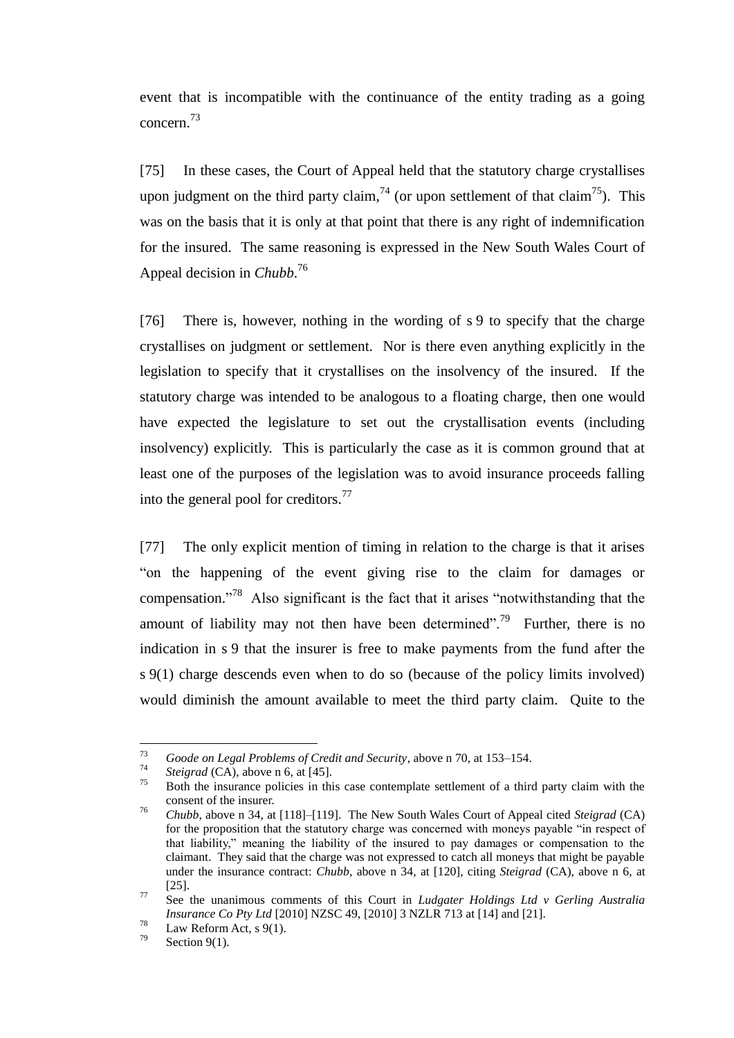event that is incompatible with the continuance of the entity trading as a going concern.<sup>73</sup>

[75] In these cases, the Court of Appeal held that the statutory charge crystallises upon judgment on the third party claim,  $^{74}$  (or upon settlement of that claim<sup>75</sup>). This was on the basis that it is only at that point that there is any right of indemnification for the insured. The same reasoning is expressed in the New South Wales Court of Appeal decision in *Chubb*. 76

<span id="page-23-0"></span>[76] There is, however, nothing in the wording of s 9 to specify that the charge crystallises on judgment or settlement. Nor is there even anything explicitly in the legislation to specify that it crystallises on the insolvency of the insured. If the statutory charge was intended to be analogous to a floating charge, then one would have expected the legislature to set out the crystallisation events (including insolvency) explicitly. This is particularly the case as it is common ground that at least one of the purposes of the legislation was to avoid insurance proceeds falling into the general pool for creditors.<sup>77</sup>

<span id="page-23-1"></span>[77] The only explicit mention of timing in relation to the charge is that it arises "on the happening of the event giving rise to the claim for damages or compensation."<sup>78</sup> Also significant is the fact that it arises "notwithstanding that the amount of liability may not then have been determined".<sup>79</sup> Further, there is no indication in s 9 that the insurer is free to make payments from the fund after the s 9(1) charge descends even when to do so (because of the policy limits involved) would diminish the amount available to meet the third party claim. Quite to the

<sup>73</sup> <sup>73</sup> *Goode on Legal Problems of Credit and Security*, above n [70,](#page-22-0) at 153–154.

*<sup>&</sup>lt;sup>74</sup> Steigrad* (CA), above n [6,](#page-4-2) at [45].

<sup>75</sup> Both the insurance policies in this case contemplate settlement of a third party claim with the consent of the insurer.

<sup>76</sup> *Chubb*, above n [34,](#page-13-1) at [118]–[119]. The New South Wales Court of Appeal cited *Steigrad* (CA) for the proposition that the statutory charge was concerned with moneys payable "in respect of that liability," meaning the liability of the insured to pay damages or compensation to the claimant. They said that the charge was not expressed to catch all moneys that might be payable under the insurance contract: *Chubb*, above n [34,](#page-13-1) at [120], citing *Steigrad* (CA), above n [6,](#page-4-2) at [25].

<sup>77</sup> See the unanimous comments of this Court in *Ludgater Holdings Ltd v Gerling Australia Insurance Co Pty Ltd* [2010] NZSC 49, [2010] 3 NZLR 713 at [14] and [21].

 $\frac{78}{79}$  Law Reform Act, s 9(1).

Section  $9(1)$ .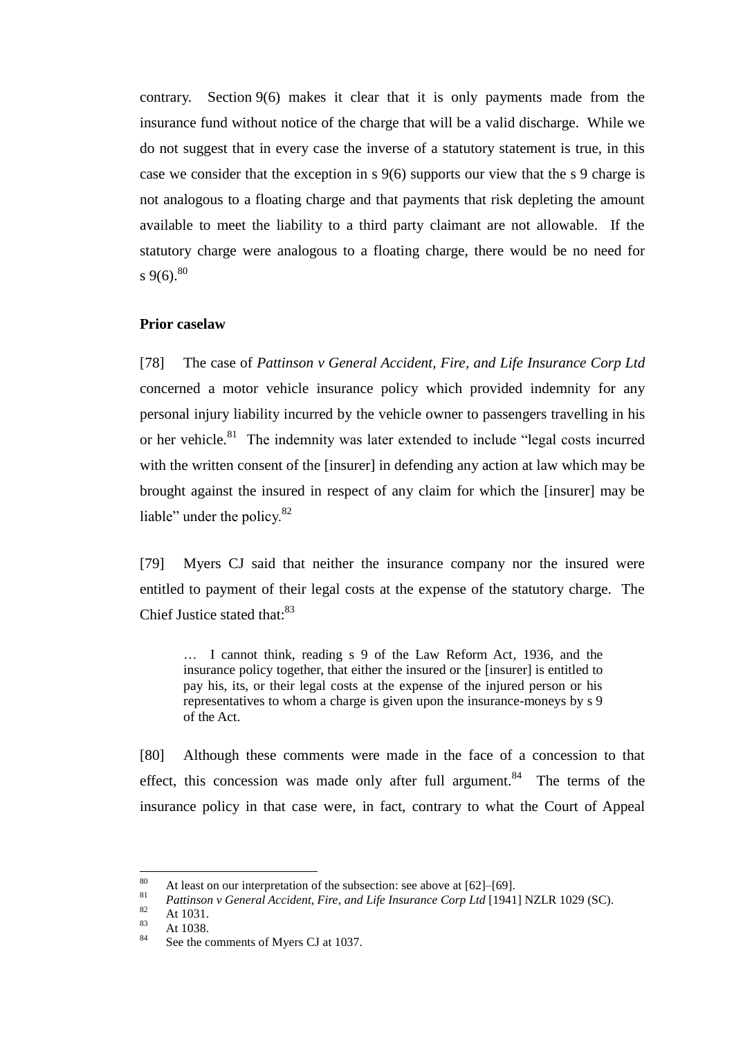contrary. Section 9(6) makes it clear that it is only payments made from the insurance fund without notice of the charge that will be a valid discharge. While we do not suggest that in every case the inverse of a statutory statement is true, in this case we consider that the exception in s 9(6) supports our view that the s 9 charge is not analogous to a floating charge and that payments that risk depleting the amount available to meet the liability to a third party claimant are not allowable. If the statutory charge were analogous to a floating charge, there would be no need for s 9(6).<sup>80</sup>

## **Prior caselaw**

<span id="page-24-0"></span>[78] The case of *Pattinson v General Accident, Fire, and Life Insurance Corp Ltd* concerned a motor vehicle insurance policy which provided indemnity for any personal injury liability incurred by the vehicle owner to passengers travelling in his or her vehicle.<sup>81</sup> The indemnity was later extended to include "legal costs incurred with the written consent of the [insurer] in defending any action at law which may be brought against the insured in respect of any claim for which the [insurer] may be liable" under the policy.<sup>82</sup>

[79] Myers CJ said that neither the insurance company nor the insured were entitled to payment of their legal costs at the expense of the statutory charge. The Chief Justice stated that:<sup>83</sup>

… I cannot think, reading s 9 of the Law Reform Act, 1936, and the insurance policy together, that either the insured or the [insurer] is entitled to pay his, its, or their legal costs at the expense of the injured person or his representatives to whom a charge is given upon the insurance-moneys by s 9 of the Act.

[80] Although these comments were made in the face of a concession to that effect, this concession was made only after full argument.<sup>84</sup> The terms of the insurance policy in that case were, in fact, contrary to what the Court of Appeal

<sup>80</sup> <sup>80</sup> At least on our interpretation of the subsection: see above at [\[62\]](#page-19-0)[–\[69\].](#page-21-2)<br><sup>81</sup> Battings to Gaugaral Assistant Fine, and Life Insurance Come Ltd [1041]

<sup>81</sup> *Pattinson v General Accident, Fire, and Life Insurance Corp Ltd* [1941] NZLR 1029 (SC).

 $\frac{82}{83}$  At 1031.

 $\frac{83}{84}$  At 1038.

See the comments of Myers CJ at 1037.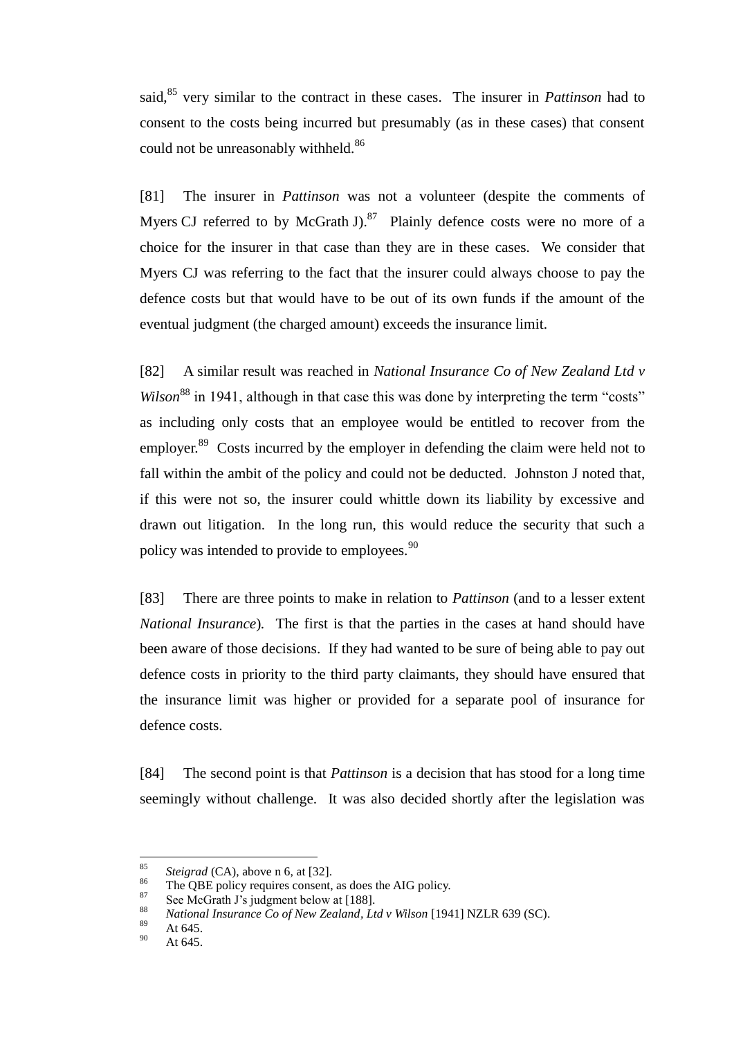said,<sup>85</sup> very similar to the contract in these cases. The insurer in *Pattinson* had to consent to the costs being incurred but presumably (as in these cases) that consent could not be unreasonably withheld.<sup>86</sup>

[81] The insurer in *Pattinson* was not a volunteer (despite the comments of Myers CJ referred to by McGrath J. $87$  Plainly defence costs were no more of a choice for the insurer in that case than they are in these cases. We consider that Myers CJ was referring to the fact that the insurer could always choose to pay the defence costs but that would have to be out of its own funds if the amount of the eventual judgment (the charged amount) exceeds the insurance limit.

<span id="page-25-0"></span>[82] A similar result was reached in *National Insurance Co of New Zealand Ltd v Wilson*<sup>88</sup> in 1941, although in that case this was done by interpreting the term "costs" as including only costs that an employee would be entitled to recover from the employer.<sup>89</sup> Costs incurred by the employer in defending the claim were held not to fall within the ambit of the policy and could not be deducted. Johnston J noted that, if this were not so, the insurer could whittle down its liability by excessive and drawn out litigation. In the long run, this would reduce the security that such a policy was intended to provide to employees.<sup>90</sup>

[83] There are three points to make in relation to *Pattinson* (and to a lesser extent *National Insurance*)*.* The first is that the parties in the cases at hand should have been aware of those decisions. If they had wanted to be sure of being able to pay out defence costs in priority to the third party claimants, they should have ensured that the insurance limit was higher or provided for a separate pool of insurance for defence costs.

[84] The second point is that *Pattinson* is a decision that has stood for a long time seemingly without challenge. It was also decided shortly after the legislation was

<sup>85</sup> <sup>85</sup> *Steigrad* (CA), above n [6,](#page-4-2) at [32].

<sup>&</sup>lt;sup>86</sup> The QBE policy requires consent, as does the AIG policy.

<sup>&</sup>lt;sup>87</sup> See McGrath J's judgment below at [\[188\].](#page-61-0)

<sup>88</sup> *National Insurance Co of New Zealand, Ltd v Wilson* [1941] NZLR 639 (SC).

 $\frac{89}{90}$  At 645.

At 645.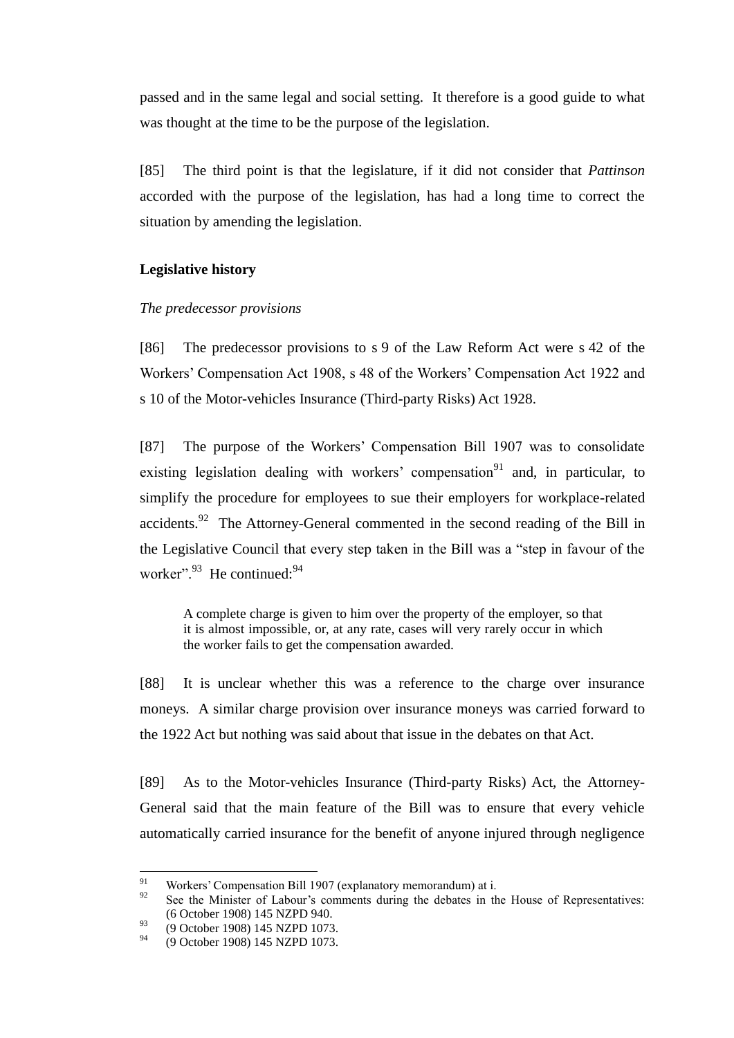passed and in the same legal and social setting. It therefore is a good guide to what was thought at the time to be the purpose of the legislation.

[85] The third point is that the legislature, if it did not consider that *Pattinson* accorded with the purpose of the legislation, has had a long time to correct the situation by amending the legislation.

## **Legislative history**

## *The predecessor provisions*

<span id="page-26-0"></span>[86] The predecessor provisions to s 9 of the Law Reform Act were s 42 of the Workers' Compensation Act 1908, s 48 of the Workers' Compensation Act 1922 and s 10 of the Motor-vehicles Insurance (Third-party Risks) Act 1928.

[87] The purpose of the Workers' Compensation Bill 1907 was to consolidate existing legislation dealing with workers' compensation<sup>91</sup> and, in particular, to simplify the procedure for employees to sue their employers for workplace-related accidents.<sup>92</sup> The Attorney-General commented in the second reading of the Bill in the Legislative Council that every step taken in the Bill was a "step in favour of the worker".<sup>93</sup> He continued:<sup>94</sup>

A complete charge is given to him over the property of the employer, so that it is almost impossible, or, at any rate, cases will very rarely occur in which the worker fails to get the compensation awarded.

[88] It is unclear whether this was a reference to the charge over insurance moneys. A similar charge provision over insurance moneys was carried forward to the 1922 Act but nothing was said about that issue in the debates on that Act.

[89] As to the Motor-vehicles Insurance (Third-party Risks) Act, the Attorney-General said that the main feature of the Bill was to ensure that every vehicle automatically carried insurance for the benefit of anyone injured through negligence

<sup>91</sup> <sup>91</sup> Workers' Compensation Bill 1907 (explanatory memorandum) at i.<br><sup>92</sup> See the Minister of Labour's comments during the debates in the

See the Minister of Labour's comments during the debates in the House of Representatives: (6 October 1908) 145 NZPD 940.

 $^{93}$  (9 October 1908) 145 NZPD 1073.

<sup>94</sup> (9 October 1908) 145 NZPD 1073.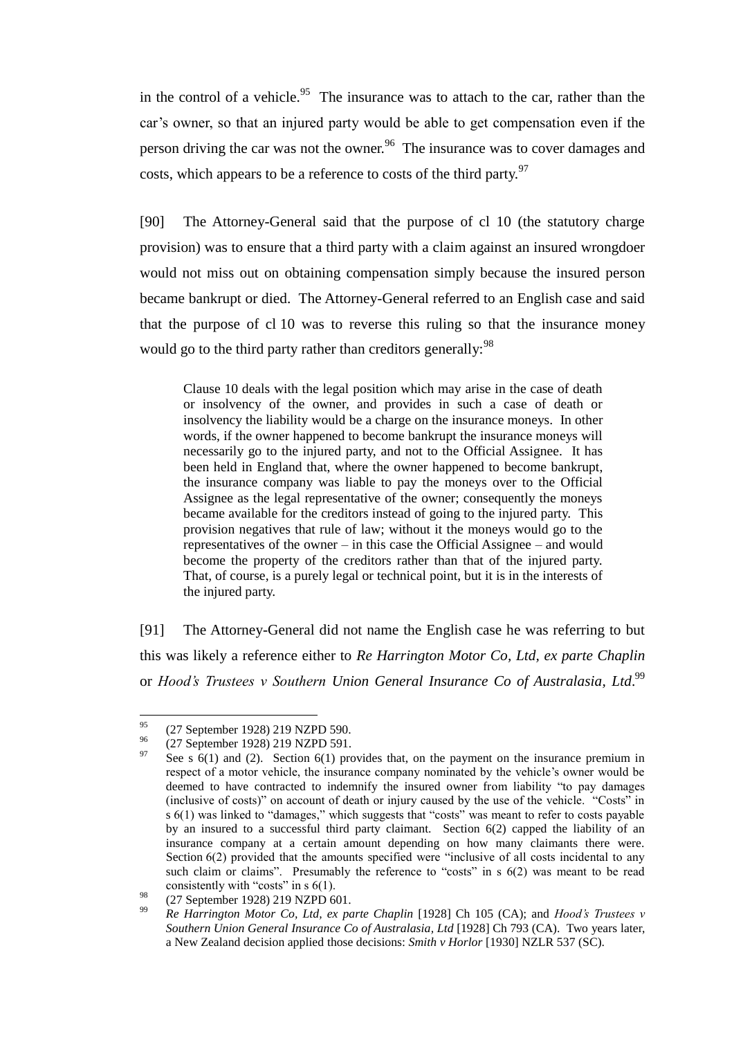in the control of a vehicle.<sup>95</sup> The insurance was to attach to the car, rather than the car's owner, so that an injured party would be able to get compensation even if the person driving the car was not the owner.<sup>96</sup> The insurance was to cover damages and costs, which appears to be a reference to costs of the third party.<sup>97</sup>

[90] The Attorney-General said that the purpose of cl 10 (the statutory charge provision) was to ensure that a third party with a claim against an insured wrongdoer would not miss out on obtaining compensation simply because the insured person became bankrupt or died. The Attorney-General referred to an English case and said that the purpose of cl 10 was to reverse this ruling so that the insurance money would go to the third party rather than creditors generally:<sup>98</sup>

Clause 10 deals with the legal position which may arise in the case of death or insolvency of the owner, and provides in such a case of death or insolvency the liability would be a charge on the insurance moneys. In other words, if the owner happened to become bankrupt the insurance moneys will necessarily go to the injured party, and not to the Official Assignee. It has been held in England that, where the owner happened to become bankrupt, the insurance company was liable to pay the moneys over to the Official Assignee as the legal representative of the owner; consequently the moneys became available for the creditors instead of going to the injured party. This provision negatives that rule of law; without it the moneys would go to the representatives of the owner – in this case the Official Assignee – and would become the property of the creditors rather than that of the injured party. That, of course, is a purely legal or technical point, but it is in the interests of the injured party.

[91] The Attorney-General did not name the English case he was referring to but this was likely a reference either to *Re Harrington Motor Co, Ltd, ex parte Chaplin*  or *Hood's Trustees v Southern Union General Insurance Co of Australasia, Ltd*. 99

<sup>95</sup>  $^{95}$  (27 September 1928) 219 NZPD 590.

 $^{96}$  (27 September 1928) 219 NZPD 591.

See s  $6(1)$  and (2). Section  $6(1)$  provides that, on the payment on the insurance premium in respect of a motor vehicle, the insurance company nominated by the vehicle's owner would be deemed to have contracted to indemnify the insured owner from liability "to pay damages (inclusive of costs)" on account of death or injury caused by the use of the vehicle. "Costs" in s 6(1) was linked to "damages," which suggests that "costs" was meant to refer to costs payable by an insured to a successful third party claimant. Section 6(2) capped the liability of an insurance company at a certain amount depending on how many claimants there were. Section 6(2) provided that the amounts specified were "inclusive of all costs incidental to any such claim or claims". Presumably the reference to "costs" in s 6(2) was meant to be read consistently with "costs" in s 6(1).

<sup>&</sup>lt;sup>98</sup> (27 September 1928) 219 NZPD 601.

<sup>99</sup> *Re Harrington Motor Co, Ltd, ex parte Chaplin* [1928] Ch 105 (CA); and *Hood's Trustees v Southern Union General Insurance Co of Australasia, Ltd* [1928] Ch 793 (CA). Two years later, a New Zealand decision applied those decisions: *Smith v Horlor* [1930] NZLR 537 (SC).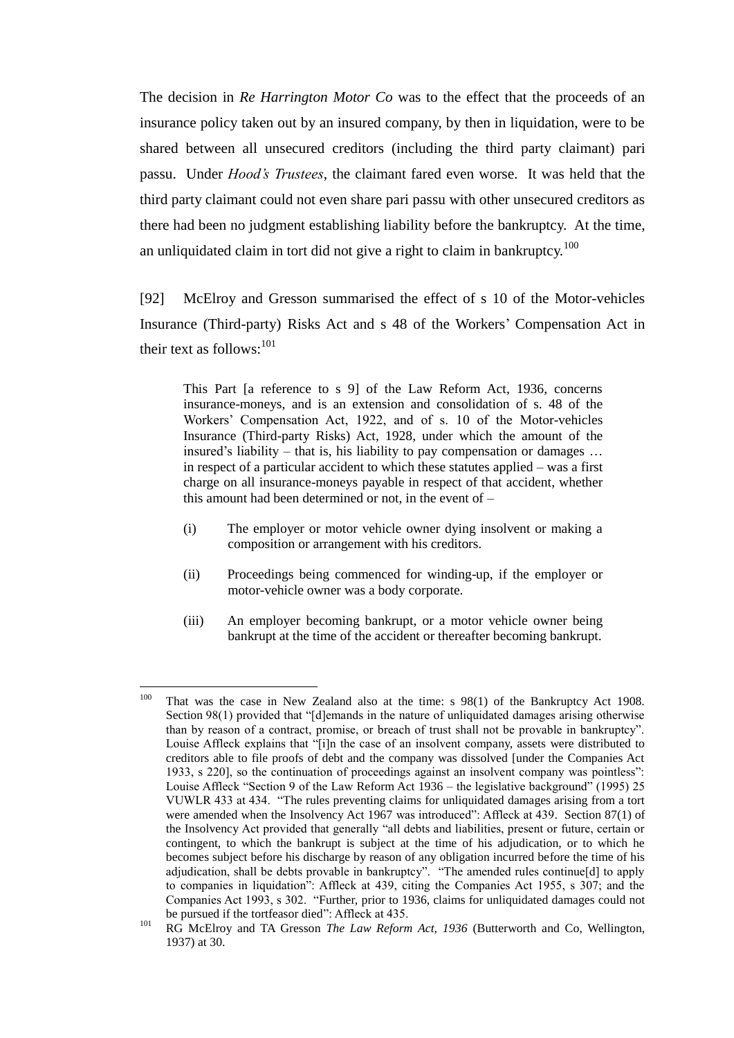The decision in *Re Harrington Motor Co* was to the effect that the proceeds of an insurance policy taken out by an insured company, by then in liquidation, were to be shared between all unsecured creditors (including the third party claimant) pari passu. Under *Hood's Trustees*, the claimant fared even worse. It was held that the third party claimant could not even share pari passu with other unsecured creditors as there had been no judgment establishing liability before the bankruptcy. At the time, an unliquidated claim in tort did not give a right to claim in bankruptcy.<sup>100</sup>

[92] McElroy and Gresson summarised the effect of s 10 of the Motor-vehicles Insurance (Third-party) Risks Act and s 48 of the Workers' Compensation Act in their text as follows:  $101$ 

<span id="page-28-0"></span>This Part [a reference to s 9] of the Law Reform Act, 1936, concerns insurance-moneys, and is an extension and consolidation of s. 48 of the Workers' Compensation Act, 1922, and of s. 10 of the Motor-vehicles Insurance (Third-party Risks) Act, 1928, under which the amount of the insured's liability – that is, his liability to pay compensation or damages … in respect of a particular accident to which these statutes applied – was a first charge on all insurance-moneys payable in respect of that accident, whether this amount had been determined or not, in the event of –

- (i) The employer or motor vehicle owner dying insolvent or making a composition or arrangement with his creditors.
- (ii) Proceedings being commenced for winding-up, if the employer or motor-vehicle owner was a body corporate.
- (iii) An employer becoming bankrupt, or a motor vehicle owner being bankrupt at the time of the accident or thereafter becoming bankrupt.

<sup>100</sup> That was the case in New Zealand also at the time: s 98(1) of the Bankruptcy Act 1908. Section 98(1) provided that "[d]emands in the nature of unliquidated damages arising otherwise than by reason of a contract, promise, or breach of trust shall not be provable in bankruptcy". Louise Affleck explains that "[i]n the case of an insolvent company, assets were distributed to creditors able to file proofs of debt and the company was dissolved [under the Companies Act 1933, s 220], so the continuation of proceedings against an insolvent company was pointless": Louise Affleck "Section 9 of the Law Reform Act 1936 – the legislative background" (1995) 25 VUWLR 433 at 434. "The rules preventing claims for unliquidated damages arising from a tort were amended when the Insolvency Act 1967 was introduced": Affleck at 439. Section 87(1) of the Insolvency Act provided that generally "all debts and liabilities, present or future, certain or contingent, to which the bankrupt is subject at the time of his adjudication, or to which he becomes subject before his discharge by reason of any obligation incurred before the time of his adjudication, shall be debts provable in bankruptcy". "The amended rules continue[d] to apply to companies in liquidation": Affleck at 439, citing the Companies Act 1955, s 307; and the Companies Act 1993, s 302. "Further, prior to 1936, claims for unliquidated damages could not be pursued if the tortfeasor died": Affleck at 435.

<sup>101</sup> RG McElroy and TA Gresson *The Law Reform Act, 1936* (Butterworth and Co, Wellington, 1937) at 30.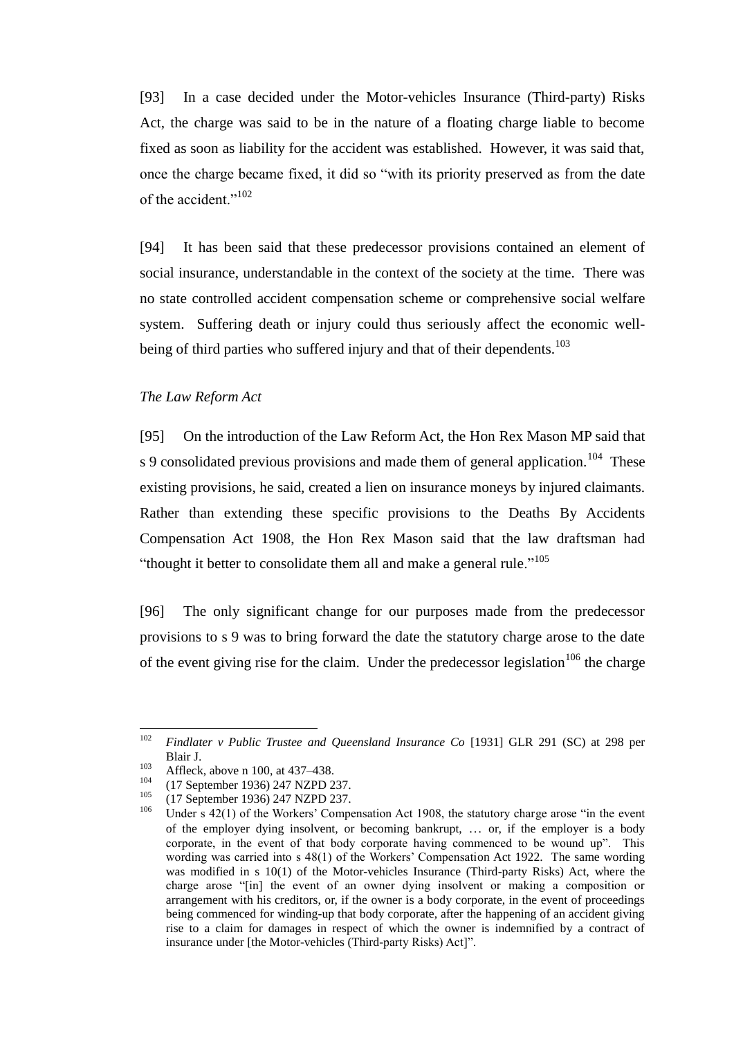[93] In a case decided under the Motor-vehicles Insurance (Third-party) Risks Act, the charge was said to be in the nature of a floating charge liable to become fixed as soon as liability for the accident was established. However, it was said that, once the charge became fixed, it did so "with its priority preserved as from the date of the accident."<sup>102</sup>

[94] It has been said that these predecessor provisions contained an element of social insurance, understandable in the context of the society at the time. There was no state controlled accident compensation scheme or comprehensive social welfare system. Suffering death or injury could thus seriously affect the economic wellbeing of third parties who suffered injury and that of their dependents.<sup>103</sup>

## *The Law Reform Act*

<span id="page-29-0"></span>[95] On the introduction of the Law Reform Act, the Hon Rex Mason MP said that s 9 consolidated previous provisions and made them of general application.<sup>104</sup> These existing provisions, he said, created a lien on insurance moneys by injured claimants. Rather than extending these specific provisions to the Deaths By Accidents Compensation Act 1908, the Hon Rex Mason said that the law draftsman had "thought it better to consolidate them all and make a general rule."<sup>105</sup>

[96] The only significant change for our purposes made from the predecessor provisions to s 9 was to bring forward the date the statutory charge arose to the date of the event giving rise for the claim. Under the predecessor legislation<sup>106</sup> the charge

<sup>102</sup> <sup>102</sup> *Findlater v Public Trustee and Queensland Insurance Co* [1931] GLR 291 (SC) at 298 per Blair J.

<sup>&</sup>lt;sup>103</sup> Affleck, above n [100,](#page-28-0) at 437–438.

 $^{104}$  (17 September 1936) 247 NZPD 237.

 $^{105}$  (17 September 1936) 247 NZPD 237.

Under s 42(1) of the Workers' Compensation Act 1908, the statutory charge arose "in the event" of the employer dying insolvent, or becoming bankrupt, … or, if the employer is a body corporate, in the event of that body corporate having commenced to be wound up". This wording was carried into s 48(1) of the Workers' Compensation Act 1922. The same wording was modified in s 10(1) of the Motor-vehicles Insurance (Third-party Risks) Act, where the charge arose "[in] the event of an owner dying insolvent or making a composition or arrangement with his creditors, or, if the owner is a body corporate, in the event of proceedings being commenced for winding-up that body corporate, after the happening of an accident giving rise to a claim for damages in respect of which the owner is indemnified by a contract of insurance under [the Motor-vehicles (Third-party Risks) Act]".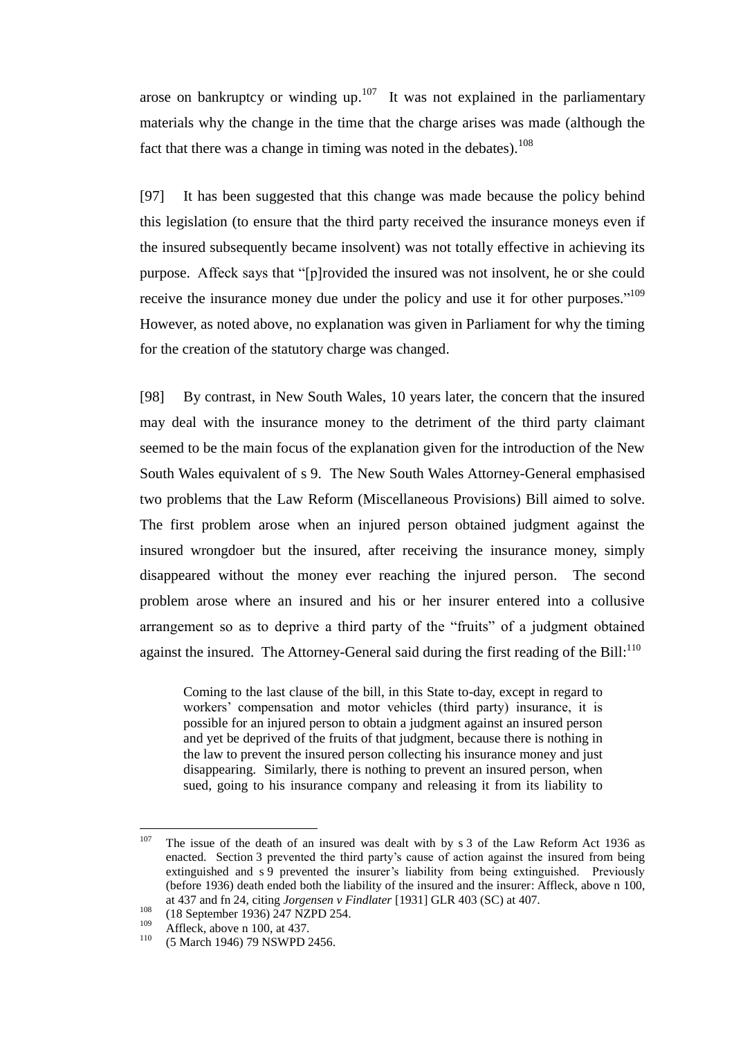arose on bankruptcy or winding up.<sup>107</sup> It was not explained in the parliamentary materials why the change in the time that the charge arises was made (although the fact that there was a change in timing was noted in the debates).<sup>108</sup>

[97] It has been suggested that this change was made because the policy behind this legislation (to ensure that the third party received the insurance moneys even if the insured subsequently became insolvent) was not totally effective in achieving its purpose. Affeck says that "[p]rovided the insured was not insolvent, he or she could receive the insurance money due under the policy and use it for other purposes."<sup>109</sup> However, as noted above, no explanation was given in Parliament for why the timing for the creation of the statutory charge was changed.

[98] By contrast, in New South Wales, 10 years later, the concern that the insured may deal with the insurance money to the detriment of the third party claimant seemed to be the main focus of the explanation given for the introduction of the New South Wales equivalent of s 9. The New South Wales Attorney-General emphasised two problems that the Law Reform (Miscellaneous Provisions) Bill aimed to solve. The first problem arose when an injured person obtained judgment against the insured wrongdoer but the insured, after receiving the insurance money, simply disappeared without the money ever reaching the injured person. The second problem arose where an insured and his or her insurer entered into a collusive arrangement so as to deprive a third party of the "fruits" of a judgment obtained against the insured. The Attorney-General said during the first reading of the Bill:<sup>110</sup>

Coming to the last clause of the bill, in this State to-day, except in regard to workers' compensation and motor vehicles (third party) insurance, it is possible for an injured person to obtain a judgment against an insured person and yet be deprived of the fruits of that judgment, because there is nothing in the law to prevent the insured person collecting his insurance money and just disappearing. Similarly, there is nothing to prevent an insured person, when sued, going to his insurance company and releasing it from its liability to

<sup>107</sup> The issue of the death of an insured was dealt with by s 3 of the Law Reform Act 1936 as enacted. Section 3 prevented the third party's cause of action against the insured from being extinguished and s 9 prevented the insurer's liability from being extinguished. Previously (before 1936) death ended both the liability of the insured and the insurer: Affleck, above n [100,](#page-28-0) at 437 and fn 24, citing *Jorgensen v Findlater* [1931] GLR 403 (SC) at 407.

 $^{108}$  (18 September 1936) 247 NZPD 254.

<sup>&</sup>lt;sup>109</sup> Affleck, above n [100,](#page-28-0) at 437.

<sup>(5</sup> March 1946) 79 NSWPD 2456.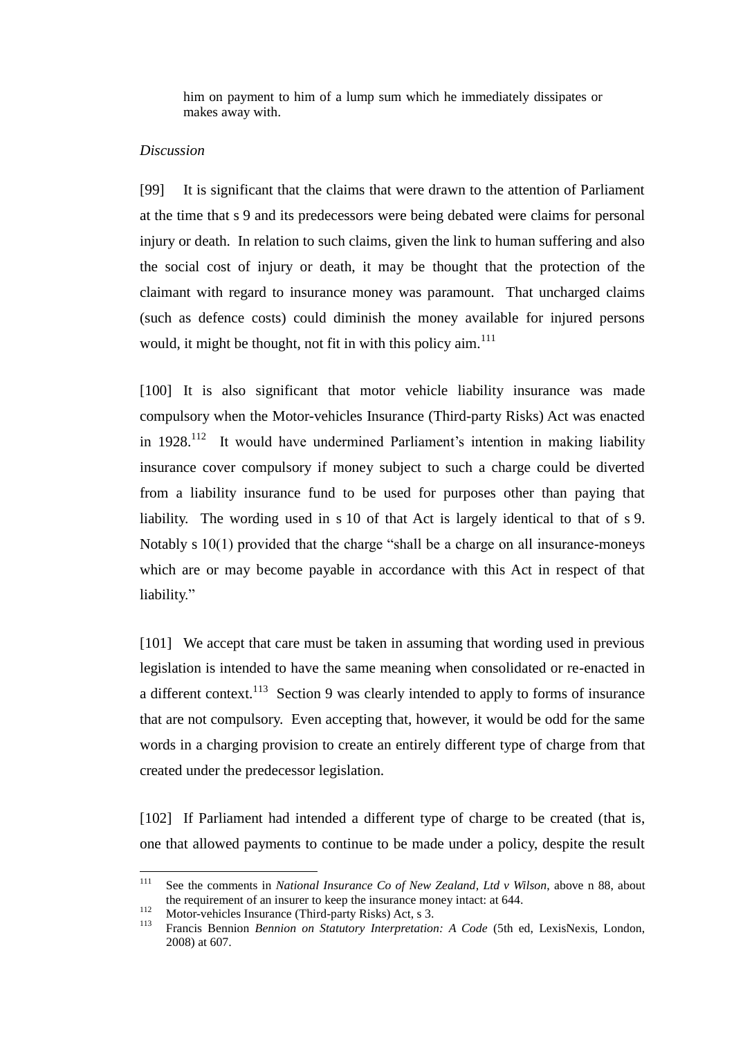him on payment to him of a lump sum which he immediately dissipates or makes away with.

### *Discussion*

<span id="page-31-0"></span>[99] It is significant that the claims that were drawn to the attention of Parliament at the time that s 9 and its predecessors were being debated were claims for personal injury or death. In relation to such claims, given the link to human suffering and also the social cost of injury or death, it may be thought that the protection of the claimant with regard to insurance money was paramount. That uncharged claims (such as defence costs) could diminish the money available for injured persons would, it might be thought, not fit in with this policy  $\dim<sup>111</sup>$ 

[100] It is also significant that motor vehicle liability insurance was made compulsory when the Motor-vehicles Insurance (Third-party Risks) Act was enacted in 1928.<sup>112</sup> It would have undermined Parliament's intention in making liability insurance cover compulsory if money subject to such a charge could be diverted from a liability insurance fund to be used for purposes other than paying that liability. The wording used in s 10 of that Act is largely identical to that of s 9. Notably s 10(1) provided that the charge "shall be a charge on all insurance-moneys which are or may become payable in accordance with this Act in respect of that liability."

[101] We accept that care must be taken in assuming that wording used in previous legislation is intended to have the same meaning when consolidated or re-enacted in a different context.<sup>113</sup> Section 9 was clearly intended to apply to forms of insurance that are not compulsory. Even accepting that, however, it would be odd for the same words in a charging provision to create an entirely different type of charge from that created under the predecessor legislation.

[102] If Parliament had intended a different type of charge to be created (that is, one that allowed payments to continue to be made under a policy, despite the result

 $111$ <sup>111</sup> See the comments in *National Insurance Co of New Zealand, Ltd v Wilson*, above n [88,](#page-25-0) about the requirement of an insurer to keep the insurance money intact: at 644.

 $\frac{112}{113}$  Motor-vehicles Insurance (Third-party Risks) Act, s 3.<br> $\frac{113}{113}$  Exercise Demisen *Demisen* 

<sup>113</sup> Francis Bennion *Bennion on Statutory Interpretation: A Code* (5th ed, LexisNexis, London, 2008) at 607.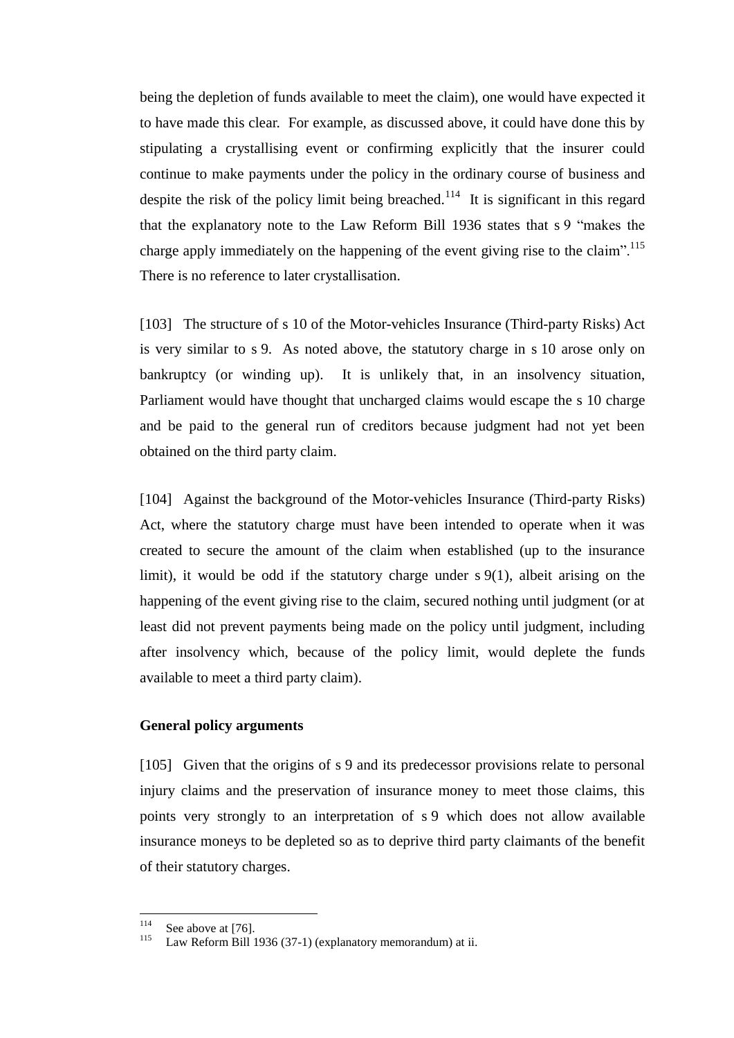being the depletion of funds available to meet the claim), one would have expected it to have made this clear. For example, as discussed above, it could have done this by stipulating a crystallising event or confirming explicitly that the insurer could continue to make payments under the policy in the ordinary course of business and despite the risk of the policy limit being breached.<sup>114</sup> It is significant in this regard that the explanatory note to the Law Reform Bill 1936 states that s 9 "makes the charge apply immediately on the happening of the event giving rise to the claim".<sup>115</sup> There is no reference to later crystallisation.

[103] The structure of s 10 of the Motor-vehicles Insurance (Third-party Risks) Act is very similar to s 9. As noted above, the statutory charge in s 10 arose only on bankruptcy (or winding up). It is unlikely that, in an insolvency situation, Parliament would have thought that uncharged claims would escape the s 10 charge and be paid to the general run of creditors because judgment had not yet been obtained on the third party claim.

[104] Against the background of the Motor-vehicles Insurance (Third-party Risks) Act, where the statutory charge must have been intended to operate when it was created to secure the amount of the claim when established (up to the insurance limit), it would be odd if the statutory charge under s 9(1), albeit arising on the happening of the event giving rise to the claim, secured nothing until judgment (or at least did not prevent payments being made on the policy until judgment, including after insolvency which, because of the policy limit, would deplete the funds available to meet a third party claim).

## **General policy arguments**

<span id="page-32-0"></span>[105] Given that the origins of s 9 and its predecessor provisions relate to personal injury claims and the preservation of insurance money to meet those claims, this points very strongly to an interpretation of s 9 which does not allow available insurance moneys to be depleted so as to deprive third party claimants of the benefit of their statutory charges.

<sup>114</sup>  $\frac{114}{115}$  See above a[t \[76\].](#page-23-0)

Law Reform Bill 1936 (37-1) (explanatory memorandum) at ii.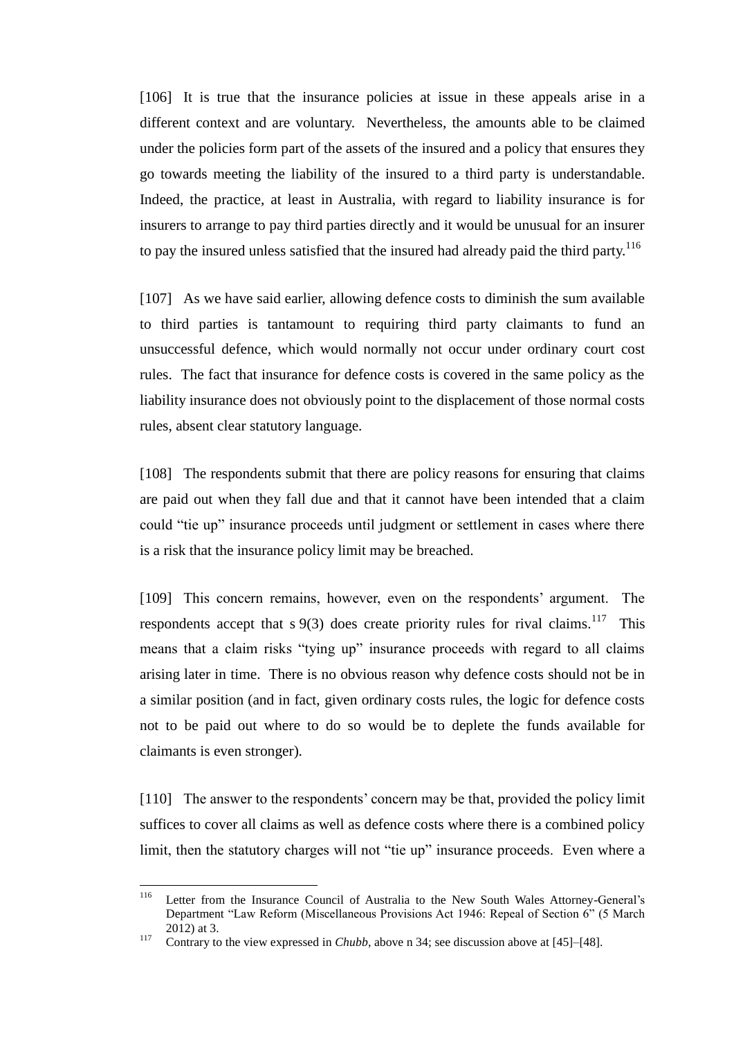[106] It is true that the insurance policies at issue in these appeals arise in a different context and are voluntary. Nevertheless, the amounts able to be claimed under the policies form part of the assets of the insured and a policy that ensures they go towards meeting the liability of the insured to a third party is understandable. Indeed, the practice, at least in Australia, with regard to liability insurance is for insurers to arrange to pay third parties directly and it would be unusual for an insurer to pay the insured unless satisfied that the insured had already paid the third party.<sup>116</sup>

[107] As we have said earlier, allowing defence costs to diminish the sum available to third parties is tantamount to requiring third party claimants to fund an unsuccessful defence, which would normally not occur under ordinary court cost rules. The fact that insurance for defence costs is covered in the same policy as the liability insurance does not obviously point to the displacement of those normal costs rules, absent clear statutory language.

[108] The respondents submit that there are policy reasons for ensuring that claims are paid out when they fall due and that it cannot have been intended that a claim could "tie up" insurance proceeds until judgment or settlement in cases where there is a risk that the insurance policy limit may be breached.

[109] This concern remains, however, even on the respondents' argument. The respondents accept that  $s \theta(3)$  does create priority rules for rival claims.<sup>117</sup> This means that a claim risks "tying up" insurance proceeds with regard to all claims arising later in time. There is no obvious reason why defence costs should not be in a similar position (and in fact, given ordinary costs rules, the logic for defence costs not to be paid out where to do so would be to deplete the funds available for claimants is even stronger).

[110] The answer to the respondents' concern may be that, provided the policy limit suffices to cover all claims as well as defence costs where there is a combined policy limit, then the statutory charges will not "tie up" insurance proceeds. Even where a

<sup>116</sup> Letter from the Insurance Council of Australia to the New South Wales Attorney-General's Department "Law Reform (Miscellaneous Provisions Act 1946: Repeal of Section 6" (5 March 2012) at 3.

<sup>&</sup>lt;sup>117</sup> Contrary to the view expressed in *Chubb*, above n [34;](#page-13-1) see discussion above at [\[45\]–](#page-14-1)[\[48\].](#page-15-0)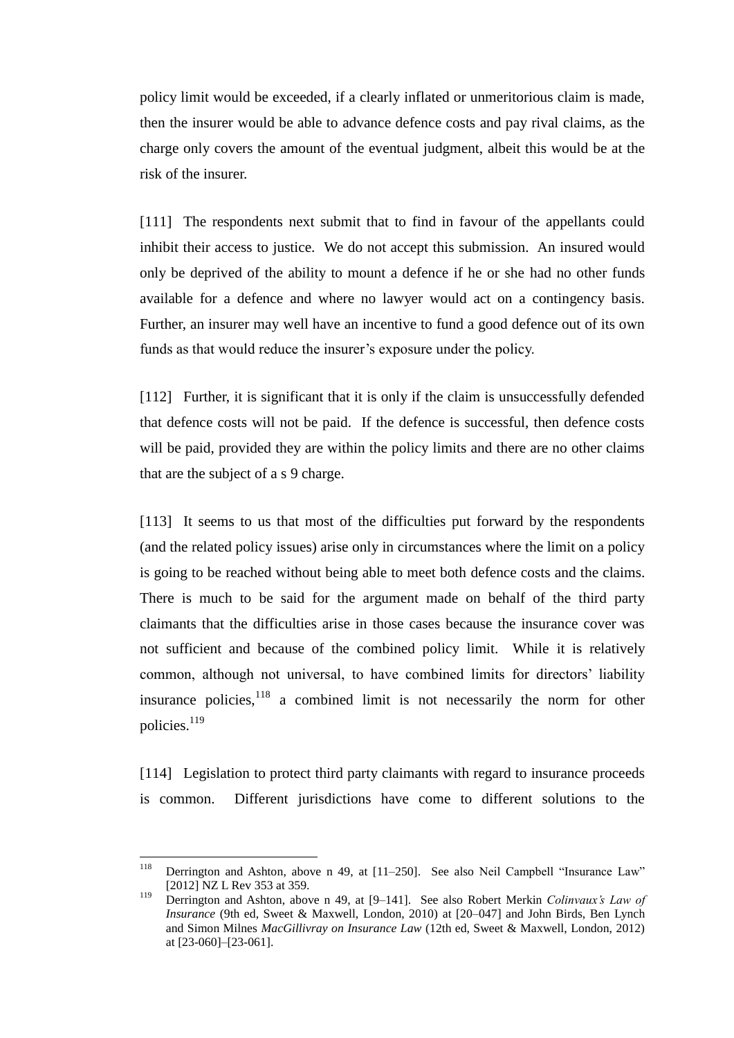policy limit would be exceeded, if a clearly inflated or unmeritorious claim is made, then the insurer would be able to advance defence costs and pay rival claims, as the charge only covers the amount of the eventual judgment, albeit this would be at the risk of the insurer.

[111] The respondents next submit that to find in favour of the appellants could inhibit their access to justice. We do not accept this submission. An insured would only be deprived of the ability to mount a defence if he or she had no other funds available for a defence and where no lawyer would act on a contingency basis. Further, an insurer may well have an incentive to fund a good defence out of its own funds as that would reduce the insurer's exposure under the policy.

[112] Further, it is significant that it is only if the claim is unsuccessfully defended that defence costs will not be paid. If the defence is successful, then defence costs will be paid, provided they are within the policy limits and there are no other claims that are the subject of a s 9 charge.

[113] It seems to us that most of the difficulties put forward by the respondents (and the related policy issues) arise only in circumstances where the limit on a policy is going to be reached without being able to meet both defence costs and the claims. There is much to be said for the argument made on behalf of the third party claimants that the difficulties arise in those cases because the insurance cover was not sufficient and because of the combined policy limit. While it is relatively common, although not universal, to have combined limits for directors' liability insurance policies,<sup>118</sup> a combined limit is not necessarily the norm for other policies.<sup>119</sup>

<span id="page-34-0"></span>[114] Legislation to protect third party claimants with regard to insurance proceeds is common. Different jurisdictions have come to different solutions to the

<sup>118</sup> Derrington and Ashton, above n [49,](#page-16-0) at [11–250]. See also Neil Campbell "Insurance Law" [2012] NZ L Rev 353 at 359.

<sup>119</sup> Derrington and Ashton, above n [49,](#page-16-0) at [9–141]. See also Robert Merkin *Colinvaux's Law of Insurance* (9th ed, Sweet & Maxwell, London, 2010) at [20–047] and John Birds, Ben Lynch and Simon Milnes *MacGillivray on Insurance Law* (12th ed, Sweet & Maxwell, London, 2012) at [23-060]–[23-061].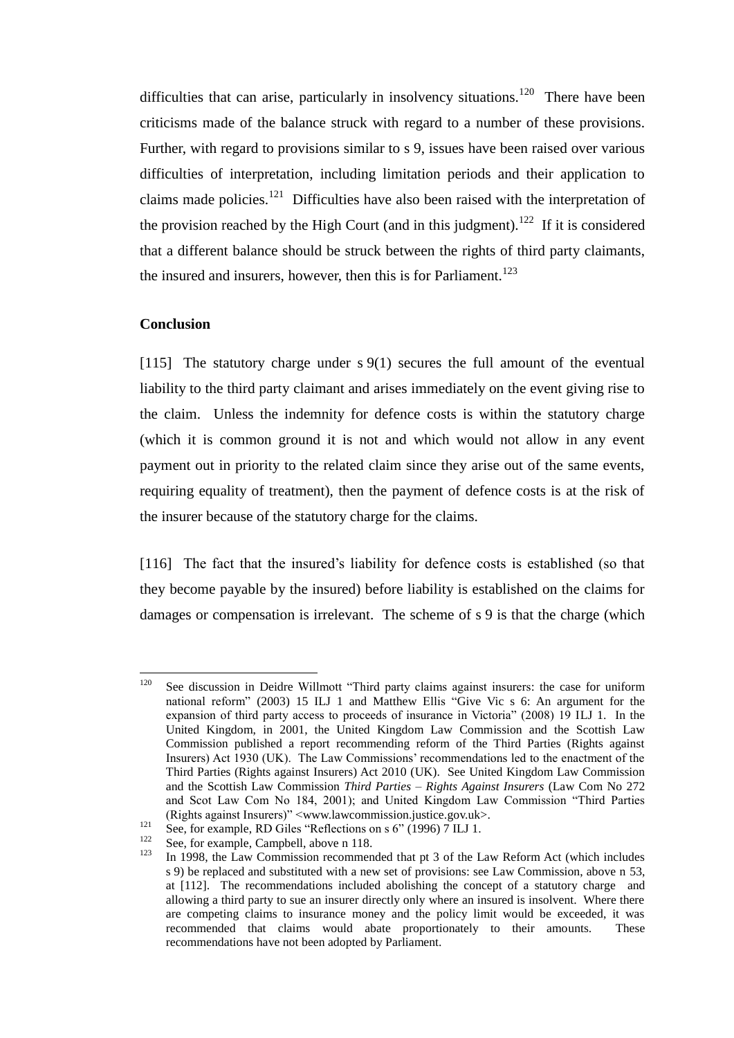difficulties that can arise, particularly in insolvency situations.<sup>120</sup> There have been criticisms made of the balance struck with regard to a number of these provisions. Further, with regard to provisions similar to s 9, issues have been raised over various difficulties of interpretation, including limitation periods and their application to claims made policies.<sup>121</sup> Difficulties have also been raised with the interpretation of the provision reached by the High Court (and in this judgment).<sup>122</sup> If it is considered that a different balance should be struck between the rights of third party claimants, the insured and insurers, however, then this is for Parliament.<sup>123</sup>

# **Conclusion**

<span id="page-35-0"></span>[115] The statutory charge under s 9(1) secures the full amount of the eventual liability to the third party claimant and arises immediately on the event giving rise to the claim. Unless the indemnity for defence costs is within the statutory charge (which it is common ground it is not and which would not allow in any event payment out in priority to the related claim since they arise out of the same events, requiring equality of treatment), then the payment of defence costs is at the risk of the insurer because of the statutory charge for the claims.

[116] The fact that the insured's liability for defence costs is established (so that they become payable by the insured) before liability is established on the claims for damages or compensation is irrelevant. The scheme of s 9 is that the charge (which

<sup>120</sup> See discussion in Deidre Willmott "Third party claims against insurers: the case for uniform national reform" (2003) 15 ILJ 1 and Matthew Ellis "Give Vic s 6: An argument for the expansion of third party access to proceeds of insurance in Victoria" (2008) 19 ILJ 1. In the United Kingdom, in 2001, the United Kingdom Law Commission and the Scottish Law Commission published a report recommending reform of the Third Parties (Rights against Insurers) Act 1930 (UK). The Law Commissions' recommendations led to the enactment of the Third Parties (Rights against Insurers) Act 2010 (UK). See United Kingdom Law Commission and the Scottish Law Commission *Third Parties – Rights Against Insurers* (Law Com No 272 and Scot Law Com No 184, 2001); and United Kingdom Law Commission "Third Parties (Rights against Insurers)" [<www.lawcommission.justice.gov.uk>](http://www.lawcommission.justice.gov.uk/).

<sup>&</sup>lt;sup>121</sup> See, for example, RD Giles "Reflections on s 6" (1996) 7 ILJ 1.

<sup>&</sup>lt;sup>122</sup> See, for example, Campbell, above n [118.](#page-34-0)<br><sup>123</sup> In 1008, the Law Commission meanman

<sup>123</sup> In 1998, the Law Commission recommended that pt 3 of the Law Reform Act (which includes s 9) be replaced and substituted with a new set of provisions: see Law Commission, above n [53,](#page-17-1) at [112]. The recommendations included abolishing the concept of a statutory charge and allowing a third party to sue an insurer directly only where an insured is insolvent. Where there are competing claims to insurance money and the policy limit would be exceeded, it was recommended that claims would abate proportionately to their amounts. These recommendations have not been adopted by Parliament.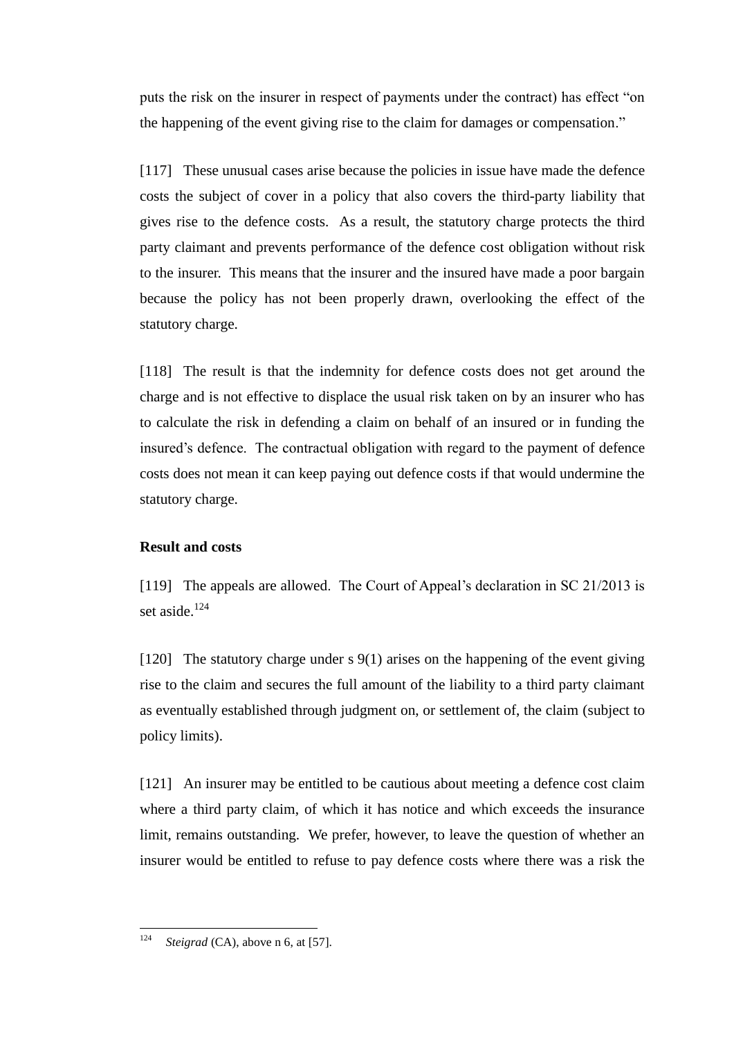puts the risk on the insurer in respect of payments under the contract) has effect "on the happening of the event giving rise to the claim for damages or compensation."

[117] These unusual cases arise because the policies in issue have made the defence costs the subject of cover in a policy that also covers the third-party liability that gives rise to the defence costs. As a result, the statutory charge protects the third party claimant and prevents performance of the defence cost obligation without risk to the insurer. This means that the insurer and the insured have made a poor bargain because the policy has not been properly drawn, overlooking the effect of the statutory charge.

[118] The result is that the indemnity for defence costs does not get around the charge and is not effective to displace the usual risk taken on by an insurer who has to calculate the risk in defending a claim on behalf of an insured or in funding the insured's defence. The contractual obligation with regard to the payment of defence costs does not mean it can keep paying out defence costs if that would undermine the statutory charge.

### **Result and costs**

<span id="page-36-0"></span>[119] The appeals are allowed. The Court of Appeal's declaration in SC 21/2013 is set aside.<sup>124</sup>

[120] The statutory charge under s 9(1) arises on the happening of the event giving rise to the claim and secures the full amount of the liability to a third party claimant as eventually established through judgment on, or settlement of, the claim (subject to policy limits).

[121] An insurer may be entitled to be cautious about meeting a defence cost claim where a third party claim, of which it has notice and which exceeds the insurance limit, remains outstanding. We prefer, however, to leave the question of whether an insurer would be entitled to refuse to pay defence costs where there was a risk the

<sup>124</sup> *Steigrad* (CA), above n [6,](#page-4-2) at [57].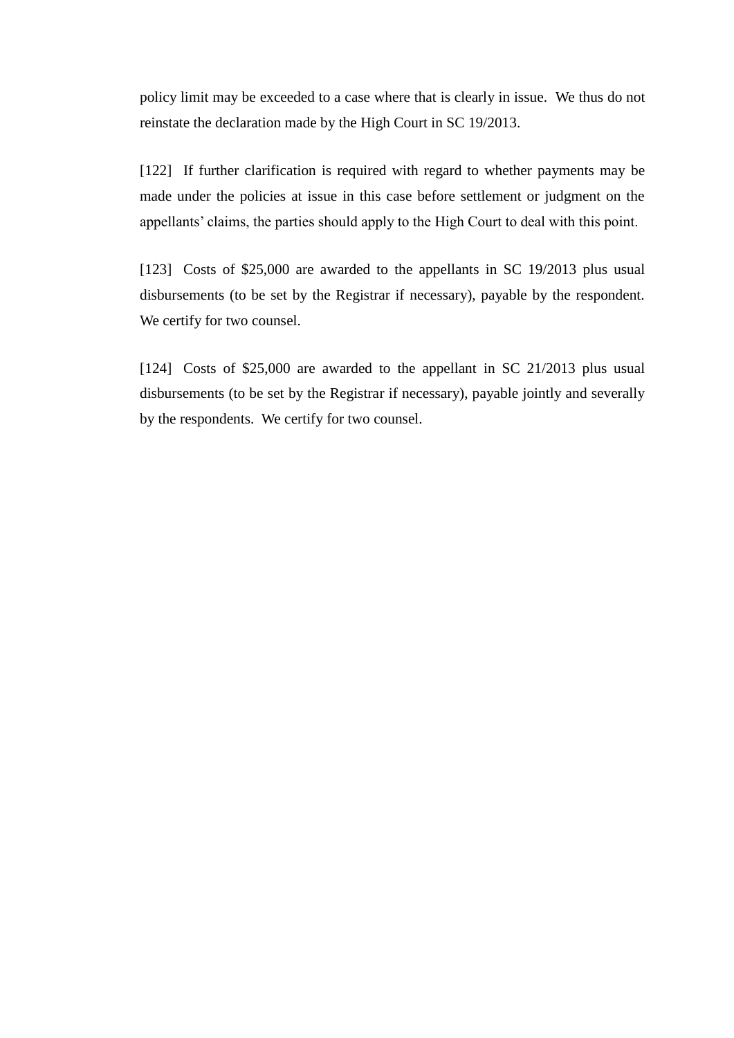policy limit may be exceeded to a case where that is clearly in issue. We thus do not reinstate the declaration made by the High Court in SC 19/2013.

[122] If further clarification is required with regard to whether payments may be made under the policies at issue in this case before settlement or judgment on the appellants' claims, the parties should apply to the High Court to deal with this point.

[123] Costs of \$25,000 are awarded to the appellants in SC 19/2013 plus usual disbursements (to be set by the Registrar if necessary), payable by the respondent. We certify for two counsel.

[124] Costs of \$25,000 are awarded to the appellant in SC 21/2013 plus usual disbursements (to be set by the Registrar if necessary), payable jointly and severally by the respondents. We certify for two counsel.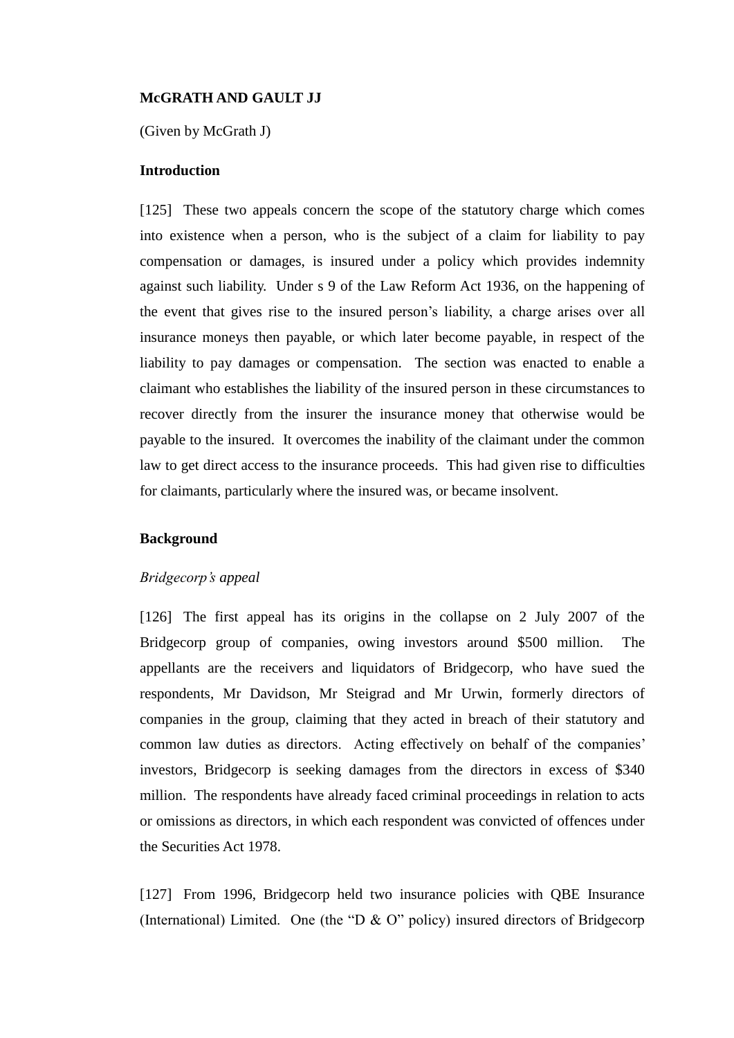## **McGRATH AND GAULT JJ**

(Given by McGrath J)

## **Introduction**

<span id="page-38-0"></span>[125] These two appeals concern the scope of the statutory charge which comes into existence when a person, who is the subject of a claim for liability to pay compensation or damages, is insured under a policy which provides indemnity against such liability. Under s 9 of the Law Reform Act 1936, on the happening of the event that gives rise to the insured person's liability, a charge arises over all insurance moneys then payable, or which later become payable, in respect of the liability to pay damages or compensation. The section was enacted to enable a claimant who establishes the liability of the insured person in these circumstances to recover directly from the insurer the insurance money that otherwise would be payable to the insured. It overcomes the inability of the claimant under the common law to get direct access to the insurance proceeds. This had given rise to difficulties for claimants, particularly where the insured was, or became insolvent.

## **Background**

## *Bridgecorp's appeal*

[126] The first appeal has its origins in the collapse on 2 July 2007 of the Bridgecorp group of companies, owing investors around \$500 million. The appellants are the receivers and liquidators of Bridgecorp, who have sued the respondents, Mr Davidson, Mr Steigrad and Mr Urwin, formerly directors of companies in the group, claiming that they acted in breach of their statutory and common law duties as directors. Acting effectively on behalf of the companies' investors, Bridgecorp is seeking damages from the directors in excess of \$340 million. The respondents have already faced criminal proceedings in relation to acts or omissions as directors, in which each respondent was convicted of offences under the Securities Act 1978.

[127] From 1996, Bridgecorp held two insurance policies with QBE Insurance (International) Limited. One (the "D & O" policy) insured directors of Bridgecorp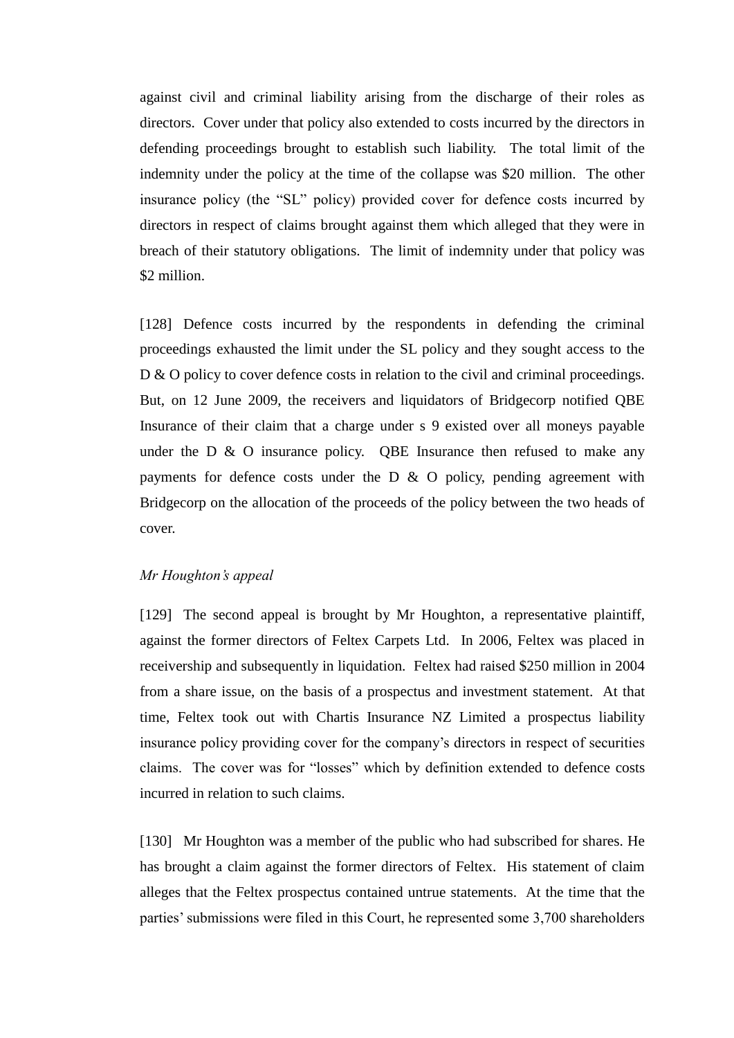against civil and criminal liability arising from the discharge of their roles as directors. Cover under that policy also extended to costs incurred by the directors in defending proceedings brought to establish such liability. The total limit of the indemnity under the policy at the time of the collapse was \$20 million. The other insurance policy (the "SL" policy) provided cover for defence costs incurred by directors in respect of claims brought against them which alleged that they were in breach of their statutory obligations. The limit of indemnity under that policy was \$2 million.

[128] Defence costs incurred by the respondents in defending the criminal proceedings exhausted the limit under the SL policy and they sought access to the D & O policy to cover defence costs in relation to the civil and criminal proceedings. But, on 12 June 2009, the receivers and liquidators of Bridgecorp notified QBE Insurance of their claim that a charge under s 9 existed over all moneys payable under the  $D \& O$  insurance policy. QBE Insurance then refused to make any payments for defence costs under the D & O policy, pending agreement with Bridgecorp on the allocation of the proceeds of the policy between the two heads of cover.

## *Mr Houghton's appeal*

[129] The second appeal is brought by Mr Houghton, a representative plaintiff, against the former directors of Feltex Carpets Ltd. In 2006, Feltex was placed in receivership and subsequently in liquidation. Feltex had raised \$250 million in 2004 from a share issue, on the basis of a prospectus and investment statement. At that time, Feltex took out with Chartis Insurance NZ Limited a prospectus liability insurance policy providing cover for the company's directors in respect of securities claims. The cover was for "losses" which by definition extended to defence costs incurred in relation to such claims.

[130] Mr Houghton was a member of the public who had subscribed for shares. He has brought a claim against the former directors of Feltex. His statement of claim alleges that the Feltex prospectus contained untrue statements. At the time that the parties' submissions were filed in this Court, he represented some 3,700 shareholders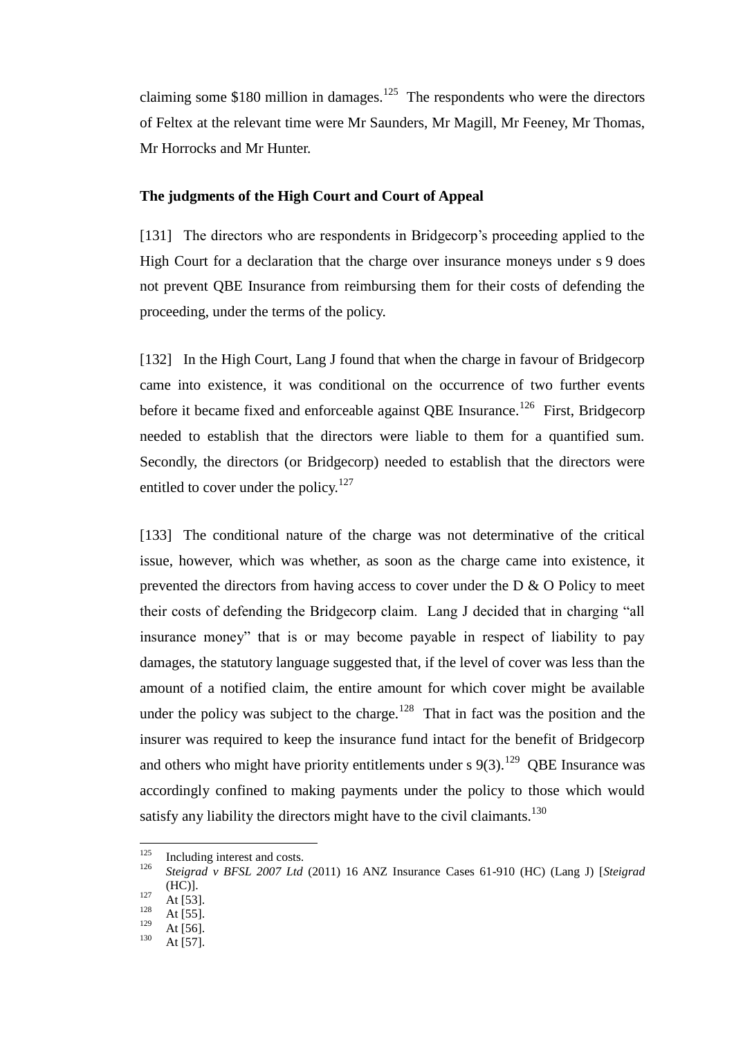claiming some \$180 million in damages.<sup>125</sup> The respondents who were the directors of Feltex at the relevant time were Mr Saunders, Mr Magill, Mr Feeney, Mr Thomas, Mr Horrocks and Mr Hunter.

#### **The judgments of the High Court and Court of Appeal**

[131] The directors who are respondents in Bridgecorp's proceeding applied to the High Court for a declaration that the charge over insurance moneys under s 9 does not prevent QBE Insurance from reimbursing them for their costs of defending the proceeding, under the terms of the policy.

<span id="page-40-0"></span>[132] In the High Court, Lang J found that when the charge in favour of Bridgecorp came into existence, it was conditional on the occurrence of two further events before it became fixed and enforceable against QBE Insurance.<sup>126</sup> First, Bridgecorp needed to establish that the directors were liable to them for a quantified sum. Secondly, the directors (or Bridgecorp) needed to establish that the directors were entitled to cover under the policy.<sup>127</sup>

[133] The conditional nature of the charge was not determinative of the critical issue, however, which was whether, as soon as the charge came into existence, it prevented the directors from having access to cover under the D & O Policy to meet their costs of defending the Bridgecorp claim. Lang J decided that in charging "all insurance money" that is or may become payable in respect of liability to pay damages, the statutory language suggested that, if the level of cover was less than the amount of a notified claim, the entire amount for which cover might be available under the policy was subject to the charge.<sup>128</sup> That in fact was the position and the insurer was required to keep the insurance fund intact for the benefit of Bridgecorp and others who might have priority entitlements under s  $9(3)$ .<sup>129</sup> QBE Insurance was accordingly confined to making payments under the policy to those which would satisfy any liability the directors might have to the civil claimants.<sup>130</sup>

<sup>125</sup>  $125$  Including interest and costs.<br> $126$  Steinward in RESI 2007 Ltd.

<sup>126</sup> *Steigrad v BFSL 2007 Ltd* (2011) 16 ANZ Insurance Cases 61-910 (HC) (Lang J) [*Steigrad*  (HC)].

 $127 \text{ At } 53$ .

 $128$  At [55].

 $\frac{129}{130}$  At [56].

At  $[57]$ .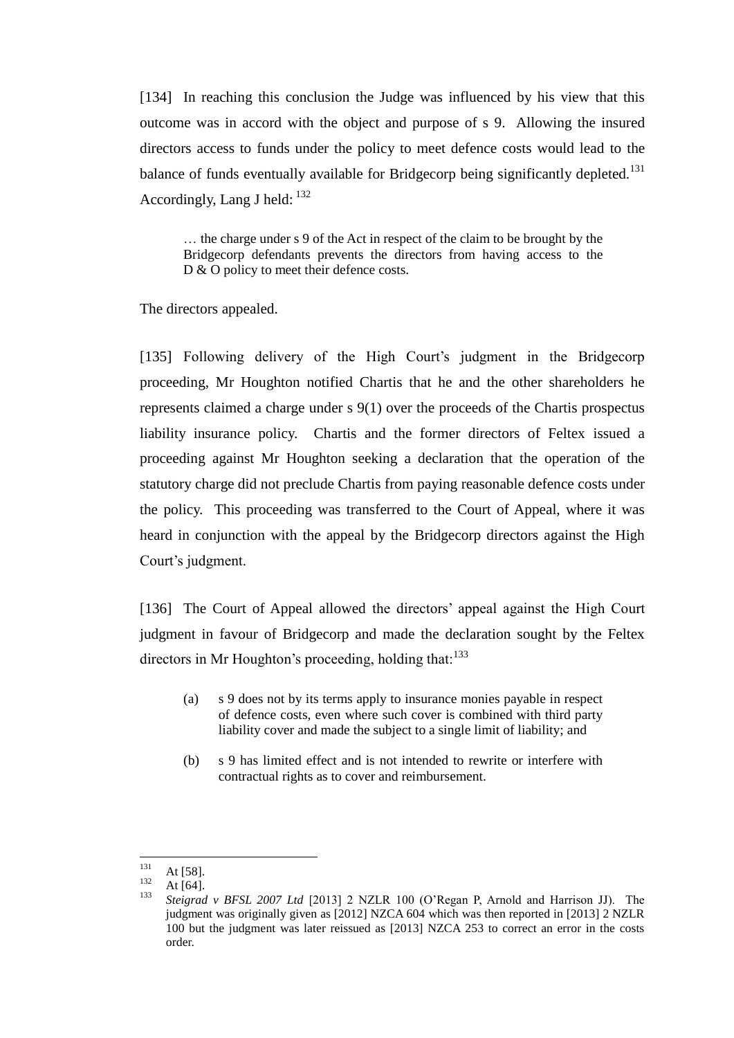[134] In reaching this conclusion the Judge was influenced by his view that this outcome was in accord with the object and purpose of s 9. Allowing the insured directors access to funds under the policy to meet defence costs would lead to the balance of funds eventually available for Bridgecorp being significantly depleted.<sup>131</sup> Accordingly, Lang J held:  $132$ 

… the charge under s 9 of the Act in respect of the claim to be brought by the Bridgecorp defendants prevents the directors from having access to the D & O policy to meet their defence costs.

The directors appealed.

[135] Following delivery of the High Court's judgment in the Bridgecorp proceeding, Mr Houghton notified Chartis that he and the other shareholders he represents claimed a charge under s 9(1) over the proceeds of the Chartis prospectus liability insurance policy. Chartis and the former directors of Feltex issued a proceeding against Mr Houghton seeking a declaration that the operation of the statutory charge did not preclude Chartis from paying reasonable defence costs under the policy. This proceeding was transferred to the Court of Appeal, where it was heard in conjunction with the appeal by the Bridgecorp directors against the High Court's judgment.

[136] The Court of Appeal allowed the directors' appeal against the High Court judgment in favour of Bridgecorp and made the declaration sought by the Feltex directors in Mr Houghton's proceeding, holding that:<sup>133</sup>

- (a) s 9 does not by its terms apply to insurance monies payable in respect of defence costs, even where such cover is combined with third party liability cover and made the subject to a single limit of liability; and
- (b) s 9 has limited effect and is not intended to rewrite or interfere with contractual rights as to cover and reimbursement.

<sup>131</sup>  $131$  At [58].

 $\frac{132}{133}$  At [64].

<sup>133</sup> *Steigrad v BFSL 2007 Ltd* [2013] 2 NZLR 100 (O'Regan P, Arnold and Harrison JJ). The judgment was originally given as [2012] NZCA 604 which was then reported in [2013] 2 NZLR 100 but the judgment was later reissued as [2013] NZCA 253 to correct an error in the costs order.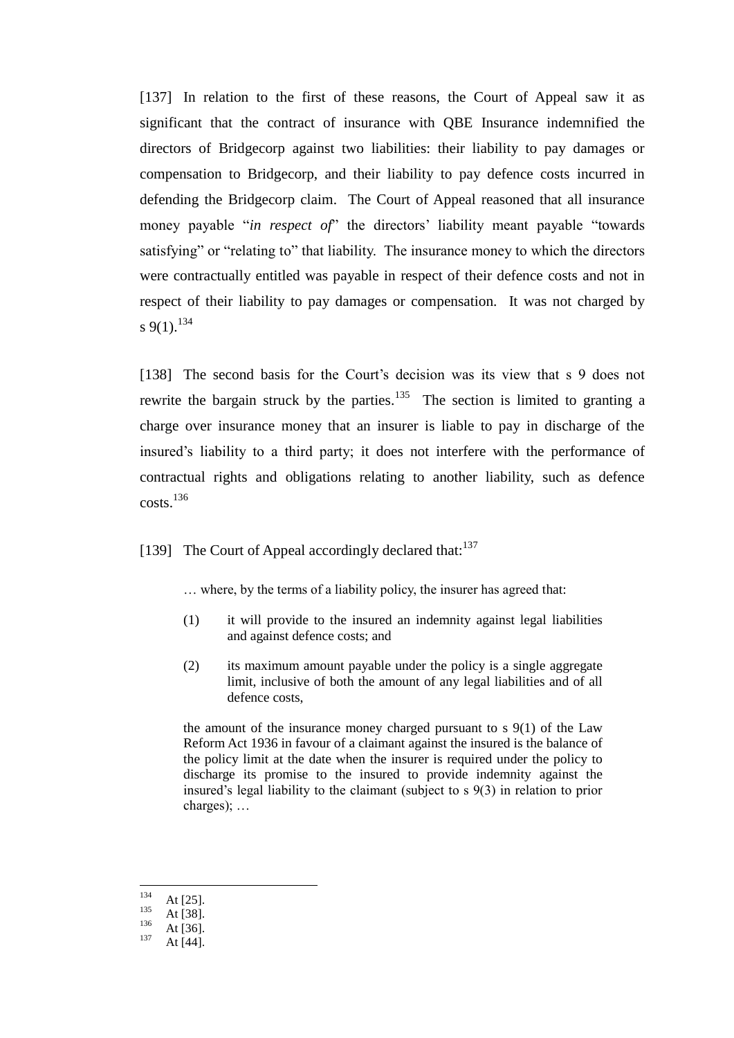[137] In relation to the first of these reasons, the Court of Appeal saw it as significant that the contract of insurance with QBE Insurance indemnified the directors of Bridgecorp against two liabilities: their liability to pay damages or compensation to Bridgecorp, and their liability to pay defence costs incurred in defending the Bridgecorp claim. The Court of Appeal reasoned that all insurance money payable "*in respect of*" the directors' liability meant payable "towards satisfying" or "relating to" that liability. The insurance money to which the directors were contractually entitled was payable in respect of their defence costs and not in respect of their liability to pay damages or compensation. It was not charged by s 9(1).<sup>134</sup>

[138] The second basis for the Court's decision was its view that s 9 does not rewrite the bargain struck by the parties.<sup>135</sup> The section is limited to granting a charge over insurance money that an insurer is liable to pay in discharge of the insured's liability to a third party; it does not interfere with the performance of contractual rights and obligations relating to another liability, such as defence  $costs.<sup>136</sup>$ 

[139] The Court of Appeal accordingly declared that:  $137$ 

… where, by the terms of a liability policy, the insurer has agreed that:

- (1) it will provide to the insured an indemnity against legal liabilities and against defence costs; and
- (2) its maximum amount payable under the policy is a single aggregate limit, inclusive of both the amount of any legal liabilities and of all defence costs,

the amount of the insurance money charged pursuant to  $s \theta(1)$  of the Law Reform Act 1936 in favour of a claimant against the insured is the balance of the policy limit at the date when the insurer is required under the policy to discharge its promise to the insured to provide indemnity against the insured's legal liability to the claimant (subject to s 9(3) in relation to prior charges); …

<sup>134</sup>  $\frac{134}{135}$  At [25].

 $135$  At [38].

 $\frac{136}{137}$  At [36].

At [44].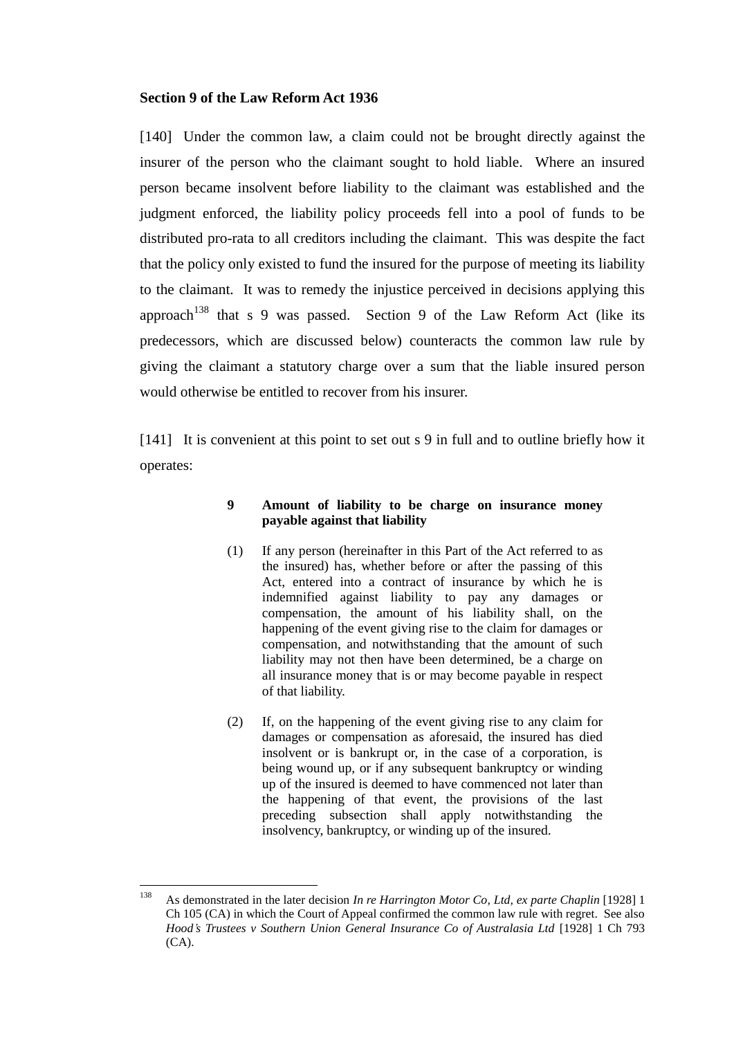### **Section 9 of the Law Reform Act 1936**

[140] Under the common law, a claim could not be brought directly against the insurer of the person who the claimant sought to hold liable. Where an insured person became insolvent before liability to the claimant was established and the judgment enforced, the liability policy proceeds fell into a pool of funds to be distributed pro-rata to all creditors including the claimant. This was despite the fact that the policy only existed to fund the insured for the purpose of meeting its liability to the claimant. It was to remedy the injustice perceived in decisions applying this approach<sup>138</sup> that s 9 was passed. Section 9 of the Law Reform Act (like its predecessors, which are discussed below) counteracts the common law rule by giving the claimant a statutory charge over a sum that the liable insured person would otherwise be entitled to recover from his insurer.

<span id="page-43-0"></span>[141] It is convenient at this point to set out s 9 in full and to outline briefly how it operates:

## **9 Amount of liability to be charge on insurance money payable against that liability**

- (1) If any person (hereinafter in this Part of the Act referred to as the insured) has, whether before or after the passing of this Act, entered into a contract of insurance by which he is indemnified against liability to pay any damages or compensation, the amount of his liability shall, on the happening of the event giving rise to the claim for damages or compensation, and notwithstanding that the amount of such liability may not then have been determined, be a charge on all insurance money that is or may become payable in respect of that liability.
- (2) If, on the happening of the event giving rise to any claim for damages or compensation as aforesaid, the insured has died insolvent or is bankrupt or, in the case of a corporation, is being wound up, or if any subsequent bankruptcy or winding up of the insured is deemed to have commenced not later than the happening of that event, the provisions of the last preceding subsection shall apply notwithstanding the insolvency, bankruptcy, or winding up of the insured.

<sup>138</sup> <sup>138</sup> As demonstrated in the later decision *In re Harrington Motor Co, Ltd, ex parte Chaplin* [1928] 1 Ch 105 (CA) in which the Court of Appeal confirmed the common law rule with regret. See also *Hood's Trustees v Southern Union General Insurance Co of Australasia Ltd* [1928] 1 Ch 793 (CA).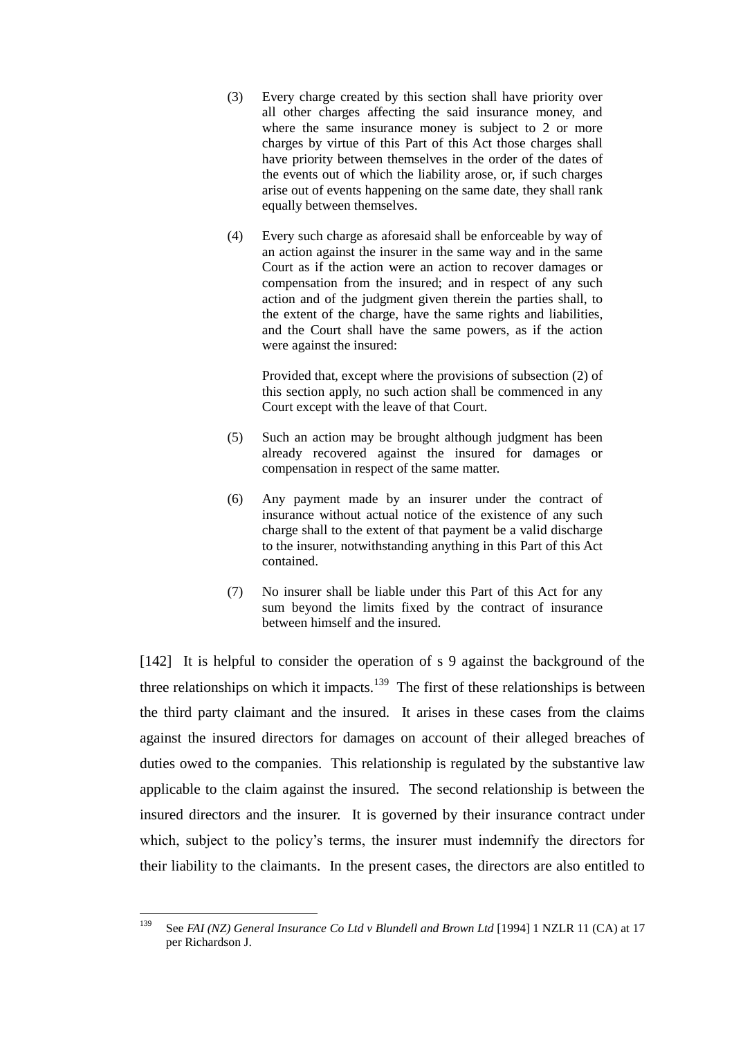- (3) Every charge created by this section shall have priority over all other charges affecting the said insurance money, and where the same insurance money is subject to 2 or more charges by virtue of this Part of this Act those charges shall have priority between themselves in the order of the dates of the events out of which the liability arose, or, if such charges arise out of events happening on the same date, they shall rank equally between themselves.
- (4) Every such charge as aforesaid shall be enforceable by way of an action against the insurer in the same way and in the same Court as if the action were an action to recover damages or compensation from the insured; and in respect of any such action and of the judgment given therein the parties shall, to the extent of the charge, have the same rights and liabilities, and the Court shall have the same powers, as if the action were against the insured:

Provided that, except where the provisions of subsection (2) of this section apply, no such action shall be commenced in any Court except with the leave of that Court.

- (5) Such an action may be brought although judgment has been already recovered against the insured for damages or compensation in respect of the same matter.
- (6) Any payment made by an insurer under the contract of insurance without actual notice of the existence of any such charge shall to the extent of that payment be a valid discharge to the insurer, notwithstanding anything in this Part of this Act contained.
- <span id="page-44-0"></span>(7) No insurer shall be liable under this Part of this Act for any sum beyond the limits fixed by the contract of insurance between himself and the insured.

[142] It is helpful to consider the operation of s 9 against the background of the three relationships on which it impacts.<sup>139</sup> The first of these relationships is between the third party claimant and the insured. It arises in these cases from the claims against the insured directors for damages on account of their alleged breaches of duties owed to the companies. This relationship is regulated by the substantive law applicable to the claim against the insured. The second relationship is between the insured directors and the insurer. It is governed by their insurance contract under which, subject to the policy's terms, the insurer must indemnify the directors for their liability to the claimants. In the present cases, the directors are also entitled to

<sup>139</sup> <sup>139</sup> See *FAI (NZ) General Insurance Co Ltd v Blundell and Brown Ltd* [1994] 1 NZLR 11 (CA) at 17 per Richardson J.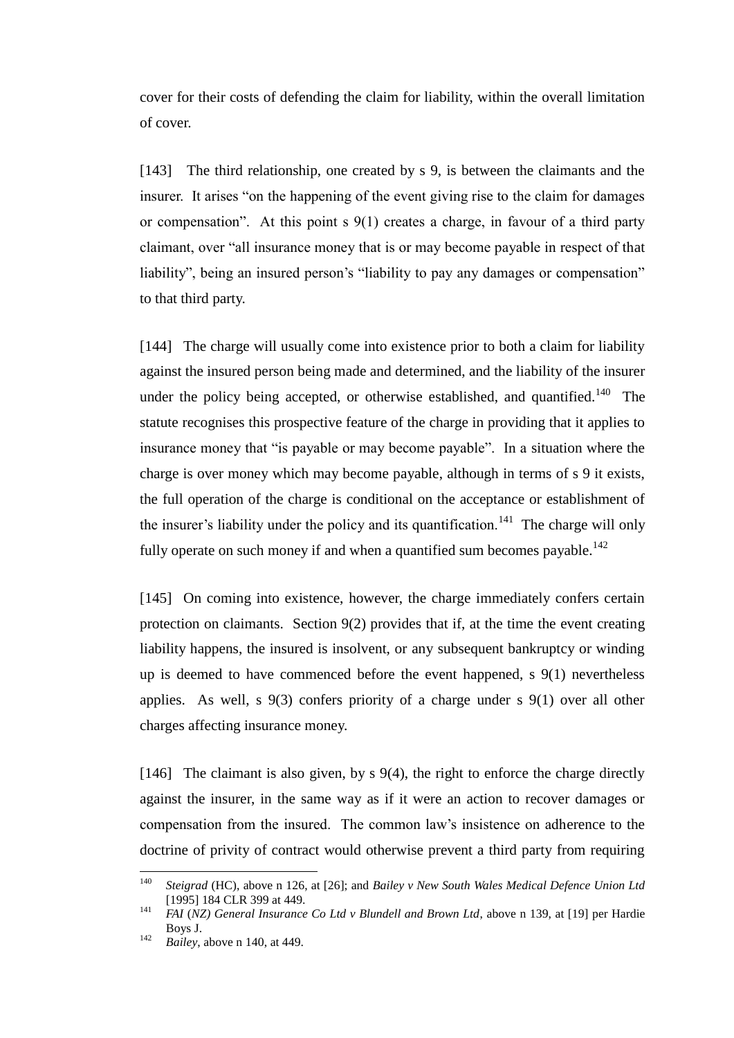cover for their costs of defending the claim for liability, within the overall limitation of cover.

[143] The third relationship, one created by s 9, is between the claimants and the insurer. It arises "on the happening of the event giving rise to the claim for damages or compensation". At this point s 9(1) creates a charge, in favour of a third party claimant, over "all insurance money that is or may become payable in respect of that liability", being an insured person's "liability to pay any damages or compensation" to that third party.

<span id="page-45-0"></span>[144] The charge will usually come into existence prior to both a claim for liability against the insured person being made and determined, and the liability of the insurer under the policy being accepted, or otherwise established, and quantified.<sup>140</sup> The statute recognises this prospective feature of the charge in providing that it applies to insurance money that "is payable or may become payable". In a situation where the charge is over money which may become payable, although in terms of s 9 it exists, the full operation of the charge is conditional on the acceptance or establishment of the insurer's liability under the policy and its quantification.<sup>141</sup> The charge will only fully operate on such money if and when a quantified sum becomes payable.<sup>142</sup>

[145] On coming into existence, however, the charge immediately confers certain protection on claimants. Section 9(2) provides that if, at the time the event creating liability happens, the insured is insolvent, or any subsequent bankruptcy or winding up is deemed to have commenced before the event happened, s 9(1) nevertheless applies. As well, s 9(3) confers priority of a charge under s 9(1) over all other charges affecting insurance money.

[146] The claimant is also given, by s 9(4), the right to enforce the charge directly against the insurer, in the same way as if it were an action to recover damages or compensation from the insured. The common law's insistence on adherence to the doctrine of privity of contract would otherwise prevent a third party from requiring

<sup>140</sup> <sup>140</sup> *Steigrad* (HC), above n [126,](#page-40-0) at [26]; and *Bailey v New South Wales Medical Defence Union Ltd*  [1995] 184 CLR 399 at 449.

<sup>141</sup> *FAI* (*NZ) General Insurance Co Ltd v Blundell and Brown Ltd*, above n [139,](#page-44-0) at [19] per Hardie Boys J.

<sup>142</sup> *Bailey*, above n [140,](#page-45-0) at 449.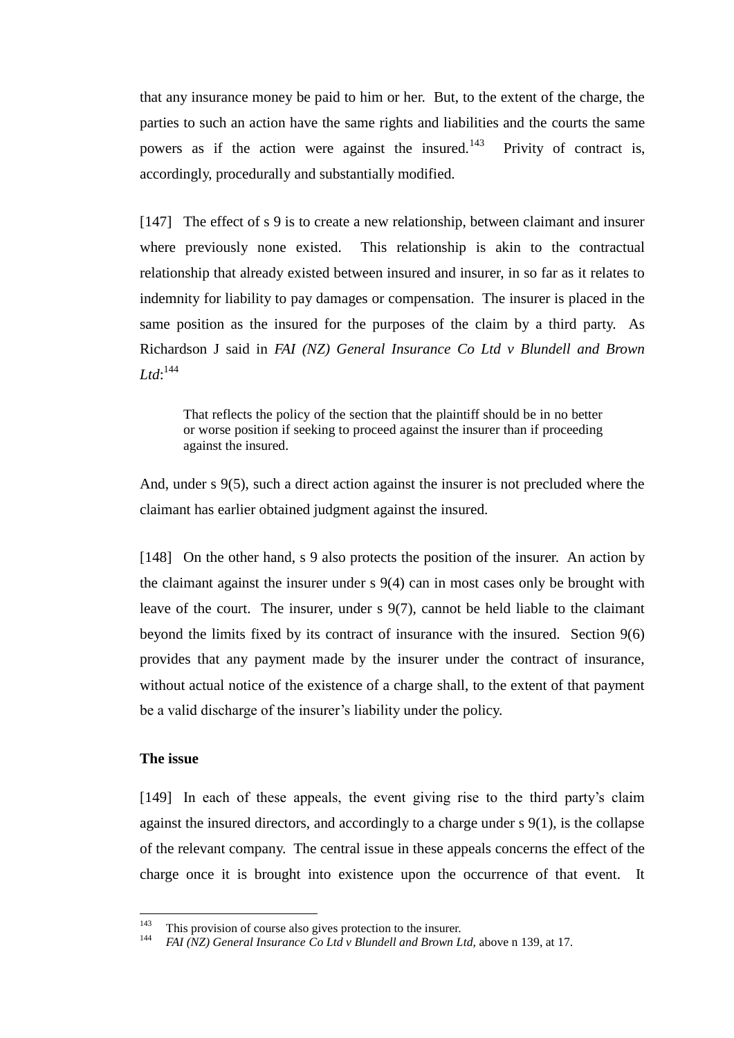that any insurance money be paid to him or her. But, to the extent of the charge, the parties to such an action have the same rights and liabilities and the courts the same powers as if the action were against the insured.<sup>143</sup> Privity of contract is, accordingly, procedurally and substantially modified.

[147] The effect of s 9 is to create a new relationship, between claimant and insurer where previously none existed. This relationship is akin to the contractual relationship that already existed between insured and insurer, in so far as it relates to indemnity for liability to pay damages or compensation. The insurer is placed in the same position as the insured for the purposes of the claim by a third party. As Richardson J said in *FAI (NZ) General Insurance Co Ltd v Blundell and Brown*   $Ltd$ <sup> $144$ </sup>

That reflects the policy of the section that the plaintiff should be in no better or worse position if seeking to proceed against the insurer than if proceeding against the insured.

And, under s 9(5), such a direct action against the insurer is not precluded where the claimant has earlier obtained judgment against the insured.

[148] On the other hand, s 9 also protects the position of the insurer. An action by the claimant against the insurer under s 9(4) can in most cases only be brought with leave of the court. The insurer, under  $s \frac{9(7)}{2}$ , cannot be held liable to the claimant beyond the limits fixed by its contract of insurance with the insured. Section 9(6) provides that any payment made by the insurer under the contract of insurance, without actual notice of the existence of a charge shall, to the extent of that payment be a valid discharge of the insurer's liability under the policy.

## **The issue**

[149] In each of these appeals, the event giving rise to the third party's claim against the insured directors, and accordingly to a charge under  $s\,9(1)$ , is the collapse of the relevant company. The central issue in these appeals concerns the effect of the charge once it is brought into existence upon the occurrence of that event. It

 $143$ <sup>143</sup> This provision of course also gives protection to the insurer.

<sup>144</sup> *FAI (NZ) General Insurance Co Ltd v Blundell and Brown Ltd*, above [n 139,](#page-44-0) at 17.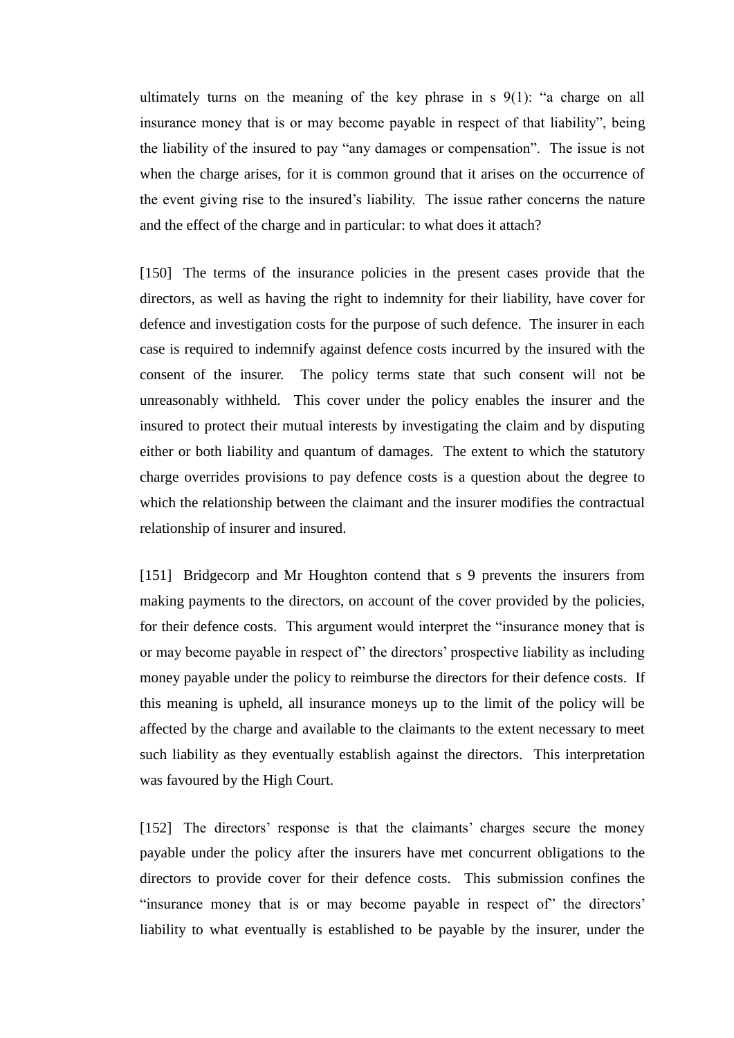ultimately turns on the meaning of the key phrase in s 9(1): "a charge on all insurance money that is or may become payable in respect of that liability", being the liability of the insured to pay "any damages or compensation". The issue is not when the charge arises, for it is common ground that it arises on the occurrence of the event giving rise to the insured's liability. The issue rather concerns the nature and the effect of the charge and in particular: to what does it attach?

[150] The terms of the insurance policies in the present cases provide that the directors, as well as having the right to indemnity for their liability, have cover for defence and investigation costs for the purpose of such defence. The insurer in each case is required to indemnify against defence costs incurred by the insured with the consent of the insurer. The policy terms state that such consent will not be unreasonably withheld. This cover under the policy enables the insurer and the insured to protect their mutual interests by investigating the claim and by disputing either or both liability and quantum of damages. The extent to which the statutory charge overrides provisions to pay defence costs is a question about the degree to which the relationship between the claimant and the insurer modifies the contractual relationship of insurer and insured.

[151] Bridgecorp and Mr Houghton contend that s 9 prevents the insurers from making payments to the directors, on account of the cover provided by the policies, for their defence costs. This argument would interpret the "insurance money that is or may become payable in respect of" the directors' prospective liability as including money payable under the policy to reimburse the directors for their defence costs. If this meaning is upheld, all insurance moneys up to the limit of the policy will be affected by the charge and available to the claimants to the extent necessary to meet such liability as they eventually establish against the directors. This interpretation was favoured by the High Court.

[152] The directors' response is that the claimants' charges secure the money payable under the policy after the insurers have met concurrent obligations to the directors to provide cover for their defence costs. This submission confines the "insurance money that is or may become payable in respect of" the directors' liability to what eventually is established to be payable by the insurer, under the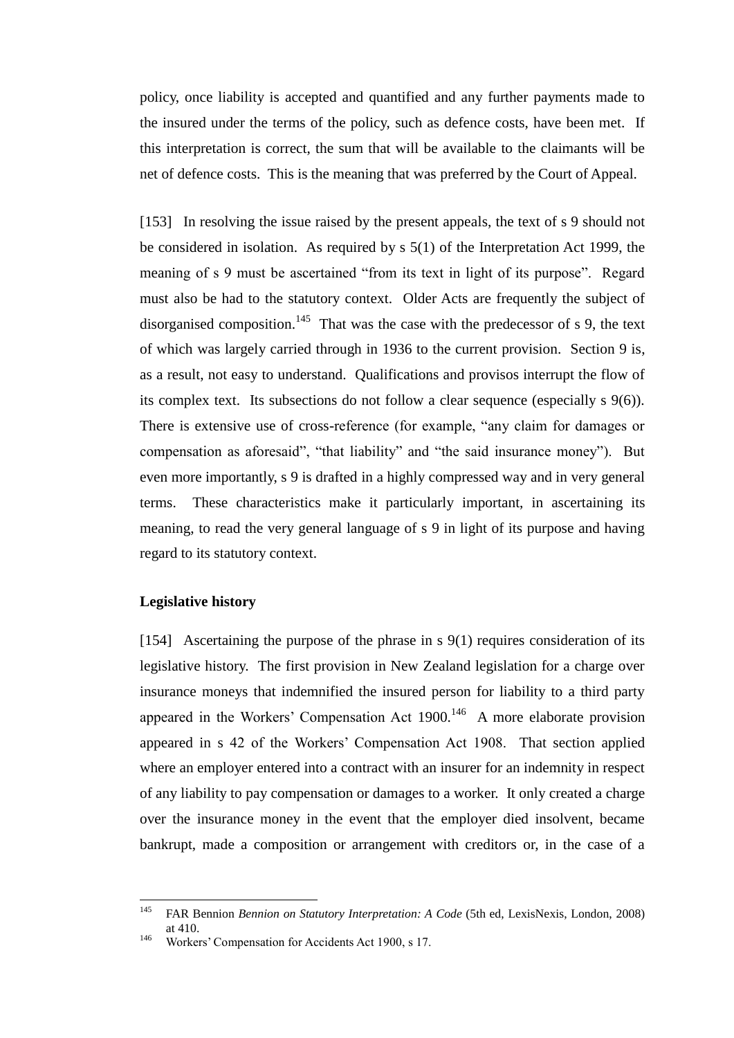policy, once liability is accepted and quantified and any further payments made to the insured under the terms of the policy, such as defence costs, have been met. If this interpretation is correct, the sum that will be available to the claimants will be net of defence costs. This is the meaning that was preferred by the Court of Appeal.

[153] In resolving the issue raised by the present appeals, the text of s 9 should not be considered in isolation. As required by s 5(1) of the Interpretation Act 1999, the meaning of s 9 must be ascertained "from its text in light of its purpose". Regard must also be had to the statutory context. Older Acts are frequently the subject of disorganised composition.<sup>145</sup> That was the case with the predecessor of s 9, the text of which was largely carried through in 1936 to the current provision. Section 9 is, as a result, not easy to understand. Qualifications and provisos interrupt the flow of its complex text. Its subsections do not follow a clear sequence (especially s 9(6)). There is extensive use of cross-reference (for example, "any claim for damages or compensation as aforesaid", "that liability" and "the said insurance money"). But even more importantly, s 9 is drafted in a highly compressed way and in very general terms. These characteristics make it particularly important, in ascertaining its meaning, to read the very general language of s 9 in light of its purpose and having regard to its statutory context.

## **Legislative history**

[154] Ascertaining the purpose of the phrase in s 9(1) requires consideration of its legislative history. The first provision in New Zealand legislation for a charge over insurance moneys that indemnified the insured person for liability to a third party appeared in the Workers' Compensation Act  $1900$ .<sup>146</sup> A more elaborate provision appeared in s 42 of the Workers' Compensation Act 1908. That section applied where an employer entered into a contract with an insurer for an indemnity in respect of any liability to pay compensation or damages to a worker. It only created a charge over the insurance money in the event that the employer died insolvent, became bankrupt, made a composition or arrangement with creditors or, in the case of a

<sup>145</sup> <sup>145</sup> FAR Bennion *Bennion on Statutory Interpretation: A Code* (5th ed, LexisNexis, London, 2008) at 410.

<sup>146</sup> Workers' Compensation for Accidents Act 1900, s 17.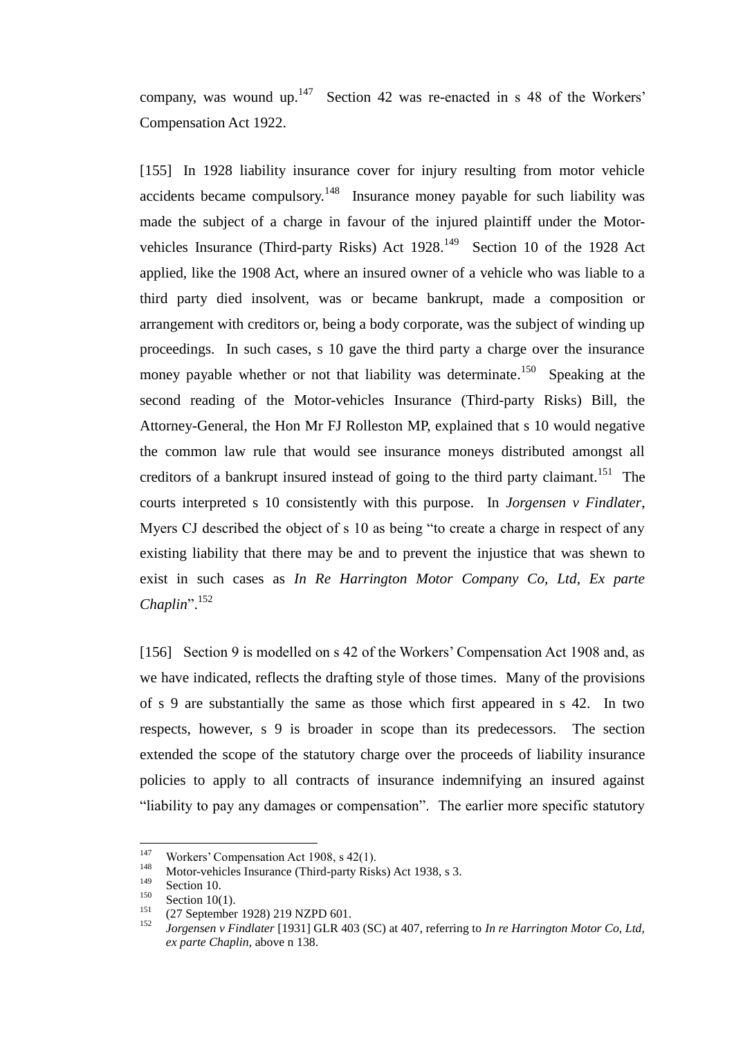company, was wound up. $147$  Section 42 was re-enacted in s 48 of the Workers' Compensation Act 1922.

[155] In 1928 liability insurance cover for injury resulting from motor vehicle accidents became compulsory.<sup>148</sup> Insurance money payable for such liability was made the subject of a charge in favour of the injured plaintiff under the Motorvehicles Insurance (Third-party Risks) Act  $1928$ .<sup>149</sup> Section 10 of the 1928 Act applied, like the 1908 Act, where an insured owner of a vehicle who was liable to a third party died insolvent, was or became bankrupt, made a composition or arrangement with creditors or, being a body corporate, was the subject of winding up proceedings. In such cases, s 10 gave the third party a charge over the insurance money payable whether or not that liability was determinate.<sup>150</sup> Speaking at the second reading of the Motor-vehicles Insurance (Third-party Risks) Bill, the Attorney-General, the Hon Mr FJ Rolleston MP, explained that s 10 would negative the common law rule that would see insurance moneys distributed amongst all creditors of a bankrupt insured instead of going to the third party claimant.<sup>151</sup> The courts interpreted s 10 consistently with this purpose. In *Jorgensen v Findlater*, Myers CJ described the object of s 10 as being "to create a charge in respect of any existing liability that there may be and to prevent the injustice that was shewn to exist in such cases as *In Re Harrington Motor Company Co, Ltd, Ex parte Chaplin*". 152

[156] Section 9 is modelled on s 42 of the Workers' Compensation Act 1908 and, as we have indicated, reflects the drafting style of those times. Many of the provisions of s 9 are substantially the same as those which first appeared in s 42. In two respects, however, s 9 is broader in scope than its predecessors. The section extended the scope of the statutory charge over the proceeds of liability insurance policies to apply to all contracts of insurance indemnifying an insured against "liability to pay any damages or compensation". The earlier more specific statutory

<sup>147</sup> <sup>147</sup> Workers' Compensation Act 1908, s  $42(1)$ .

<sup>148</sup> Motor-vehicles Insurance (Third-party Risks) Act 1938, s 3.

 $\frac{149}{150}$  Section 10.

 $150$  Section 10(1).

<sup>&</sup>lt;sup>151</sup> (27 September 1928) 219 NZPD 601.

<sup>152</sup> *Jorgensen v Findlater* [1931] GLR 403 (SC) at 407, referring to *In re Harrington Motor Co, Ltd, ex parte Chaplin*, above [n 138.](#page-43-0)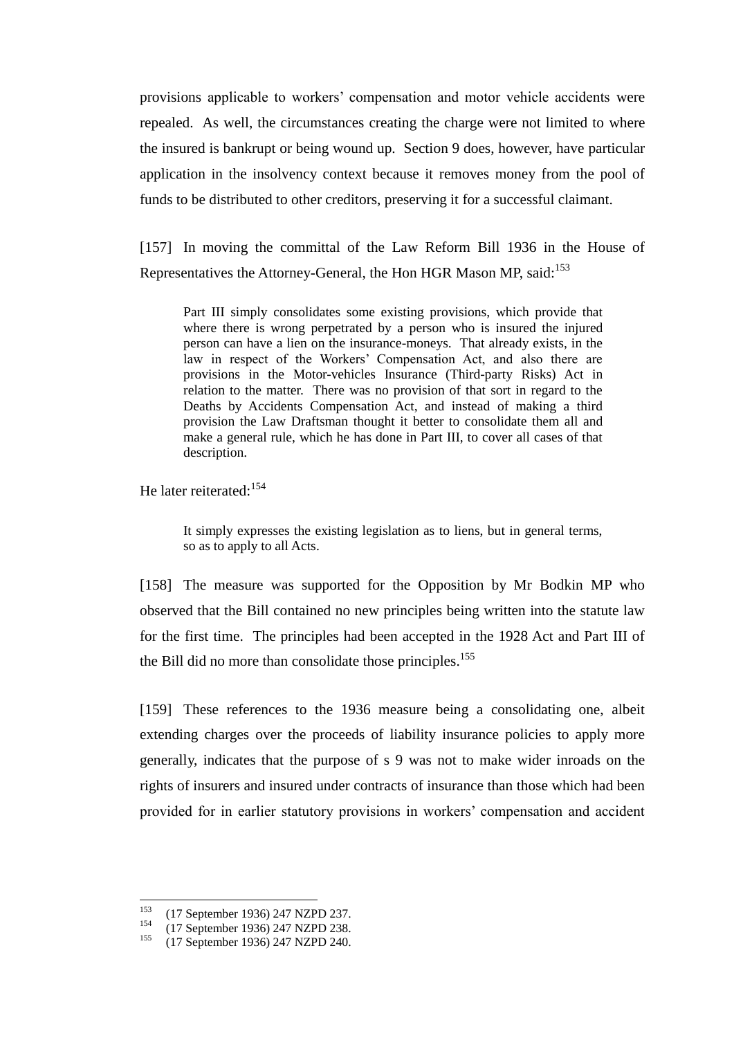provisions applicable to workers' compensation and motor vehicle accidents were repealed. As well, the circumstances creating the charge were not limited to where the insured is bankrupt or being wound up. Section 9 does, however, have particular application in the insolvency context because it removes money from the pool of funds to be distributed to other creditors, preserving it for a successful claimant.

[157] In moving the committal of the Law Reform Bill 1936 in the House of Representatives the Attorney-General, the Hon HGR Mason MP, said:<sup>153</sup>

Part III simply consolidates some existing provisions, which provide that where there is wrong perpetrated by a person who is insured the injured person can have a lien on the insurance-moneys. That already exists, in the law in respect of the Workers' Compensation Act, and also there are provisions in the Motor-vehicles Insurance (Third-party Risks) Act in relation to the matter. There was no provision of that sort in regard to the Deaths by Accidents Compensation Act, and instead of making a third provision the Law Draftsman thought it better to consolidate them all and make a general rule, which he has done in Part III, to cover all cases of that description.

He later reiterated:<sup>154</sup>

It simply expresses the existing legislation as to liens, but in general terms, so as to apply to all Acts.

[158] The measure was supported for the Opposition by Mr Bodkin MP who observed that the Bill contained no new principles being written into the statute law for the first time. The principles had been accepted in the 1928 Act and Part III of the Bill did no more than consolidate those principles.<sup>155</sup>

[159] These references to the 1936 measure being a consolidating one, albeit extending charges over the proceeds of liability insurance policies to apply more generally, indicates that the purpose of s 9 was not to make wider inroads on the rights of insurers and insured under contracts of insurance than those which had been provided for in earlier statutory provisions in workers' compensation and accident

<sup>153</sup> <sup>153</sup> (17 September 1936) 247 NZPD 237.<br><sup>154</sup> (17 September 1936) 247 NZPD 238.

<sup>&</sup>lt;sup>154</sup> (17 September 1936) 247 NZPD 238.<br><sup>155</sup> (17 September 1936) 247 NZPD 240

<sup>155</sup> (17 September 1936) 247 NZPD 240.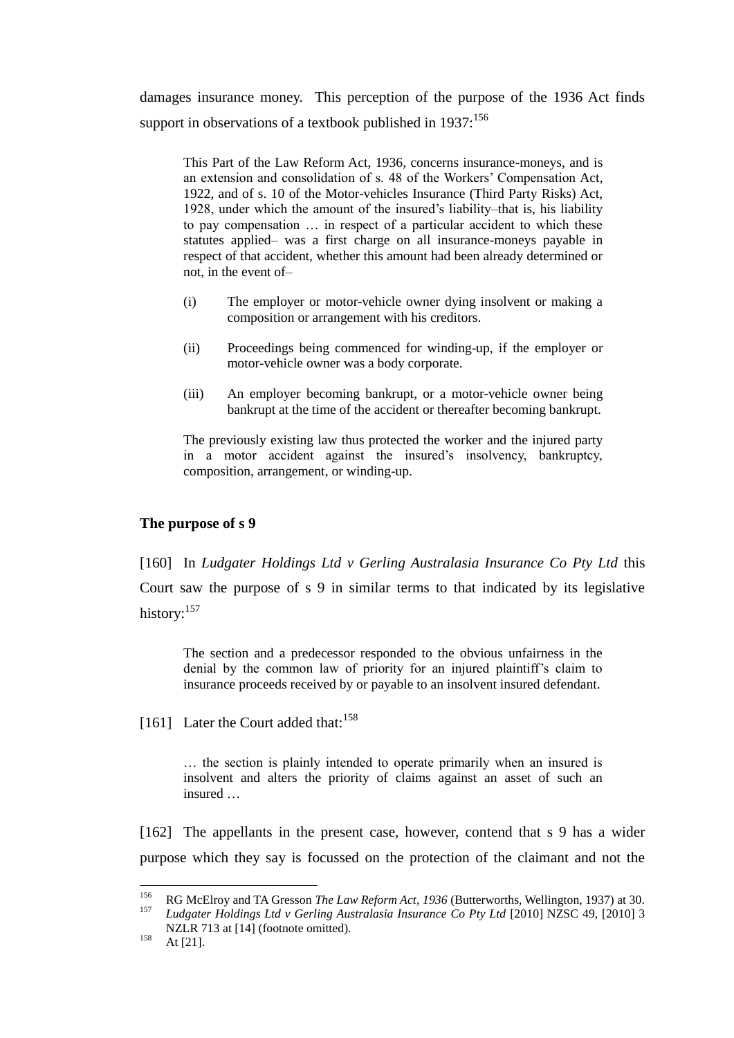damages insurance money. This perception of the purpose of the 1936 Act finds support in observations of a textbook published in  $1937:156$ 

This Part of the Law Reform Act, 1936, concerns insurance-moneys, and is an extension and consolidation of s. 48 of the Workers' Compensation Act, 1922, and of s. 10 of the Motor-vehicles Insurance (Third Party Risks) Act, 1928, under which the amount of the insured's liability–that is, his liability to pay compensation … in respect of a particular accident to which these statutes applied– was a first charge on all insurance-moneys payable in respect of that accident, whether this amount had been already determined or not, in the event of–

- (i) The employer or motor-vehicle owner dying insolvent or making a composition or arrangement with his creditors.
- (ii) Proceedings being commenced for winding-up, if the employer or motor-vehicle owner was a body corporate.
- (iii) An employer becoming bankrupt, or a motor-vehicle owner being bankrupt at the time of the accident or thereafter becoming bankrupt.

The previously existing law thus protected the worker and the injured party in a motor accident against the insured's insolvency, bankruptcy, composition, arrangement, or winding-up.

## **The purpose of s 9**

[160] In *Ludgater Holdings Ltd v Gerling Australasia Insurance Co Pty Ltd* this Court saw the purpose of s 9 in similar terms to that indicated by its legislative history: $157$ 

<span id="page-51-0"></span>The section and a predecessor responded to the obvious unfairness in the denial by the common law of priority for an injured plaintiff's claim to insurance proceeds received by or payable to an insolvent insured defendant.

[161] Later the Court added that:  $158$ 

… the section is plainly intended to operate primarily when an insured is insolvent and alters the priority of claims against an asset of such an insured …

[162] The appellants in the present case, however, contend that s 9 has a wider purpose which they say is focussed on the protection of the claimant and not the

<sup>156</sup> <sup>156</sup> RG McElroy and TA Gresson *The Law Reform Act, 1936* (Butterworths, Wellington, 1937) at 30. <sup>157</sup> *Ludgater Holdings Ltd v Gerling Australasia Insurance Co Pty Ltd* [2010] NZSC 49, [2010] 3

NZLR 713 at [14] (footnote omitted).  $158$  At [21].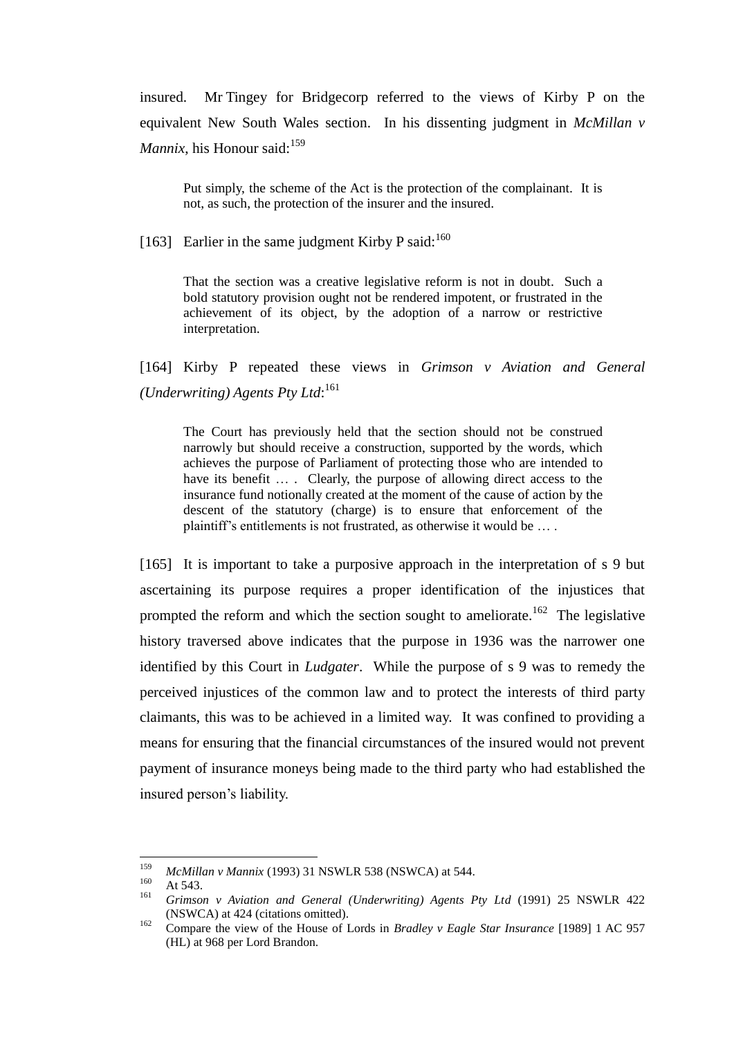insured. Mr Tingey for Bridgecorp referred to the views of Kirby P on the equivalent New South Wales section. In his dissenting judgment in *McMillan v Mannix*, his Honour said:<sup>159</sup>

Put simply, the scheme of the Act is the protection of the complainant. It is not, as such, the protection of the insurer and the insured.

[163] Earlier in the same judgment Kirby P said: $^{160}$ 

That the section was a creative legislative reform is not in doubt. Such a bold statutory provision ought not be rendered impotent, or frustrated in the achievement of its object, by the adoption of a narrow or restrictive interpretation.

[164] Kirby P repeated these views in *Grimson v Aviation and General (Underwriting) Agents Pty Ltd*: 161

The Court has previously held that the section should not be construed narrowly but should receive a construction, supported by the words, which achieves the purpose of Parliament of protecting those who are intended to have its benefit .... Clearly, the purpose of allowing direct access to the insurance fund notionally created at the moment of the cause of action by the descent of the statutory (charge) is to ensure that enforcement of the plaintiff's entitlements is not frustrated, as otherwise it would be … .

[165] It is important to take a purposive approach in the interpretation of s 9 but ascertaining its purpose requires a proper identification of the injustices that prompted the reform and which the section sought to ameliorate.<sup>162</sup> The legislative history traversed above indicates that the purpose in 1936 was the narrower one identified by this Court in *Ludgater*. While the purpose of s 9 was to remedy the perceived injustices of the common law and to protect the interests of third party claimants, this was to be achieved in a limited way. It was confined to providing a means for ensuring that the financial circumstances of the insured would not prevent payment of insurance moneys being made to the third party who had established the insured person's liability.

<sup>159</sup> <sup>159</sup> *McMillan v Mannix* (1993) 31 NSWLR 538 (NSWCA) at 544.

 $160$  At 543.

<sup>161</sup> *Grimson v Aviation and General (Underwriting) Agents Pty Ltd* (1991) 25 NSWLR 422 (NSWCA) at 424 (citations omitted).

<sup>162</sup> Compare the view of the House of Lords in *Bradley v Eagle Star Insurance* [1989] 1 AC 957 (HL) at 968 per Lord Brandon.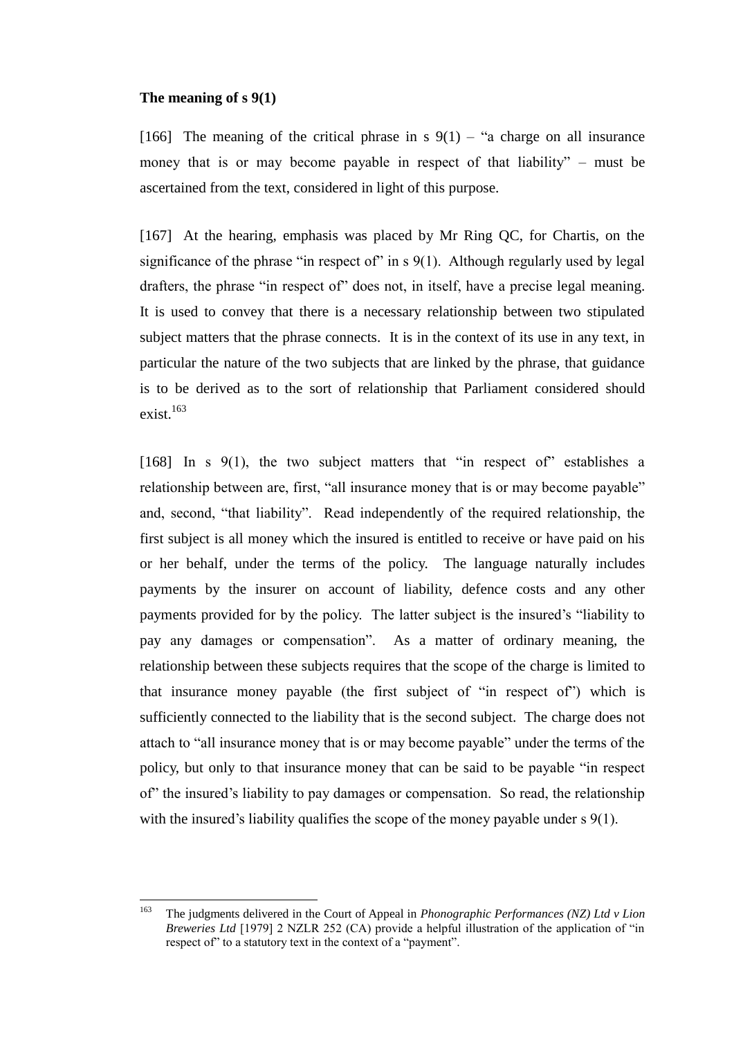### **The meaning of s 9(1)**

[166] The meaning of the critical phrase in s  $9(1)$  – "a charge on all insurance money that is or may become payable in respect of that liability" – must be ascertained from the text, considered in light of this purpose.

[167] At the hearing, emphasis was placed by Mr Ring QC, for Chartis, on the significance of the phrase "in respect of" in  $s$  9(1). Although regularly used by legal drafters, the phrase "in respect of" does not, in itself, have a precise legal meaning. It is used to convey that there is a necessary relationship between two stipulated subject matters that the phrase connects. It is in the context of its use in any text, in particular the nature of the two subjects that are linked by the phrase, that guidance is to be derived as to the sort of relationship that Parliament considered should exist.<sup>163</sup>

[168] In s 9(1), the two subject matters that "in respect of" establishes a relationship between are, first, "all insurance money that is or may become payable" and, second, "that liability". Read independently of the required relationship, the first subject is all money which the insured is entitled to receive or have paid on his or her behalf, under the terms of the policy. The language naturally includes payments by the insurer on account of liability, defence costs and any other payments provided for by the policy. The latter subject is the insured's "liability to pay any damages or compensation". As a matter of ordinary meaning, the relationship between these subjects requires that the scope of the charge is limited to that insurance money payable (the first subject of "in respect of") which is sufficiently connected to the liability that is the second subject. The charge does not attach to "all insurance money that is or may become payable" under the terms of the policy, but only to that insurance money that can be said to be payable "in respect of" the insured's liability to pay damages or compensation. So read, the relationship with the insured's liability qualifies the scope of the money payable under s 9(1).

<sup>163</sup> <sup>163</sup> The judgments delivered in the Court of Appeal in *Phonographic Performances (NZ) Ltd v Lion Breweries Ltd* [1979] 2 NZLR 252 (CA) provide a helpful illustration of the application of "in respect of" to a statutory text in the context of a "payment".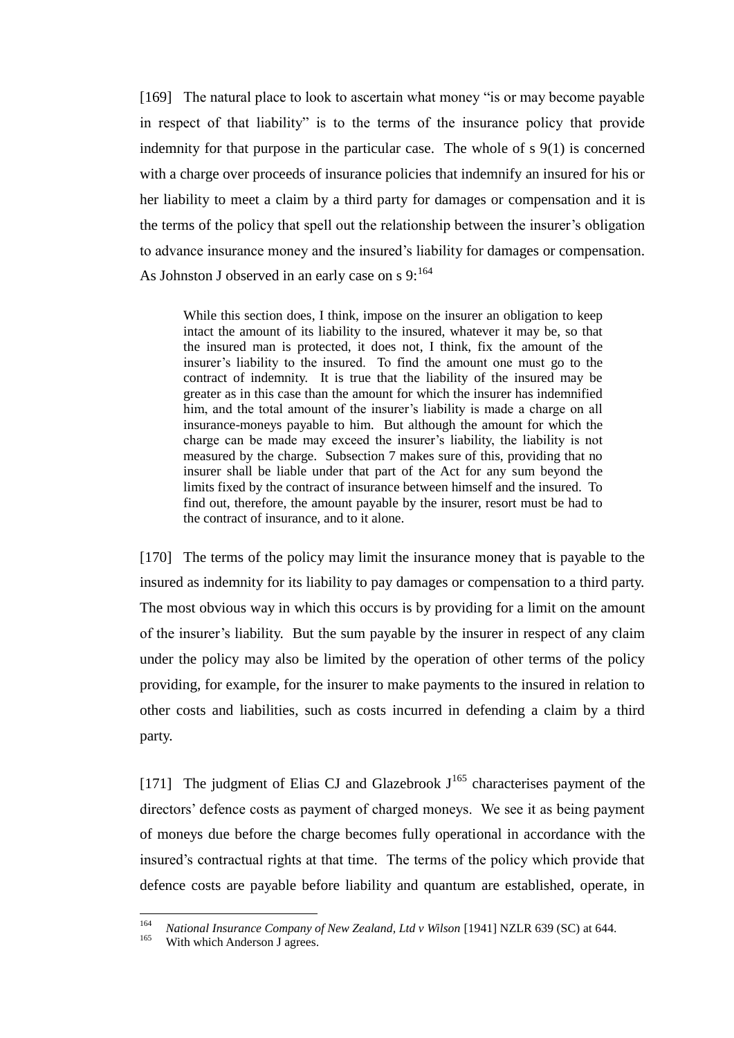[169] The natural place to look to ascertain what money "is or may become payable in respect of that liability" is to the terms of the insurance policy that provide indemnity for that purpose in the particular case. The whole of s 9(1) is concerned with a charge over proceeds of insurance policies that indemnify an insured for his or her liability to meet a claim by a third party for damages or compensation and it is the terms of the policy that spell out the relationship between the insurer's obligation to advance insurance money and the insured's liability for damages or compensation. As Johnston J observed in an early case on s  $9:1^{64}$ 

While this section does, I think, impose on the insurer an obligation to keep intact the amount of its liability to the insured, whatever it may be, so that the insured man is protected, it does not, I think, fix the amount of the insurer's liability to the insured. To find the amount one must go to the contract of indemnity. It is true that the liability of the insured may be greater as in this case than the amount for which the insurer has indemnified him, and the total amount of the insurer's liability is made a charge on all insurance-moneys payable to him. But although the amount for which the charge can be made may exceed the insurer's liability, the liability is not measured by the charge. Subsection 7 makes sure of this, providing that no insurer shall be liable under that part of the Act for any sum beyond the limits fixed by the contract of insurance between himself and the insured. To find out, therefore, the amount payable by the insurer, resort must be had to the contract of insurance, and to it alone.

[170] The terms of the policy may limit the insurance money that is payable to the insured as indemnity for its liability to pay damages or compensation to a third party. The most obvious way in which this occurs is by providing for a limit on the amount of the insurer's liability. But the sum payable by the insurer in respect of any claim under the policy may also be limited by the operation of other terms of the policy providing, for example, for the insurer to make payments to the insured in relation to other costs and liabilities, such as costs incurred in defending a claim by a third party.

<span id="page-54-0"></span>[171] The judgment of Elias CJ and Glazebrook  $J^{165}$  characterises payment of the directors' defence costs as payment of charged moneys. We see it as being payment of moneys due before the charge becomes fully operational in accordance with the insured's contractual rights at that time. The terms of the policy which provide that defence costs are payable before liability and quantum are established, operate, in

<sup>164</sup> <sup>164</sup> *National Insurance Company of New Zealand, Ltd v Wilson* [1941] NZLR 639 (SC) at 644.<br><sup>165</sup> With which Anderson Lagress

With which Anderson J agrees.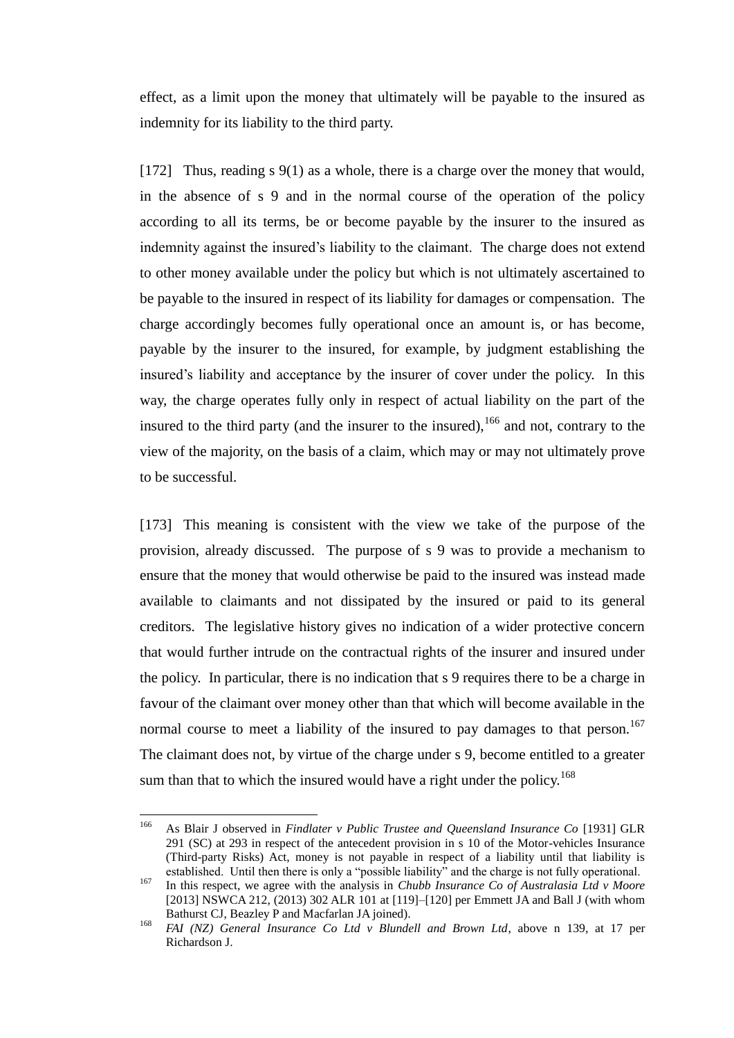effect, as a limit upon the money that ultimately will be payable to the insured as indemnity for its liability to the third party.

[172] Thus, reading s 9(1) as a whole, there is a charge over the money that would, in the absence of s 9 and in the normal course of the operation of the policy according to all its terms, be or become payable by the insurer to the insured as indemnity against the insured's liability to the claimant. The charge does not extend to other money available under the policy but which is not ultimately ascertained to be payable to the insured in respect of its liability for damages or compensation. The charge accordingly becomes fully operational once an amount is, or has become, payable by the insurer to the insured, for example, by judgment establishing the insured's liability and acceptance by the insurer of cover under the policy. In this way, the charge operates fully only in respect of actual liability on the part of the insured to the third party (and the insurer to the insured),  $166$  and not, contrary to the view of the majority, on the basis of a claim, which may or may not ultimately prove to be successful.

<span id="page-55-0"></span>[173] This meaning is consistent with the view we take of the purpose of the provision, already discussed. The purpose of s 9 was to provide a mechanism to ensure that the money that would otherwise be paid to the insured was instead made available to claimants and not dissipated by the insured or paid to its general creditors. The legislative history gives no indication of a wider protective concern that would further intrude on the contractual rights of the insurer and insured under the policy. In particular, there is no indication that s 9 requires there to be a charge in favour of the claimant over money other than that which will become available in the normal course to meet a liability of the insured to pay damages to that person.<sup>167</sup> The claimant does not, by virtue of the charge under s 9, become entitled to a greater sum than that to which the insured would have a right under the policy.<sup>168</sup>

<span id="page-55-1"></span><sup>166</sup> <sup>166</sup> As Blair J observed in *Findlater v Public Trustee and Queensland Insurance Co* [1931] GLR 291 (SC) at 293 in respect of the antecedent provision in s 10 of the Motor-vehicles Insurance (Third-party Risks) Act, money is not payable in respect of a liability until that liability is established. Until then there is only a "possible liability" and the charge is not fully operational.

<sup>167</sup> In this respect, we agree with the analysis in *Chubb Insurance Co of Australasia Ltd v Moore*  [2013] NSWCA 212, (2013) 302 ALR 101 at [119]-[120] per Emmett JA and Ball J (with whom Bathurst CJ, Beazley P and Macfarlan JA joined).

<sup>168</sup> *FAI (NZ) General Insurance Co Ltd v Blundell and Brown Ltd*, above n [139,](#page-44-0) at 17 per Richardson J.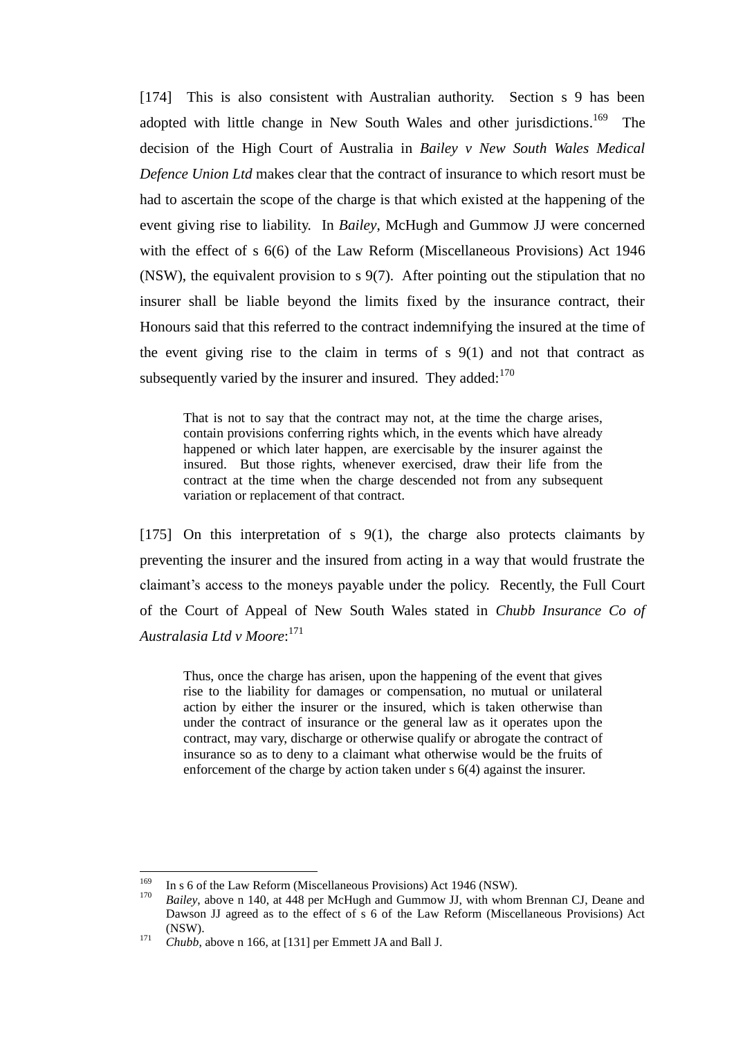[174] This is also consistent with Australian authority. Section s 9 has been adopted with little change in New South Wales and other jurisdictions.<sup>169</sup> The decision of the High Court of Australia in *Bailey v New South Wales Medical Defence Union Ltd* makes clear that the contract of insurance to which resort must be had to ascertain the scope of the charge is that which existed at the happening of the event giving rise to liability. In *Bailey*, McHugh and Gummow JJ were concerned with the effect of s 6(6) of the Law Reform (Miscellaneous Provisions) Act 1946 (NSW), the equivalent provision to s 9(7). After pointing out the stipulation that no insurer shall be liable beyond the limits fixed by the insurance contract, their Honours said that this referred to the contract indemnifying the insured at the time of the event giving rise to the claim in terms of  $s$  9(1) and not that contract as subsequently varied by the insurer and insured. They added: $170$ 

<span id="page-56-0"></span>That is not to say that the contract may not, at the time the charge arises, contain provisions conferring rights which, in the events which have already happened or which later happen, are exercisable by the insurer against the insured. But those rights, whenever exercised, draw their life from the contract at the time when the charge descended not from any subsequent variation or replacement of that contract.

[175] On this interpretation of s 9(1), the charge also protects claimants by preventing the insurer and the insured from acting in a way that would frustrate the claimant's access to the moneys payable under the policy. Recently, the Full Court of the Court of Appeal of New South Wales stated in *Chubb Insurance Co of Australasia Ltd v Moore*: 171

Thus, once the charge has arisen, upon the happening of the event that gives rise to the liability for damages or compensation, no mutual or unilateral action by either the insurer or the insured, which is taken otherwise than under the contract of insurance or the general law as it operates upon the contract, may vary, discharge or otherwise qualify or abrogate the contract of insurance so as to deny to a claimant what otherwise would be the fruits of enforcement of the charge by action taken under s 6(4) against the insurer.

<sup>169</sup> <sup>169</sup> In s 6 of the Law Reform (Miscellaneous Provisions) Act 1946 (NSW).<br><sup>170</sup> Bailay above n 140 at 448 per Mallych and Cummony II with whom

<sup>170</sup> *Bailey*, above n [140,](#page-45-0) at 448 per McHugh and Gummow JJ, with whom Brennan CJ, Deane and Dawson JJ agreed as to the effect of s 6 of the Law Reform (Miscellaneous Provisions) Act (NSW).

<sup>&</sup>lt;sup>171</sup> *Chubb*, above n [166,](#page-55-0) at [131] per Emmett JA and Ball J.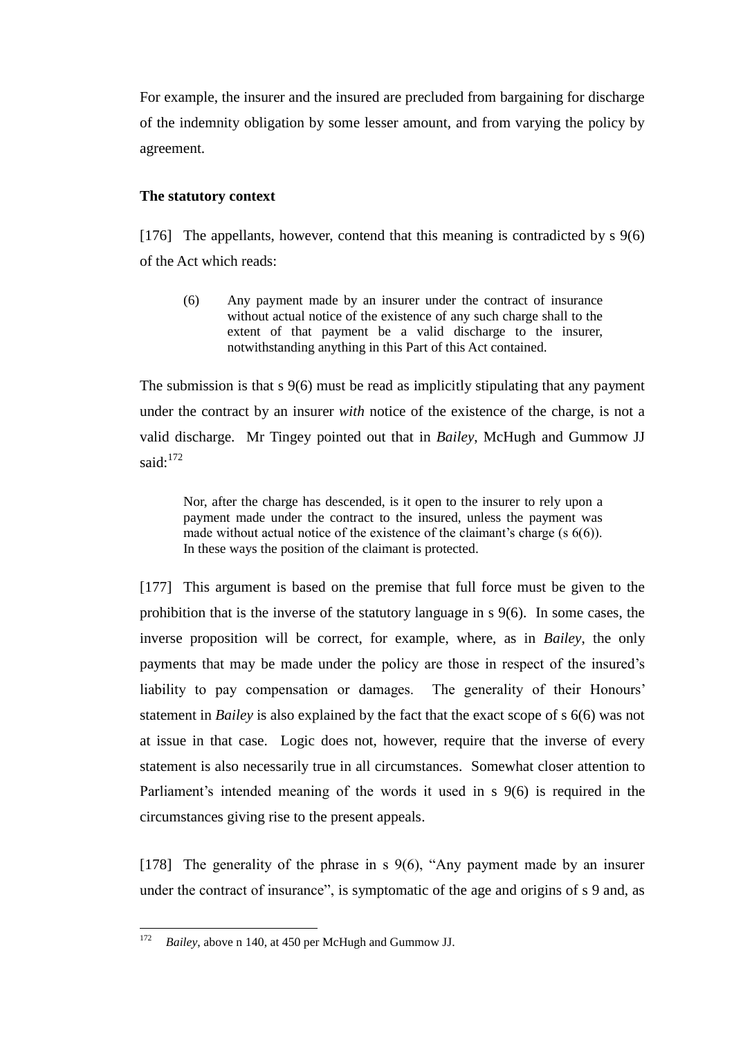For example, the insurer and the insured are precluded from bargaining for discharge of the indemnity obligation by some lesser amount, and from varying the policy by agreement.

### **The statutory context**

[176] The appellants, however, contend that this meaning is contradicted by s 9(6) of the Act which reads:

(6) Any payment made by an insurer under the contract of insurance without actual notice of the existence of any such charge shall to the extent of that payment be a valid discharge to the insurer, notwithstanding anything in this Part of this Act contained.

The submission is that s 9(6) must be read as implicitly stipulating that any payment under the contract by an insurer *with* notice of the existence of the charge, is not a valid discharge. Mr Tingey pointed out that in *Bailey*, McHugh and Gummow JJ said: $172$ 

<span id="page-57-2"></span>Nor, after the charge has descended, is it open to the insurer to rely upon a payment made under the contract to the insured, unless the payment was made without actual notice of the existence of the claimant's charge (s 6(6)). In these ways the position of the claimant is protected.

<span id="page-57-1"></span>[177] This argument is based on the premise that full force must be given to the prohibition that is the inverse of the statutory language in s 9(6). In some cases, the inverse proposition will be correct, for example, where, as in *Bailey*, the only payments that may be made under the policy are those in respect of the insured's liability to pay compensation or damages. The generality of their Honours' statement in *Bailey* is also explained by the fact that the exact scope of s 6(6) was not at issue in that case. Logic does not, however, require that the inverse of every statement is also necessarily true in all circumstances. Somewhat closer attention to Parliament's intended meaning of the words it used in s 9(6) is required in the circumstances giving rise to the present appeals.

<span id="page-57-0"></span>[178] The generality of the phrase in s 9(6), "Any payment made by an insurer under the contract of insurance", is symptomatic of the age and origins of s 9 and, as

<sup>172</sup> Bailey, above n [140,](#page-45-0) at 450 per McHugh and Gummow JJ.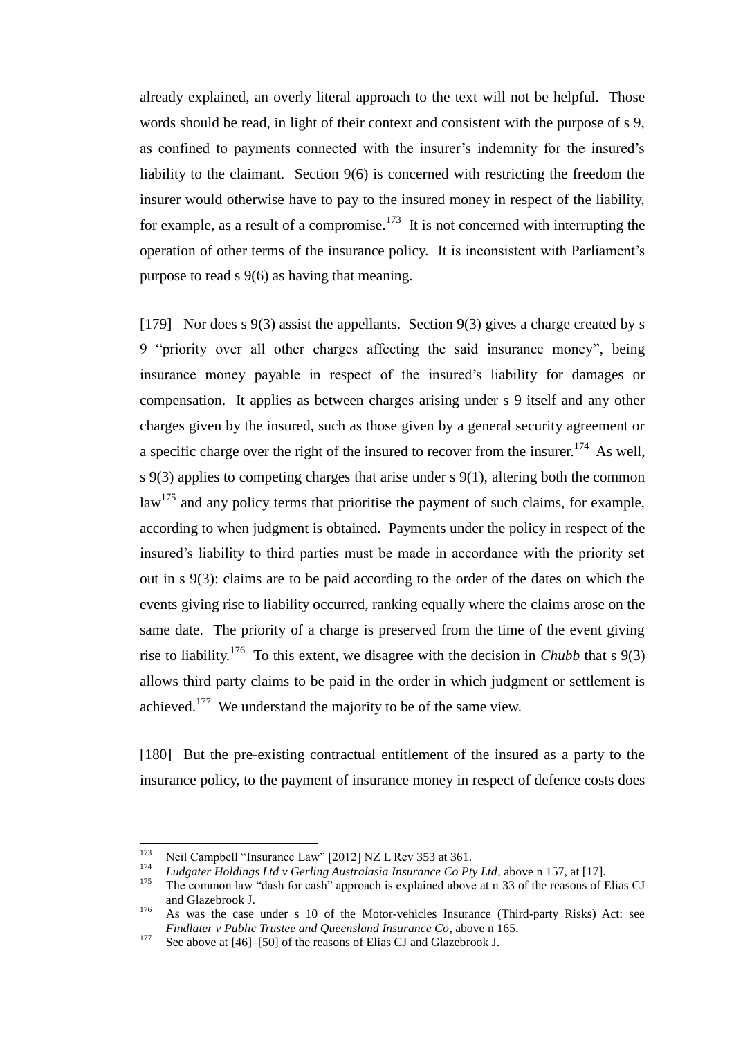already explained, an overly literal approach to the text will not be helpful. Those words should be read, in light of their context and consistent with the purpose of s 9, as confined to payments connected with the insurer's indemnity for the insured's liability to the claimant. Section 9(6) is concerned with restricting the freedom the insurer would otherwise have to pay to the insured money in respect of the liability, for example, as a result of a compromise.<sup>173</sup> It is not concerned with interrupting the operation of other terms of the insurance policy. It is inconsistent with Parliament's purpose to read s 9(6) as having that meaning.

<span id="page-58-0"></span>[179] Nor does s 9(3) assist the appellants. Section 9(3) gives a charge created by s 9 "priority over all other charges affecting the said insurance money", being insurance money payable in respect of the insured's liability for damages or compensation. It applies as between charges arising under s 9 itself and any other charges given by the insured, such as those given by a general security agreement or a specific charge over the right of the insured to recover from the insurer.<sup>174</sup> As well, s 9(3) applies to competing charges that arise under s 9(1), altering both the common  $\mu$ <sup>175</sup> and any policy terms that prioritise the payment of such claims, for example, according to when judgment is obtained. Payments under the policy in respect of the insured's liability to third parties must be made in accordance with the priority set out in s 9(3): claims are to be paid according to the order of the dates on which the events giving rise to liability occurred, ranking equally where the claims arose on the same date. The priority of a charge is preserved from the time of the event giving rise to liability.<sup>176</sup> To this extent, we disagree with the decision in *Chubb* that s  $9(3)$ allows third party claims to be paid in the order in which judgment or settlement is achieved.<sup>177</sup> We understand the majority to be of the same view.

[180] But the pre-existing contractual entitlement of the insured as a party to the insurance policy, to the payment of insurance money in respect of defence costs does

<sup>173</sup> <sup>173</sup> Neil Campbell "Insurance Law" [2012] NZ L Rev 353 at 361.

<sup>174</sup> *Ludgater Holdings Ltd v Gerling Australasia Insurance Co Pty Ltd*, above [n 157,](#page-51-0) at [17].

The common law "dash for cash" approach is explained above at n [33](#page-13-2) of the reasons of Elias CJ and Glazebrook J.

<sup>176</sup> As was the case under s 10 of the Motor-vehicles Insurance (Third-party Risks) Act: see *Findlater v Public Trustee and Queensland Insurance Co*, above n [165.](#page-54-0)

<sup>&</sup>lt;sup>177</sup> See above a[t \[46\]–](#page-14-0)[\[50\]](#page-15-1) of the reasons of Elias CJ and Glazebrook J.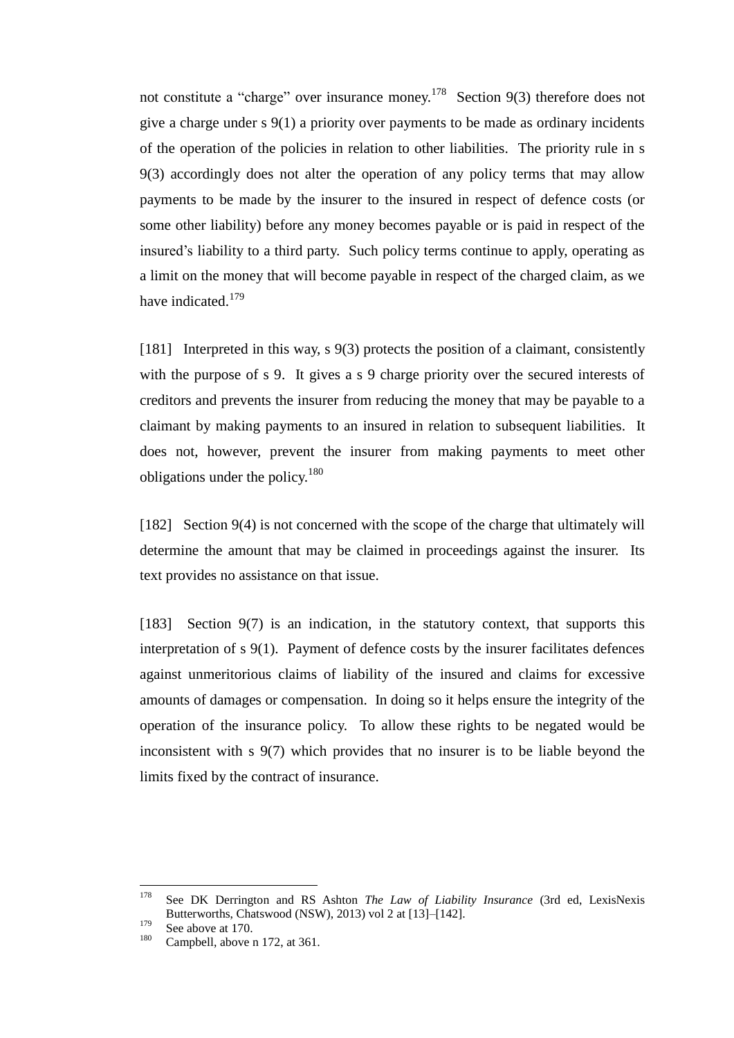not constitute a "charge" over insurance money.<sup>178</sup> Section 9(3) therefore does not give a charge under s 9(1) a priority over payments to be made as ordinary incidents of the operation of the policies in relation to other liabilities. The priority rule in s 9(3) accordingly does not alter the operation of any policy terms that may allow payments to be made by the insurer to the insured in respect of defence costs (or some other liability) before any money becomes payable or is paid in respect of the insured's liability to a third party. Such policy terms continue to apply, operating as a limit on the money that will become payable in respect of the charged claim, as we have indicated.<sup>179</sup>

[181] Interpreted in this way, s 9(3) protects the position of a claimant, consistently with the purpose of s 9. It gives a s 9 charge priority over the secured interests of creditors and prevents the insurer from reducing the money that may be payable to a claimant by making payments to an insured in relation to subsequent liabilities. It does not, however, prevent the insurer from making payments to meet other obligations under the policy.<sup>180</sup>

[182] Section 9(4) is not concerned with the scope of the charge that ultimately will determine the amount that may be claimed in proceedings against the insurer. Its text provides no assistance on that issue.

[183] Section 9(7) is an indication, in the statutory context, that supports this interpretation of s 9(1). Payment of defence costs by the insurer facilitates defences against unmeritorious claims of liability of the insured and claims for excessive amounts of damages or compensation. In doing so it helps ensure the integrity of the operation of the insurance policy. To allow these rights to be negated would be inconsistent with s 9(7) which provides that no insurer is to be liable beyond the limits fixed by the contract of insurance.

<sup>178</sup> <sup>178</sup> See DK Derrington and RS Ashton *The Law of Liability Insurance* (3rd ed, LexisNexis Butterworths, Chatswood (NSW), 2013) vol 2 at [13]–[142].

 $179$  See above a[t 170.](#page-56-0)

Campbell, above n [172,](#page-57-2) at 361.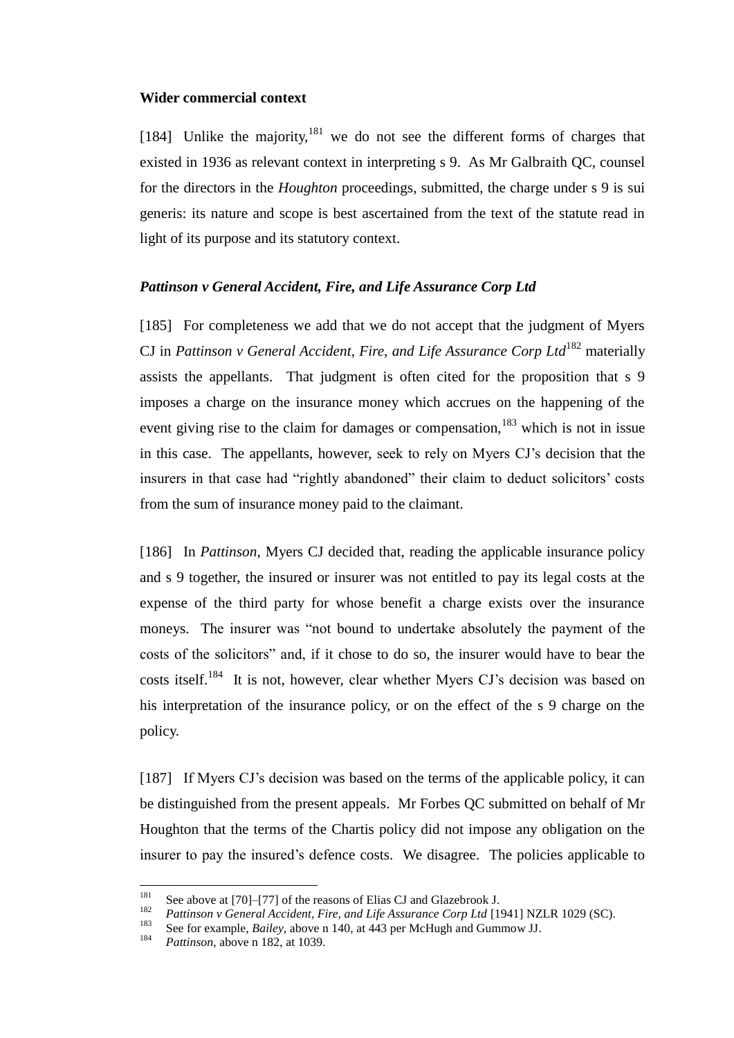### **Wider commercial context**

[184] Unlike the majority, $181$  we do not see the different forms of charges that existed in 1936 as relevant context in interpreting s 9. As Mr Galbraith QC, counsel for the directors in the *Houghton* proceedings, submitted, the charge under s 9 is sui generis: its nature and scope is best ascertained from the text of the statute read in light of its purpose and its statutory context.

### *Pattinson v General Accident, Fire, and Life Assurance Corp Ltd*

<span id="page-60-0"></span>[185] For completeness we add that we do not accept that the judgment of Myers CJ in *Pattinson v General Accident, Fire, and Life Assurance Corp Ltd*<sup>182</sup> materially assists the appellants. That judgment is often cited for the proposition that s 9 imposes a charge on the insurance money which accrues on the happening of the event giving rise to the claim for damages or compensation,  $^{183}$  which is not in issue in this case. The appellants, however, seek to rely on Myers CJ's decision that the insurers in that case had "rightly abandoned" their claim to deduct solicitors' costs from the sum of insurance money paid to the claimant.

[186] In *Pattinson*, Myers CJ decided that, reading the applicable insurance policy and s 9 together, the insured or insurer was not entitled to pay its legal costs at the expense of the third party for whose benefit a charge exists over the insurance moneys. The insurer was "not bound to undertake absolutely the payment of the costs of the solicitors" and, if it chose to do so, the insurer would have to bear the costs itself.<sup>184</sup> It is not, however, clear whether Myers CJ's decision was based on his interpretation of the insurance policy, or on the effect of the s 9 charge on the policy.

[187] If Myers CJ's decision was based on the terms of the applicable policy, it can be distinguished from the present appeals. Mr Forbes QC submitted on behalf of Mr Houghton that the terms of the Chartis policy did not impose any obligation on the insurer to pay the insured's defence costs. We disagree. The policies applicable to

<sup>181</sup> <sup>181</sup> See above a[t \[70\]–](#page-21-0)[\[77\]](#page-23-1) of the reasons of Elias CJ and Glazebrook J.<br><sup>182</sup> Battings u. Canangl Assident, Fine, and Life Agguerage Cann Ltd L1

<sup>&</sup>lt;sup>182</sup> *Pattinson v General Accident, Fire, and Life Assurance Corp Ltd* [1941] NZLR 1029 (SC).

<sup>&</sup>lt;sup>183</sup> See for example, *Bailey*, above n [140,](#page-45-0) at 443 per McHugh and Gummow JJ.

*Pattinson*, above n [182,](#page-60-0) at 1039.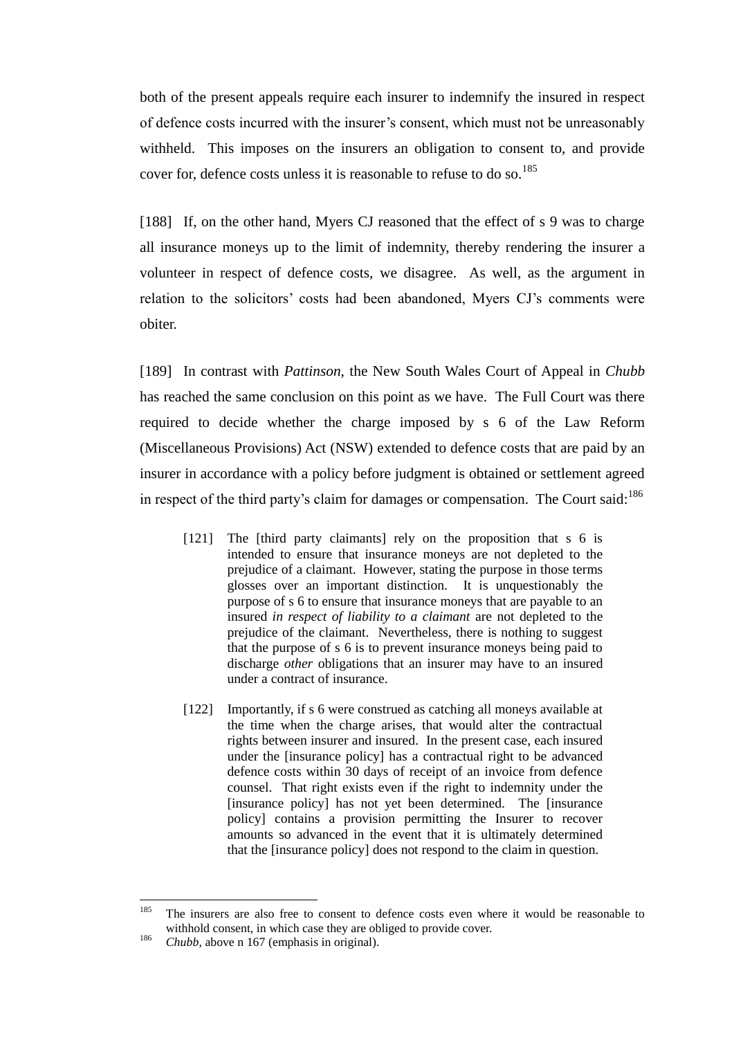both of the present appeals require each insurer to indemnify the insured in respect of defence costs incurred with the insurer's consent, which must not be unreasonably withheld. This imposes on the insurers an obligation to consent to, and provide cover for, defence costs unless it is reasonable to refuse to do so.<sup>185</sup>

<span id="page-61-0"></span>[188] If, on the other hand, Myers CJ reasoned that the effect of s 9 was to charge all insurance moneys up to the limit of indemnity, thereby rendering the insurer a volunteer in respect of defence costs, we disagree. As well, as the argument in relation to the solicitors' costs had been abandoned, Myers CJ's comments were obiter.

[189] In contrast with *Pattinson*, the New South Wales Court of Appeal in *Chubb* has reached the same conclusion on this point as we have. The Full Court was there required to decide whether the charge imposed by s 6 of the Law Reform (Miscellaneous Provisions) Act (NSW) extended to defence costs that are paid by an insurer in accordance with a policy before judgment is obtained or settlement agreed in respect of the third party's claim for damages or compensation. The Court said:  $186$ 

- [121] The [third party claimants] rely on the proposition that s 6 is intended to ensure that insurance moneys are not depleted to the prejudice of a claimant. However, stating the purpose in those terms glosses over an important distinction. It is unquestionably the purpose of s 6 to ensure that insurance moneys that are payable to an insured *in respect of liability to a claimant* are not depleted to the prejudice of the claimant. Nevertheless, there is nothing to suggest that the purpose of s 6 is to prevent insurance moneys being paid to discharge *other* obligations that an insurer may have to an insured under a contract of insurance.
- [122] Importantly, if s 6 were construed as catching all moneys available at the time when the charge arises, that would alter the contractual rights between insurer and insured. In the present case, each insured under the [insurance policy] has a contractual right to be advanced defence costs within 30 days of receipt of an invoice from defence counsel. That right exists even if the right to indemnity under the [insurance policy] has not yet been determined. The [insurance policy] contains a provision permitting the Insurer to recover amounts so advanced in the event that it is ultimately determined that the [insurance policy] does not respond to the claim in question.

<sup>185</sup> The insurers are also free to consent to defence costs even where it would be reasonable to withhold consent, in which case they are obliged to provide cover.

<sup>186</sup> *Chubb*, above n [167](#page-55-1) (emphasis in original).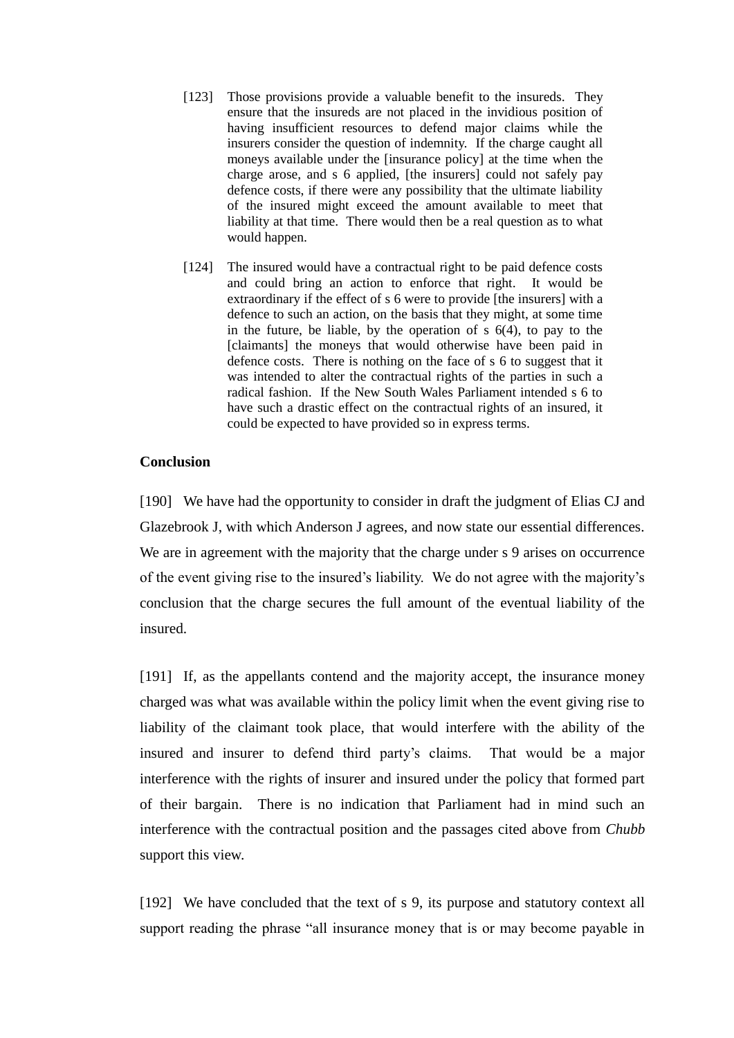- [123] Those provisions provide a valuable benefit to the insureds. They ensure that the insureds are not placed in the invidious position of having insufficient resources to defend major claims while the insurers consider the question of indemnity. If the charge caught all moneys available under the [insurance policy] at the time when the charge arose, and s 6 applied, [the insurers] could not safely pay defence costs, if there were any possibility that the ultimate liability of the insured might exceed the amount available to meet that liability at that time. There would then be a real question as to what would happen.
- [124] The insured would have a contractual right to be paid defence costs and could bring an action to enforce that right. It would be extraordinary if the effect of s 6 were to provide [the insurers] with a defence to such an action, on the basis that they might, at some time in the future, be liable, by the operation of  $s$   $6(4)$ , to pay to the [claimants] the moneys that would otherwise have been paid in defence costs. There is nothing on the face of s 6 to suggest that it was intended to alter the contractual rights of the parties in such a radical fashion. If the New South Wales Parliament intended s 6 to have such a drastic effect on the contractual rights of an insured, it could be expected to have provided so in express terms.

## **Conclusion**

[190] We have had the opportunity to consider in draft the judgment of Elias CJ and Glazebrook J, with which Anderson J agrees, and now state our essential differences. We are in agreement with the majority that the charge under s 9 arises on occurrence of the event giving rise to the insured's liability. We do not agree with the majority's conclusion that the charge secures the full amount of the eventual liability of the insured.

[191] If, as the appellants contend and the majority accept, the insurance money charged was what was available within the policy limit when the event giving rise to liability of the claimant took place, that would interfere with the ability of the insured and insurer to defend third party's claims. That would be a major interference with the rights of insurer and insured under the policy that formed part of their bargain. There is no indication that Parliament had in mind such an interference with the contractual position and the passages cited above from *Chubb* support this view.

[192] We have concluded that the text of s 9, its purpose and statutory context all support reading the phrase "all insurance money that is or may become payable in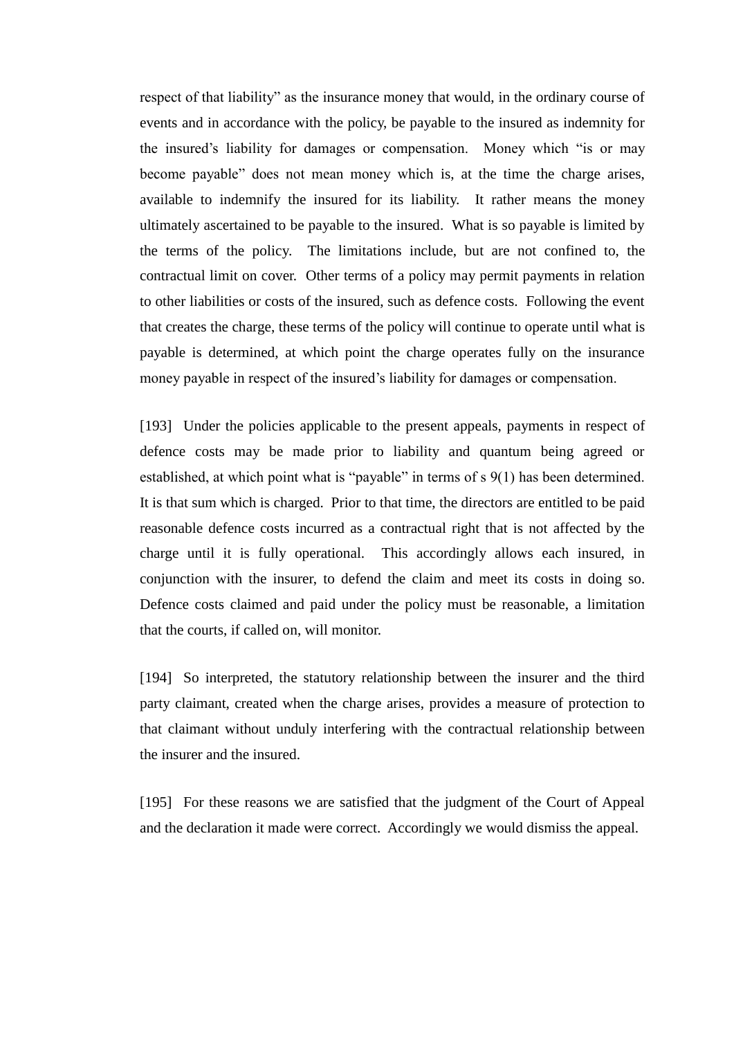respect of that liability" as the insurance money that would, in the ordinary course of events and in accordance with the policy, be payable to the insured as indemnity for the insured's liability for damages or compensation. Money which "is or may become payable" does not mean money which is, at the time the charge arises, available to indemnify the insured for its liability. It rather means the money ultimately ascertained to be payable to the insured. What is so payable is limited by the terms of the policy. The limitations include, but are not confined to, the contractual limit on cover. Other terms of a policy may permit payments in relation to other liabilities or costs of the insured, such as defence costs. Following the event that creates the charge, these terms of the policy will continue to operate until what is payable is determined, at which point the charge operates fully on the insurance money payable in respect of the insured's liability for damages or compensation.

[193] Under the policies applicable to the present appeals, payments in respect of defence costs may be made prior to liability and quantum being agreed or established, at which point what is "payable" in terms of s 9(1) has been determined. It is that sum which is charged. Prior to that time, the directors are entitled to be paid reasonable defence costs incurred as a contractual right that is not affected by the charge until it is fully operational. This accordingly allows each insured, in conjunction with the insurer, to defend the claim and meet its costs in doing so. Defence costs claimed and paid under the policy must be reasonable, a limitation that the courts, if called on, will monitor.

[194] So interpreted, the statutory relationship between the insurer and the third party claimant, created when the charge arises, provides a measure of protection to that claimant without unduly interfering with the contractual relationship between the insurer and the insured.

[195] For these reasons we are satisfied that the judgment of the Court of Appeal and the declaration it made were correct. Accordingly we would dismiss the appeal.